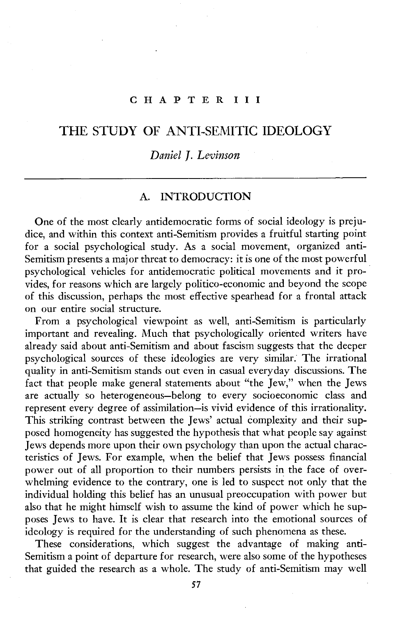# CHAPTER III

# THE STUDY OF ANTI-SEMITIC IDEOLOGY<br>Daniel J. Levinson E STUDY OF ANTI-SEMITIC IDEOLOGY<br>
Daniel J. Levinson<br>
A. INTRODUCTION<br>
Re most clearly antidemocratic forms of social ideology is

A. INTRODUCTION<br>One of the most clearly antidemocratic forms of social ideology is preju-<br>dice, and within this context anti-Semitism provides a fruitful starting point One of the most clearly antidemocratic forms of social ideology is prejudice, and within this context anti-Semitism provides a fruitful starting point for a social psychological study. As a social movement, organized antiof this discussion, perhaps the most effective spearhead for a frontal attack<br>on our entire social structure.

From a psychological viewpoint as well, anti-Semitism is particularly important and revealing. Much that psychologically oriented writers have on our entire social structure.<br>From a psychological viewpoint as well, anti-Semitism is particularly<br>important and revealing. Much that psychologically oriented writers have<br>already said about anti-Semitism and about fasc important and revealing. Much that psychologically oriented writers have already said about anti-Semitism and about fascism suggests that the deeper psychological sources of these ideologies are very similar. The irrationa psychological sources of these ideologies are very similar. The irrational quality in anti-Semitism stands out even in casual everyday discussions. The fact that people make general statements about "the Jew," when the Jews are actually so heterogeneous—belong to every socioeconomic class and<br>represent every degree of assimilation—is vivid evidence of this irrationality.<br>This striking contrast between the Jews' actual complexity and their sup represent every degree of assimilation—is vivid evidence of this irrationality. posed homogeneity has suggested the hypothesis that what people say against Jews depends more upon their own psychology than upon the actual characteristics of Jews. For example, when the belief that Jews possess financial power out of all proportion to their numbers persists in the face of overwhelming evidence to the contrary, one is led to suspect not only that the individual holding this belief has an unusual preoccupation with power but also that he might himself wish to assume the kind of power which he supindividual holding this belief has an unusual preoccupation with power but also that he might himself wish to assume the kind of power which he sup-<br>poses Jews to have. It is clear that research into the emotional sources poses Jews to have. It is clear that research into the emotional sources of ideology is required for the understanding of such phenomena as these.<br>These considerations, which suggest the advantage of making anti-

 ideology is required for the understanding of such phenomena as these. These considerations, which suggest the advantage of making anti-Semitism a point of departure for research, were also some of the hypotheses<br>that guided the research as a whole. The study of anti-Semitism may well<br>57 that guided the research as a whole. The study of anti-Semitism may well<br>57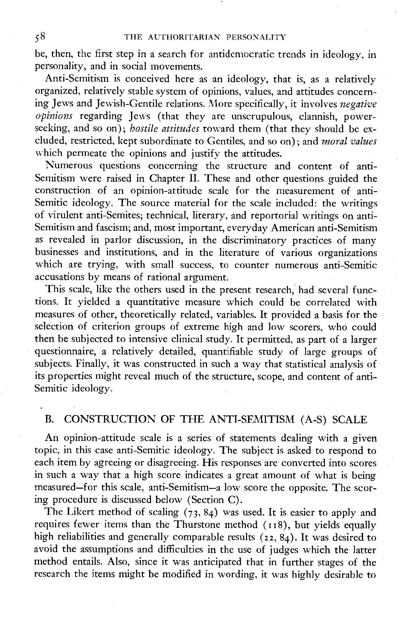THE AUTHORITARIAN PERSONALITY<br>be, then, the first step in a search for antidemocratic trends in ideology, in<br>personality, and in social movements.<br>Anti-Semitism is conceived here as an ideology, that is, as a relatively<br>or personality, and in social movements.<br>Anti-Semitism is conceived here as an ideology, that is, as a relatively<br>organized, relatively stable system of opinions, values, and attitudes concern-<br>ing Jews and Jewish-Gentile rel organized, relatively stable system of opinions, values, and attitudes concerning Jews and Jewish-Gentile relations. More specifically, it involves negative opinions regarding Jews (that they are unscrupulous, clannish, po seeking, and so on); *hostile attitudes* toward them (that they should be ex-<br>cluded, restricted, kept subordinate to Gentiles, and so on); and *moral values*<br>which permeate the opinions and justify the attitudes. cluded, restricted, kept subordinate to Gentiles, and so on); and *moral values* 

Numerous questions concerning the structure and content of anti-Semitism were raised in Chapter II. These and other questions guided the construction of an opinion-attitude scale for the measurement of anti-Semitism were raised in Chapter II. These and other questions guided the construction of an opinion-attitude scale for the measurement of anti-Semitic ideology. The source material for the scale included: the writings construction of an opinion-attitude scale for the measurement of anti-<br>Semitic ideology. The source material for the scale included: the writing:<br>of virulent anti-Semites; technical, literary, and reportorial writings on a of virulent anti-Semites; technical, literary, and reportorial writings on anti-Semitism and fascism; and, most important, everyday American anti-Semitism<br>as revealed in parlor discussion, in the discriminatory practices of many<br>businesses and institutions, and in the literature of various organizatio as revealed in parlor discussion, in the discriminatory practices of many as revealed in parlor discussion, in the discriminatory practices of many<br>businesses and institutions, and in the literature of various organizations<br>which are trying, with small success, to counter numerous anti-Semitic<br>a

tions. It yielded a quantitative measure which could be correlated with measures of other, theoretically related, variables. It provided a basis for the selection of criterion groups of extreme high and low scorers, who could<br>then be subjected to intensive clinical study. It permitted, as part of a larger<br>questionnaire, a relatively detailed, quantifiable study of large gr then be subjected to intensive clinical study. It permitted, as part of a larger questionnaire, a relatively detailed, quantifiable study of large groups of subjects. Finally, it was constructed in such a way that statistical analysis of its properties might reveal much of the structure, scope, and con subjects. Finally, it was constructed in such a way that statistical analysis of<br>its properties might reveal much of the structure, scope, and content of anti-<br>Semitic ideology. its properties might reveal much of the structure, scope, and content of anti-<br>Semitic ideology. Semitic ideology.<br>Processes and the context of the context of the context of the context of the context of the context of the context of the context of the context of the context of the context of the context of the contex

# B. CONSTRUCTION OF THE ANTI-SEMITISM (A-S) SCALE

An opinion-attitude scale is a series of statements dealing with a given topic, in this case anti-Semitic ideology. The subject is asked to respond to each item by agreeing or disagreeing. His responses are converted into each item by agreeing or disagreeing. His responses are converted into scores measured—for this scale, anti-Semitism—a low score the opposite. The scor-<br>ing procedure is discussed below (Section C).<br>The Likert method of scaling  $(73, 84)$  was used. It is easier to apply and

requires fewer items than the Thurstone method ( $118$ ), but yields equally high reliabilities and generally comparable results  $(z_2, 84)$ . It was desired to avoid the assumptions and difficulties in the use of judges which the latter method entails. Also, since it was anticipated that in further high reliabilities and generally comparable results  $(22, 84)$ . It was desired to avoid the assumptions and difficulties in the use of judges which the latter method entails. Also, since it was anticipated that in further avoid the assumptions and difficulties in the use of judges which the latter method entails. Also, since it was anticipated that in further stages of the research the items might be modified in wording, it was highly desir research the items might be modified in wording, it was highly desirable to<br>to<br> $\frac{d}{dt}$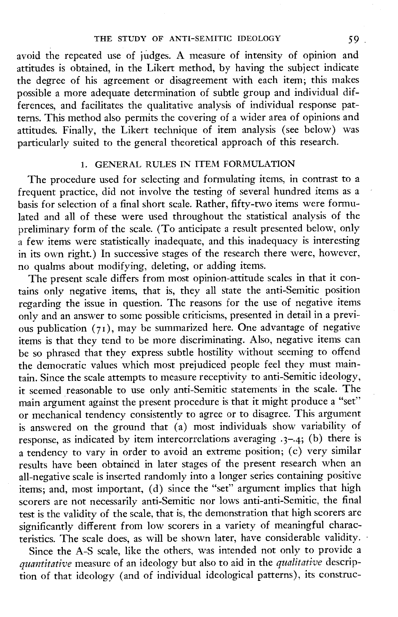THE STUDY OF ANTI-SEMITIC IDEOLOGY<br>avoid the repeated use of judges. A measure of intensity of opinion and<br>attitudes is obtained, in the Likert method, by having the subject indicate<br>the degree of his agreement or disagree attitudes is obtained, in the Likert method, by having the subject indicate<br>the degree of his agreement or disagreement with each item; this makes<br>possible a more adequate determination of subtle group and individual dif-<br> terns. This method also permits the covering of a wider area of opinions and<br>attitudes. Finally, the Likert technique of item analysis (see below) was<br>particularly suited to the general theoretical approach of this researc attitudes. Finally, the Likert technique of item analysis (see below) was particularly suited to the general theoretical approach of this research.<br>1. GENERAL RULES IN ITEM FORMULATION<br>The procedure used for selecting and

The procedure used for selecting and formulating items, in contrast to a frequent practice, did not involve the testing of several hundred items as a basis for selection of a final short scale. Rather, fifty-two items were basis for selection of a final short scale. Rather, fifty-two items were formu-<br>lated and all of these were used throughout the statistical analysis of the<br>preliminary form of the scale. (To anticipate a result presented b preliminary form of the scale. (To anticipate a result presented below, only<br>a few items were statistically inadequate, and this inadequacy is interesting<br>in its own right.) In successive stages of the research there were, a few items were statistically inadequate, and this inadequacy is interesting<br>in its own right.) In successive stages of the research there were, however,<br>no qualms about modifying, deleting, or adding items.<br>The present s

in its own right.) In successive stages of the research there were, however, no qualms about modifying, deleting, or adding items. The present scale differs from most opinion-attitude scales in that it contains only negati tains only negative items, that is, they all state the anti-Semitic position regarding the issue in question. The reasons for the use of negative items<br>only and an answer to some possible criticisms, presented in detail in regarding the issue in question. The reasons for the use of negative items<br>only and an answer to some possible criticisms, presented in detail in a previ-<br>ous publication (71), may be summarized here. One advantage of nega be so phrased that they express subtle hostility without seeming to offend<br>the democratic values which most prejudiced people feel they must main-<br>tain. Since the scale attempts to measure receptivity to anti-Semitic ideol the democratic values which most prejudiced people feel they must main-<br>tain. Since the scale attempts to measure receptivity to anti-Semitic ideology,<br>it seemed reasonable to use only anti-Semitic statements in the scale. main argument against the present procedure is that it might produce a "set" or mechanical tendency consistently to agree or to disagree. This argument is answered on the ground that (a) most individuals show variability o response, as indicated by item intercorrelations averaging  $.3-4$ ; (b) there is<br>a tendency to vary in order to avoid an extreme position; (c) very similar<br>results have been obtained in later stages of the present research a tendency to vary in order to avoid an extreme position; (c) very similar results have been obtained in later stages of the present research when an all-negative scale is inserted randomly into a longer series containing all-negative scale is inserted randomly into a longer series containing positive<br>items; and, most important, (d) since the "set" argument implies that high<br>scorers are not necessarily anti-Semitic nor lows anti-anti-Semiti scorers are not necessarily anti-Semitic nor lows anti-anti-Semitic, the final test is the validity of the scale, that is, the demonstration that high scorers are significantly different from low scorers in a variety of me significantly different from low scorers in a variety of meaningful charac-<br>teristics. The scale does, as will be shown later, have considerable validity.<br>Since the A-S scale, like the others, was intended not only to prov

Since the A-S scale, like the others, was intended not only to provide a *antitative* measure of an ideology but also to aid in the *qualitative* descripquantitative measure of an ideology but also to aid in the qualitative description of that ideology (and of individual ideological patterns), its construction of that ideology (and of individual ideological patterns), its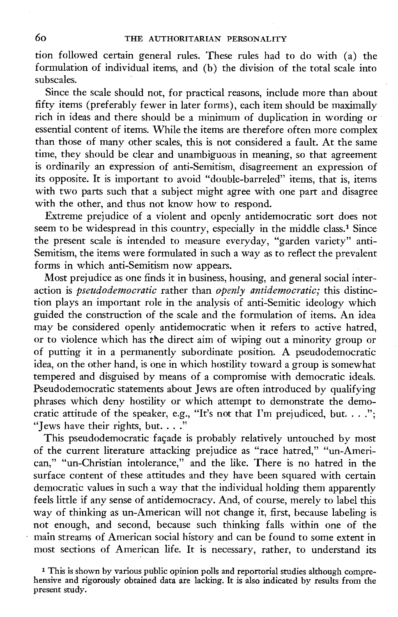60 THE AUTHORITARIAN PERSONALITY<br>tion followed certain general rules. These rules had to do with (a) the<br>formulation of individual items, and (b) the division of the total scale into<br>subscales.<br>Since the scale should not, tion followed certain general rules. These rules had to do with (a) the formulation of individual items, and (b) the division of the total scale into subscales.<br>Since the scale should not, for practical reasons, include mo

subscales.<br>Since the scale should not, for practical reasons, include more than about<br>fifty items (preferably fewer in later forms), each item should be maximally<br>rich in ideas and there should be a minimum of duplication rich in ideas and there should be a minimum of duplication in wording or essential content of items. While the items are therefore often more complex than those of many other scales, this is not considered a fault. At the time, they should be clear and unambiguous in meaning, so that agreement its opposite. It is important to avoid "double-barreled" items, that is, items with two parts such that a subject might agree with one part and disagree with the other, and thus not know how to respond. with two parts such that a subject might agree with one part and disagree

Extreme prejudice of a violent and openly antidemocratic sort does not seem to be widespread in this country, especially in the middle class.<sup>1</sup> Since the present scale is intended to measure everyday, "garden variety" anti-Semitism, the items were formulated in such a way as to reflect the prevalent forms in which anti-Semitism now appears. Semitism, the items were formulated in such a way as to reflect the prevalent forms in which anti-Semitism now appears.<br>Most prejudice as one finds it in business, housing, and general social inter-

action is *pseudodemocratic* rather than *openly antidemocratic*; this distinction plays an important role in the analysis of anti-Semitic ideology which guided the construction of the scale and the formulation of items. An idea may be considered openly antidemocratic when it refers to active hatred, guided the construction of the scale and the formulation of items. An idea may be considered openly antidemocratic when it refers to active hatred, or to violence which has the direct aim of wiping out a minority group or of putting it in a permanently subordinate position. A pseudodemocratic<br>idea, on the other hand, is one in which hostility toward a group is somewhat<br>tempered and disguised by means of a compromise with democratic ideals. idea, on the other hand, is one in which hostility toward a group is somewhat<br>tempered and disguised by means of a compromise with democratic ideals.<br>Pseudodemocratic statements about Jews are often introduced by qualifyin Pseudodemocratic statements about Jews are often introduced by qualifying phrases which deny hostility or which attempt to demonstrate the demo- $\cdot$  .  $\cdot$  ;

phrases which deny hostility or which attempt to demonstrate the demo-<br>cratic attitude of the speaker, e.g., "It's not that I'm prejudiced, but....";<br>"Jews have their rights, but...."<br>This pseudodemocratic façade is probab surface content of these attitudes and they have been squared with certain<br>democratic values in such a way that the individual holding them apparently<br>feels little if any sense of antidemocracy. And, of course, merely to l democratic values in such a way that the individual holding them apparently<br>feels little if any sense of antidemocracy. And, of course, merely to label this<br>way of thinking as un-American will not change it, first, because way of thinking as un-American will not change it, first, because labeling is not enough, and second, because such thinking falls within one of the main streams of American social history and can be found to some extent in most sections of American life. It is necessary, rather, to understand its<br><sup>1</sup> This is shown by various public opinion polls and reportorial studies although compre-

most sections of American life. It is necessary, rather, to understand its<br><sup>1</sup> This is shown by various public opinion polls and reportorial studies although compre-<br>hensive and rigorously obtained data are lacking. It is present study.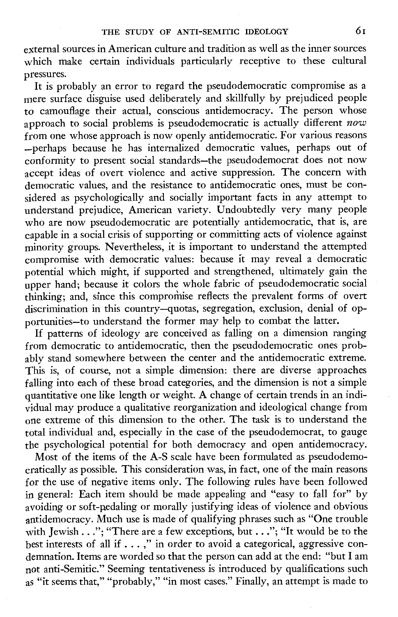THE STUDY OF ANTI-SEMITIC IDEOLOGY 61<br>external sources in American culture and tradition as well as the inner sources<br>which make certain individuals particularly receptive to these cultural<br>pressures.<br>It is probably an err

mere surface disguise used deliberately and skillfully by prejudiced people<br>to camouflage their actual, conscious antidemocracy. The person whose<br>approach to social problems is pseudodemocratic is actually different *now*<br> approach to social problems is pseudodemocratic is actually different now<br>from one whose approach is now openly antidemocratic. For various reasons<br>-perhaps because he has internalized democratic values, perhaps out of<br>con perhaps because he has internalized democratic values, perhaps out of conformity to present social standards—the pseudodemocratic does not now accept ideas of overt violence and active suppression. The concern with democra accept ideas of overt violence and active suppression. The concern with democratic values, and the resistance to antidemocratic ones, must be con-<br>sidered as psychologically and socially important facts in any attempt to<br>u understand prejudice, American variety. Undoubtedly very many people who are now pseudodemocratic are potentially antidemocratic, that is, are capable in a social crisis of supporting or committing acts of violence against minority groups. Nevertheless, it is important to understand the attempted compromise with democratic values: because it may reveal a democratic potential which might, if supported and strengthened, ultimately gain the compromise with democratic values: because it may reveal a democratic<br>potential which might, if supported and strengthened, ultimately gain the<br>upper hand; because it colors the whole fabric of pseudodemocratic social<br>thin thinking; and, since this compromise reflects the prevalent forms of overt discrimination in this country-quotas, segregation, exclusion, denial of opportunities-to understand the former may help to combat the latter.

If patterns of ideology are conceived as falling on a dimension ranging from democratic to antidemocratic, then the pseudodemocratic ones probably stand somewhere between the center and the antidemocratic extreme.<br>This is, of course, not a simple dimension: there are diverse approaches falling into each of these broad categories, and the dimension is not a simpl quantitative one like length or weight. A change of certain trends in an individual may produce a qualitative reorganization and ideological change from<br>one extreme of this dimension to the other. The task is to understand the<br>total individual and, especially in the case of the pseudodemocrat, to g one extreme of this dimension to the other. The task is to understand the

one extreme of this dimension to the other. The task is to understand the total individual and, especially in the case of the pseudodemocrat, to gauge the psychological potential for both democracy and open antidemocracy. in general: Each item should be made appealing and "easy to fall for" by avoiding or soft-pedaling or morally justifying ideas of violence and obvious antidemocracy. Much use is made of qualifying phrases such as "One trou in general: Each item should be made appealing and "easy to fall for" by avoiding or soft-pedaling or morally justifying ideas of violence and obvious antidemocracy. Much use is made of qualifying phrases such as "One trou avoiding or soft-pedaling or morally justifying ideas of violence and obvious antidemocracy. Much use is made of qualifying phrases such as "One trouble with Jewish . . ."; "There are a few exceptions, but . . ."; "It wou with Jewish . . ."; "There are a few exceptions, but . . ."; "It would be to the best interests of all if . . . ," in order to avoid a categorical, aggressive con-<br>demnation. Items are worded so that the person can add at best interests of all if ...," in order to avoid a categorical, aggressive con-<br>demnation. Items are worded so that the person can add at the end: "but I am<br>not anti-Semitic." Seeming tentativeness is introduced by qualifi not anti-Semitic." Seeming tentativeness is introduced by qualifications such as "it seems that," "probably," "in most cases." Finally, an attempt is made to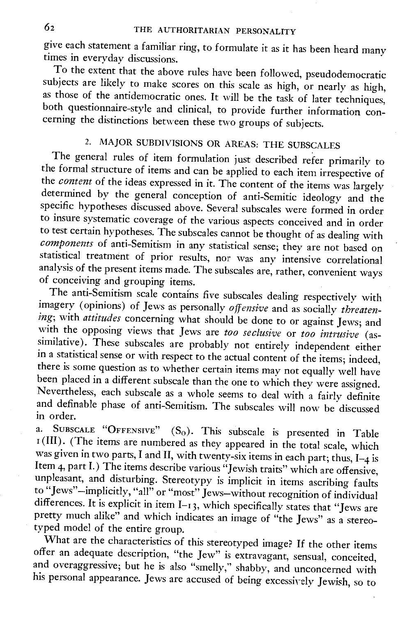62 THE AUTHORITARIAN PERSONALITY<br>give each statement a familiar ring, to formulate it as it has been heard many<br>times in everydav discussions.

give each statement a familiar ring, to formulate it as it has been heard many<br>times in everyday discussions.<br>To the extent that the above rules have been followed, pseudodemocratic<br>subjects are likely to make scores on th times in everyday discussions.<br>To the extent that the above rules have been followed, pseudodemocration<br>biects are likely to make scores on this scale as high, or nearly as high<br>as those of the antidemocratic ones. It will subjects are likely to make scores on this scale as high, or nearly as high, subjects are likely to make scores on this scale as high, or nearly as high<br>as those of the antidemocratic ones. It will be the task of later techniques<br>both questionnaire-style and clinical, to provide further information both questionnaire-style and clinical, to provide further information concerning the distinctions between these two groups of subjects.<br>2. MAIOR SURDIVISIONS OP AREAS, THE SURGALES cerning the distinctions between these two groups of subjects.

# MAJOR SUBDIVISIONS OR AREAS: THE SUBSCALES

two groups of subjects.<br>2. MAJOR SUBDIVISIONS OR AREAS: THE SUBSCA<br>neral rules of item formulation just described refer<br>1 structure of items and can be applied to each item i 2. MAJOK SUBDIVISIONS OR AREAS: THE SUBSCALES<br>The general rules of item formulation just described refer pr<br>e formal structure of items and can be applied to each item irres<br>e *content* of the ideas expressed in it. The co The general rules of item formulation just described refer primarily to<br>the formal structure of items and can be applied to each item irrespective of<br>the *content* of the ideas expressed in it. The content of the items was the formal structure of items and can be applied to each item irrespective of<br>the *content* of the ideas expressed in it. The content of the items was largely<br>determined by the general conception of anti-Semitic ideology a specific hypotheses discussed above. Several subscales were formed in order<br>to insure systematic coverage of the various aspects conceived and in order<br>to test certain hypotheses. The subscales cannot be thought of as deal to fisure systematic coverage of the various aspects conceived and in order<br>to test certain hypotheses. The subscales cannot be thought of as dealing with<br>components of anti-Semitism in any statistical sense; they are not s cannot be thought of as dealing with<br>tatistical sense; they are not based on<br>nor was any intensive correlational<br>subscales are, rather, convenient ways to test certain hypotheses. The subscales cannot be thought of as dealing with *components* of anti-Semitism in any statistical sense; they are not based on statistical treatment of prior results, nor was any intensive cor statistical treatment of prior results, nor was any intensive correlational<br>analysis of the present items made. The subscales are, rather, convenient ways<br>of conceiving and grouping items.<br>The anti-Semitism scale contains

subscales are, rather, convenient ways<br>of conceiving and grouping items.<br>The anti-Semitism scale contains five subscales dealing respectively with<br>imagery (opinions) of Jews as personally *offensive* and as socially *threa* e subscales dealing respectively with<br>lly *offensive* and as socially *threaten*-<br>ould be done to or against Jews; and<br>re *too seclusive* or *too intrusive* (as-<br>bly not entirely independent cither imagery (opinions) of Jews as personally *offensive* and as socially *threaten-* ing; with *attitudes* concerning what should be done to or against Jews; and with the opposing views that Jews are *too seclusive* or *too in* with the opposing views that Jews are *too seclusive* or *too intrusive* (as-<br>similative). These subscales are probably not entirely independent either<br>in a statistical sense or with respect to the actual content of the it similative). I hese subscales are probably not entirely independent either in a statistical sense or with respect to the actual content of the items; indeed, there is some question as to whether certain items may not equal In a statistical sense or with respect to the actual content of the items; indeed<br>there is some question as to whether certain items may not equally well have<br>been placed in a different subscale than the one to which they there is some question as to whether certain items may not equally well have<br>been placed in a different subscale than the one to which they were assigned.<br>Nevertheless, each subscale as a whole seems to deal with a fairly and definable phase of anti-Semitism. The subscales will now be discussed<br>in order.<br>a. SUBSCALE "OFFENSIVE"  $(S_0)$ . This subscale is presented in Table

in order.<br>a. SUBSCALE "OFFENSIVE"  $(S_0)$ . This subscale is presented in Table  $r(III)$ . (The items are numbered as they appeared in the total scale, which in order.<br>
a. SUBSCALE "OFFENSIVE" (S<sub>0</sub>). This subscale is presented in Table  $I(III)$ . (The items are numbered as they appeared in the total scale, which<br>
was given in two parts, I and II, with twenty-six items in each pa  $t_1$ (111). (The items are numbered as they appeared in the total scale, which was given in two parts, I and II, with twenty-six items in each part; thus, I–4 is Item 4, part I.) The items describe various "Jewish traits" The translap various "Jewish traits" which are offensive, unpleasant, and disturbing. Stereotypy is implicit in items ascribing faults to "Jews"—implicitly, "all" or "most" Jews—without recognition of individual difference unpleasant, and disturbing. Stereotypy is implicit in items ascribing faults to "Jews"—implicitly, "all" or "most" Jews—without recognition of individual differences. It is explicit in item I–13, which specifically states pretty much alike" and which indicates an image of "the Jews" as a stereo-

pretty much alike" and which indicates an image of "the Jews" as a stereo-<br>typed model of the entire group.<br>What are the characteristics of this stereotyped image? If the other items<br>offer an adequate description, "the Jew ped model or the entire group.<br>What are the characteristics of this stereotyped<br>fer an adequate description, "the Jew" is extra<br>d overaggressive; but he is also "smelly," shabl<br>personal appearance. Jews are accused of bein what are the characteristics of this stereotyped image? If the other items offer an adequate description, "the Jew" is extravagant, sensual, conceited and overaggressive; but he is also "smelly," shabby, and unconcerned wi when shabby, and unconcerned with the shabby, and unconcerned with the shabby. his personal appearance. Jews are accused of being excessively Jewish, so to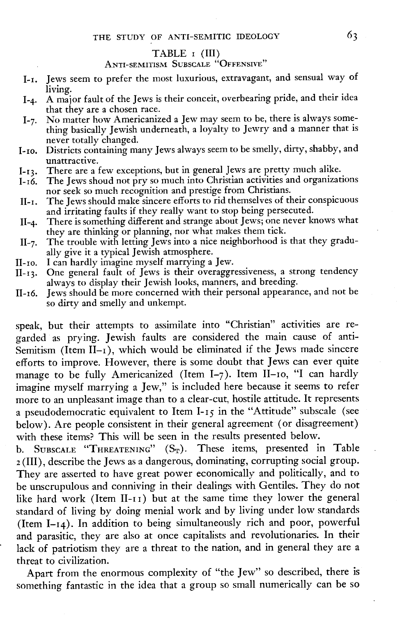- 
- THE STUDY OF ANTI-SEMITIC IDEOLOGY<br>
TABLE <sup>1</sup> (III)<br>
I-1. Jews seem to prefer the most luxurious, extravagant, and sensual way of<br>
living.<br>
1-4. A major fault of the Jews is their conceit, overbearing pride, and their idea
- that they are a chosen race.<br>
1-7. No matter how Americanized a Jew may seem to be, there is always some-<br>
thing basically Jewish underneath, a loyalty to Jewry and a manner that is<br>
never totally changed.<br>
1-10. Districts thing basically Jewish underneath, a loyalty to Jewry and a manner that is<br>never totally changed.<br>Districts containing many Jews always seem to be smelly, dirty, shabby, and
- never totally changed.<br>
I-10. Districts containing many Jews always seem to be smelly, dirty, shabby, an<br>
unattractive.<br>
I-12. There are a few exceptions, but in general Iews are pretty much alike. Districts containing many Jews always seem to be smelly, dirty, shabby, and<br>unattractive.<br>There are a few exceptions, but in general Jews are pretty much alike.
- 
- Unattractive.<br>
1-13. There are a few exceptions, but in general Jews are pretty much alike.<br>
1-16. The Jews shoud not pry so much into Christian activities and organization<br>
11-1. The Jews should make sincere efforts to ri The Jews shoud not pry so much into Christian activities and organizations<br>nor seek so much recognition and prestige from Christians.<br>The Jews should make sincere efforts to rid themselves of their conspicuous.
- nor seek so much recognition and prestige from Christians.<br>II-1. The Jews should make sincere efforts to rid themselves of their conspicuou<br>and irritating faults if they really want to stop being persecuted.<br>II-4. There is The Jews should make sincere efforts to rid themselves of their conspicuous<br>and irritating faults if they really want to stop being persecuted.<br>There is something different and strange about Jews; one never knows what
- and irritating faults if they really want to stop being persecuted.<br>
II-4. There is something different and strange about Jews; one never knows what<br>
they are thinking or planning, nor what makes them tick.<br>
II-7. The trou There is something different and strange about Jews; one never knows what they are thinking or planning, nor what makes them tick.<br>The trouble with letting Jews into a nice neighborhood is that they gradu-
- $11$ -7. The trouble with letting Jews into a nice neighborhood is that they gradu<br>ally give it a typical Jewish atmosphere.<br>-10. I can hardly imagine myself marrying a Jew.
- 
- ally give it a typical Jewish atmosphere.<br>II-10. I can hardly imagine myself marrying a Jew.<br>II-13. One general fault of Jews is their overaggressiveness, a strong tendence II-10. I can hardly imagine myself marrying a Jew.<br>II-13. One general fault of Jews is their overaggial<br>always to display their Jewish looks, manner One general fault of Jews is their overaggressiveness, a strong tendency<br>always to display their Jewish looks, manners, and breeding.<br>Lews should be more concerned with their personal appearance, and not be
- always to display their Jewish looks, manners, and breeding.<br>II-16. Jews should be more concerned with their personal appearance, and not be<br>so dirty and smelly and unkempt.<br>Speak. but their attempts to assimilate into "Ch

so dirty and smelly and unkempt.<br>speak, but their attempts to assimilate into "Christian" activities are re-<br>garded as prying. Jewish faults are considered the main cause of anti-Semitism (Item II-1), which would be eliminated if the Jews made sincere efforts to improve. However, there is some doubt that Jews can ever quite Semitism (Item II–1), which would be eliminated if the Jews made sincere<br>efforts to improve. However, there is some doubt that Jews can ever quite<br>manage to be fully Americanized (Item I–7). Item II–10, "I can hardly efforts to improve. However, there is some doubt that Jews can ever quite<br>manage to be fully Americanized (Item I-7). Item II-10, "I can hardly<br>imagine myself marrying a Jew," is included here because it seems to refe<br>more imagine myself marrying a Jew," is included here because it seems to refer more to an unpleasant image than to a clear-cut, hostile attitude. It represents a pseudodemocratic equivalent to Item I-15 in the "Attitude" subs more to an unpleasant image than to a clear-cut, hostile attitude. It represents<br>a pseudodemocratic equivalent to Item I-15 in the "Attitude" subscale (see<br>below). Are people consistent in their general agreement (or disa a pseudodemocratic equivalent to Item I-15 in the "Attitude" subscale (see<br>below). Are people consistent in their general agreement (or disagreement)<br>with these items? This will be seen in the results presented below.

below). Are people consistent in their general agreement (or disagreement) with these items? This will be seen in the results presented below.<br>b. SUBSCALE "THREATENING" (S<sub>T</sub>). These items, presented in Tabl  $_2$ (III), de b. SUBSCALE "THREATENING" (S<sub>T</sub>). These items, presented<br>2(III), describe the Jews as a dangerous, dominating, corrupting soc<br>They are asserted to have great power economically and political  $($ S<sub>T</sub>). These items, presented in Table angerous, dominating, corrupting social group.<br>
at power economically and politically, and to<br>
g in their dealings with Gentiles. They do not 2(III), describe the Jews as a dangerous, dominating, corrupting social group.<br>They are asserted to have great power economically and politically, and to<br>be unscrupulous and conniving in their dealings with Gentiles. They be unscrupulous and conniving in their dealings with Gentiles. They do not like hard work (Item II-11) but at the same time they lower the general standard of living by doing menial work and by living under low standards (Item I-14). In addition to being simultaneously rich and poor, powerful and parasitic, they are also at once capitalists and revolutionaries. In their lack of patriotism they are a threat to the nation, and in general they are a threat to civilization. lack of patriotism they are a threat to the nation, and in general they are a<br>threat to civilization.<br>Apart from the enormous complexity of "the Jew" so described, there is

threat to civilization.<br>Apart from the enormous complexity of "the Jew" so described, there is<br>something fantastic in the idea that a group so small numerically can be so something fantastic in the idea that a group so small numerically can be so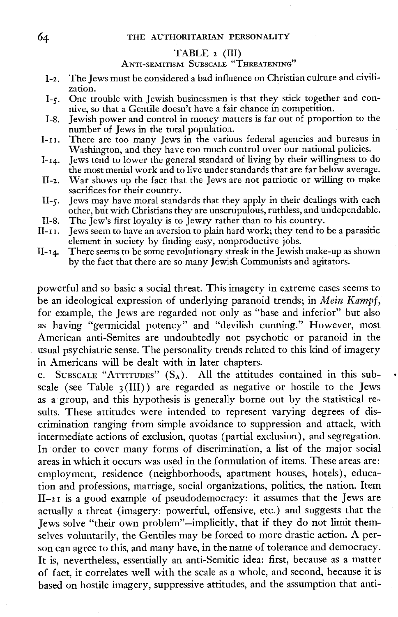- THE AUTHORITARIAN PERSONALITY<br>
TABLE 2 (III)<br>
ANTI-SEMITISM SUBSCALE "THREATENING"<br>
I-2. The Jews must be considered a bad influence on Christian culture and civili-<br>
zation.<br>
I-5. One trouble with Jewish businessmen is th TABLE 2 (III)<br>
ANTI-SEMITISM SUBSCALE "THREATENING"<br>
1-2. The Jews must be considered a bad influence on Christian culture and civili-<br>
2. The Jews must be considered a bad influence on Christian culture and con-<br>
1-5. One
- nive, so that a Gentile doesn't have a fair chance in competition.<br>I-8. Iewish power and control in money matters is far out of propor One trouble with Jewish businessmen is that they stick together and con-<br>nive, so that a Gentile doesn't have a fair chance in competition.<br>Jewish power and control in money matters is far out of proportion to the
- nive, so that a Gentile doesn't have a fair chance in competition.<br>I-8. Jewish power and control in money matters is far out of proportion to the number of Jews in the total population. It is a Jewish power and control in money matters is far out of proportion to the number of Jews in the total population.<br>There are too many Jews in the various federal agencies and bureaus in
- number of Jews in the total population.<br>
I-11. There are too many Jews in the various federal agencies and bureaus i<br>
Washington, and they have too much control over our national policies.<br>
I-14. Jews tend to lower the gen There are too many Jews in the various federal agencies and bureaus in<br>Washington, and they have too much control over our national policies.<br>4. Jews tend to lower the general standard of living by their willingness to do<br>
- 
- Washington, and they have too much control over our national policies.<br>
1-14. Jews tend to lower the general standard of living by their willingness to do<br>
the most menial work and to live under standards that are far belo the most menial work and to live under standards that are far below average.<br>II-2. War shows up the fact that the Jews are not patriotic or willing to make<br>sacrifices for their country.<br>II-5. Jews may have moral standards
- sacrifices for their country.<br>
11-5. Jews may have moral standards that they apply in their dealings with each<br>
other, but with Christians they are unscrupulous, ruthless, and undependable.<br>
11-8. The Jew's first loyalty i
- 
- other, but with Christians they are unscrupulous, ruthless, and undependable.<br>II-8. The Jew's first loyalty is to Jewry rather than to his country.<br>II-11. Jews seem to have an aversion to plain hard work; they tend to be a
- Jews seem to have an aversion to plain hard work; they tend to be a parasitic<br>element in society by finding easy, nonproductive jobs.<br>There seems to be some revolutionary streak in the Jewish make-up as shown<br>by the fact t element in society by finding easy, nonproductive jobs.<br>II-14. There seems to be some revolutionary streak in the Jewish make-up as shown<br>by the fact that there are so many Jewish Communists and agitators.

by the fact that there are so many Jewish Communists and agitators.<br>powerful and so basic a social threat. This imagery in extreme cases seems to<br>be an ideological expression of underlying paranoid trends; in Mein Kampf, for example, the Jews are regarded not only as "base and inferior" but also as having "germicidal potency" and "devilish cunning." However, most American anti-Semites are undoubtedly not psychotic or paranoid in the usual American anti-Semites are undoubtedly not psychotic or paranoid in the usual psychiatric sense. The personality trends related to this kind of imagery in Americans will be dealt with in later chapters.<br>c. SUBSCALE "ATTITU

usual psychiatric sense. The personality trends related to this kind of imagery<br>in Americans will be dealt with in later chapters.<br>c. SUBSCALE "ATTITUDES" (S<sub>A</sub>). All the attitudes contained in this sub-<br>scale (see Table in Americans will be dealt with in later chapters.<br>c. SUBSCALE "ATTITUDES" (S<sub>A</sub>). All the attitudes contained in this sub-<br>scale (see Table  $\frac{1}{3}$ (III)) are regarded as negative or hostile to the Jews<br>as a group, and scale (see Table  $3(III)$ ) are regarded as negative or hostile to the Jews<br>as a group, and this hypothesis is generally borne out by the statistical re-<br>sults. These attitudes were intended to represent varying degrees of d as a group, and this hypothesis is generally borne out by the statistical re-<br>sults. These attitudes were intended to represent varying degrees of dis-<br>crimination ranging from simple avoidance to suppression and attack, w crimination ranging from simple avoidance to suppression and attack, with intermediate actions of exclusion, quotas (partial exclusion), and segregation. In order to cover many forms of discrimination, a list of the major social areas in which it occurs was used in the formulation of items. These areas are:<br>employment, residence (neighborhoods, apartment houses, hotels), ed tion and professions, marriage, social organizations, politics, the nation. Item II-21 is a good example of pseudodemocracy: it assumes that the Jews are actually a threat (imagery: powerful, offensive, etc.) and suggests that the Jews solve "their own problem"—implicitly, that if they do not limit themselves voluntarily, the Gentiles may be forced to more drastic action. A of fact, it correlates well with the scale as a whole, and second, because it is of fact, it correlates well with the scale as a whole, and second, because it is<br>based on hostile imagery, suppressive attitudes, and the assumption that antibased on hostile imagery, suppressive attitudes, and the assumption that anti-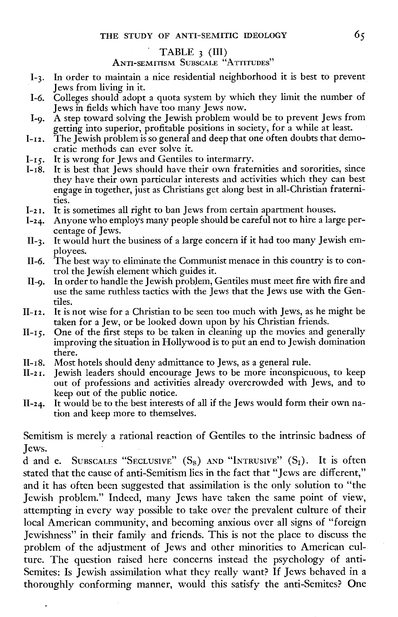- THE STUDY OF ANTI-SEMITIC IDEOLOGY 65<br>
TABLE 3 (III)<br>
ANTI-SEMITISM SUBSCALE "ATTITUDES"<br>
In order to maintain a nice residential neighborhood it is best to prevent<br>
Jews from living in it.<br>
Colleges should adopt a quota s
- F-3. In order to maintain a nice residential neighborhood it is best to prevent<br>Jews from living in it.<br>I-6. Colleges should adopt a quota system by which they limit the number of<br>Jews in fields which have too many Jews no
- Jews in fields which have too many Jews now.<br>1-9. A step toward solving the Jewish problem would be to prevent Jews from getting into superior, profitable positions in society, for a while at least.
- 
- 
- getting into superior, profitable positions in society, for a while at least.<br>
I-12. The Jewish problem is so general and deep that one often doubts that demo-<br>
cratic methods can ever solve it.<br>
I-15. It is wrong for Jews they have their own particular interests and activities which they can best engage in together, just as Christians get along best in all-Christian fraternities.<br>It is sometimes all right to ban Jews from certain apartment
- 
- ties.<br>I-21. It is sometimes all right to ban Jews from certain apartment houses.<br>I-24. Anyone who employs many people should be careful not to hire a large per<br>centage of Jews. I-24. Anyone who employs many people should be careful not to hire a large per-<br>centage of Jews.<br>II-3. It would hurt the business of a large concern if it had too many Jewish em-Anyone who employs many people should be careful not to hire a large per-<br>centage of Jews.<br>It would hurt the business of a large concern if it had too many Jewish em-
- centage of Jews.<br>II-3. It would hurt the business of a large concern if it had too many Jewish em<br>ployees. It would hurt the business of a large concern if it had too many Jewish employees.<br>In the best way to eliminate the Communist menace in this country is to con-
- ployees.<br>
The best way to eliminate the Communist menace in this country is to con-<br>
trol the Jewish element which guides it.<br>
In order to handle the Jewish problem. Gentiles must meet fire with fire and II-6. The best way to eliminate the Communist menace in this country is to control the Jewish element which guides it.<br>II-9. In order to handle the Jewish problem, Gentiles must meet fire with fire and
- trol the Jewish element which guides it.<br>11-9. In order to handle the Jewish problem, Gentiles must meet fire with fire and<br>use the same ruthless tactics with the Jews that the Jews use with the Gen-<br>tiles.
- use the same ruthless tactics with the Jews that the Jews use with the Gen-<br>tiles.<br>II-12. It is not wise for a Christian to be seen too much with Jews, as he might be<br>taken for a Jew, or be looked down upon by his Christia
- taken for a Jew, or be looked down upon by his Christian friends.<br>
II-15. One of the first steps to be taken in cleaning up the movies and generally<br>
improving the situation in Hollywood is to put an end to Jewish dominat
- 
- improving the situation in Hollywood is to put an end to Jewish domination<br>there.<br>II-18. Most hotels should deny admittance to Jews, as a general rule.<br>II-21. Jewish leaders should encourage Jews to be more inconspicuous, out of professions and activities already overcrowded with Jews, and to keep out of the public notice.<br>It would be to the best interests of all if the Jews would form their own nation and keep more to themselves.
- keep out of the public notice.<br>II-24. It would be to the best interests of all if the Jews would form their own nation and keep more to themselves.<br>Semitism is merely a rational reaction of Gentiles to the intrinsic badnes

Jews.<br>d and e. SUBSCALES "SECLUSIVE"  $(S_8)$  AND "INTRUSIVE"  $(S_1)$ . It is often<br>stated that the cause of anti-Semitism lies in the fact that "Jews are different,"<br>and it has often been suggested that assimilation is the o stated that the cause of anti-Semitism lies in the fact that "Jews are different," and it has often been suggested that assimilation is the only solution to "the Jewish problem." Indeed, many Jews have taken the same point attempting in every way possible to take over the prevalent culture of their Jewishness" in their family and friends. This is not the place to discuss the problem of the adjustment of Jews and other minorities to American cul-Jewishness" in their family and friends. This is not the place to discuss the problem of the adjustment of Jews and other minorities to American culture. The question raised here concerns instead the psychology of anti-Sem Semites: Is Jewish assimilation what they really want? If Jews behaved in a<br>thoroughly conforming manner, would this satisfy the anti-Semites? One<br> thoroughly conforming manner, would this satisfy the anti-Semites? One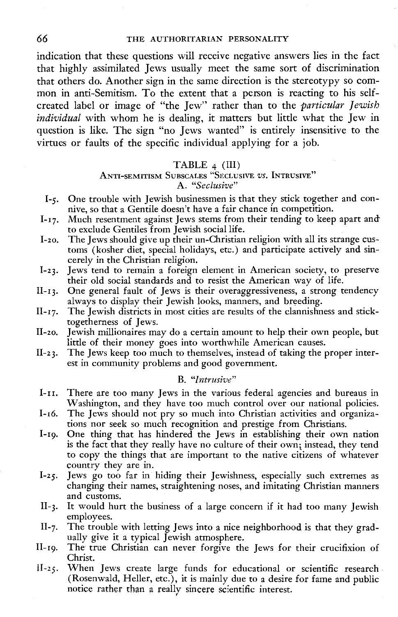66 THE AUTHORITARIAN PERSONALITY<br>indication that these questions will receive negative answers lies in the fact<br>that highly assimilated Jews usually meet the same sort of discrimination<br>that others do. Another sign in the indication that these questions will receive negative answers lies in the fact<br>that highly assimilated Jews usually meet the same sort of discrimination<br>that others do. Another sign in the same direction is the stereotypy that others do. Another sign in the same direction is the stereotypy so com-<br>mon in anti-Semitism. To the extent that a person is reacting to his self-<br>created label or image of "the Jew" rather than to the *particular Jew* created label or image of "the Jew" rather than to the *particular Jewish*<br>individual with whom he is dealing, it matters but little what the Jew in<br>question is like. The sign "no Jews wanted" is entirely insensitive to th individual with whom he is dealing, it matters but little what the Jew is question is like. The sign "no Jews wanted" is entirely insensitive to the virtues or faults of the specific individual applying for a job.<br>TABLE 4 question is like. The sign "no Jews wanted" is entirely insensitive to the<br>virtues or faults of the specific individual applying for a job.<br>TABLE 4 (III)<br>ANTI-SEMITISM SUBSCALES "SECLUSIVE VS. INTRUSIVE"

- ANTI-SEMITISM SUBSCALES "SECLUSIVE *vs*. INTRUSIVE"<br>A. "Seclusive"<br>apply with Jewish businessmen is that they stick togen
- 1-5. One trouble with Jewish businessmen is that they stick together and con-<br>nive, so that a Gentile doesn't have a fair chance in competition.<br>I-17. Much resentment against Jews stems from their tending to keep apart and Much resentment against Jews stems from their tending to keep apart and<br>to exclude Gentiles from Jewish social life.<br>The Jews should give up their un-Christian religion with all its strange cus-
- to exclude Gentiles from Jewish social life.<br>
1-20. The Jews should give up their un-Christian religion with all its strange cus-<br>
toms (kosher diet, special holidays, etc.) and participate actively and sin-<br>
cerely in the toms (kosher diet, special holidays, etc.) and participate actively and sin-
- cerely in the Christian religion.<br>Jews tend to remain a foreign element in American society, to preserve<br>their old social standards and to resist the American way of life.<br>One general fault of Iews is their overaggressiven I-23. Jews tend to remain a foreign element in American society, to their old social standards and to resist the American way of life.<br>II-13. One general fault of Jews is their overaggressiveness, a strong to
- II-13. One general fault of Jews is their overaggressiveness, a strong tendency always to display their Jewish looks, manners, and breeding.<br>II-17. The Jewish districts in most cities are results of the clannishness and st
- 
- II-17. The Jewish districts in most cities are results of the clannishness and stick-<br>togetherness of Jews.<br>II-20. Jewish millionaires may do a certain amount to help their own people, but<br>little of their money goes into togetherness of Jews.<br>Jewish millionaires may do a certain amount to help their own people, but<br>little of their money goes into worthwhile American causes.<br>The Jews keep too much to themselves instead of taking the proper little of their money goes into worthwhile American causes.
- little of their money goes into worthwhile American causes.<br>The Jews keep too much to themselves, instead of taking the proper inter-<br>est in community problems and good government. Il-23. The Jews keep too much to themselves, instead of taking the est in community problems and good government. The Jews keep too much to themselves, instead of taking the proper inter-<br>est in community problems and good government. est in community problems and good government.<br>
B. "Intrusive"

- B. "Intrusive"<br>I-11. There are too many Jews in the various federal agencies and bureaus in
- Washington, and they have too much control over our national policies.<br>The Jews should not pry so much into Christian activities and organizations nor seek so much recognition and prestige from Christians.
- I-16. The Jews should not pry so much into Christian activities and organizations nor seek so much recognition and prestige from Christians.<br>I-19. One thing that has hindered the Jews in establishing their own nation is th One thing that has hindered the Jews in establishing their own nation I-19. One thing that has hindered the Jews in establishing their own nation<br>is the fact that they really have no culture of their own; instead, they tend<br>to copy the things that are important to the native citizens of what is the fact that they really have no culture of their own; instead, they tend<br>to copy the things that are important to the native citizens of whatever<br>country they are in.<br>[-25. Jews go too far in hiding their Jewishness,
- changing their names, straightening noses, and imitating Christian manners and customs.<br>It would hurt the business of a large concern if it had too many Jewish<br>employees.
- II-3. It would hurt the business of a large concern if it had too many Jewish employees.<br>II-7. The trouble with letting Jews into a nice neighborhood is that they grad-
- 
- employees.<br>
11-7. The trouble with letting Jews into a nice neighborhood is that they grad-<br>
11-19. The true Christian can never forgive the Jews for their crucifixion of<br>
Christ.<br>
11-25. When Jews create large funds for e
- Christ.<br>II-25. When Jews create large funds for educational or scientific research<br>(Rosenwald, Heller, etc.), it is mainly due to a desire for fame and public (Rosenwald, Heller, etc.), it is mainly due to a desire for fame and public notice rather than a really sincere scientific interest.

66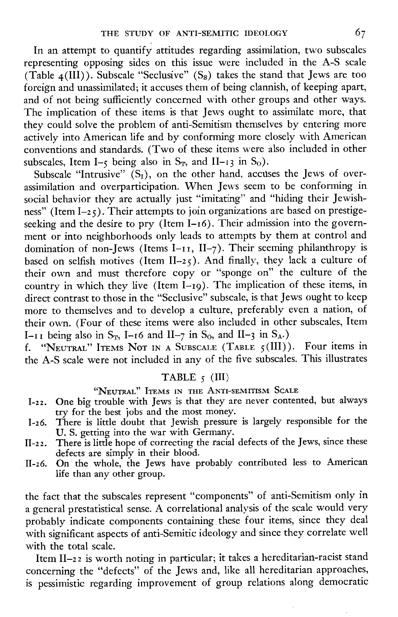THE STUDY OF ANTI-SEMITIC IDEOLOGY 67<br>In an attempt to quantify attitudes regarding assimilation, two subscales<br>representing opposing sides on this issue were included in the A-S scale<br>(Table 4(III)). Subscale "Seclusive" and of not being sufficiently concerned with other groups and other ways. they could solve the problem of anti-Semitism themselves by entering more actively into American life and by conforming more closely with American conventions and standards. (Two of these items were also included in other subscales, Item I-5 being also in  $S_T$ , and II-13 in  $S_O$ ).<br>Subscale "Intrusive" ( $S_T$ ), on the other hand, accuses the Jews of over-

assimilation and overparticipation. When Iews seem to be conforming in social behavior they are actually just "imitating" and "hiding their Jewishness" (Item I-25). Their attempts to join organizations are based on prestige-<br>seeking and the desire to pry (Item I-16). Their admission into the ness" (Item I-25). Their attempts to join organizations are based on prestige-<br>seeking and the desire to pry (Item I-16). Their admission into the govern-<br>ment or into neighborhoods only leads to attempts by them at contr ment or into neighborhoods only leads to attempts by them at control and ment or into neighborhoods only leads to attempts by them at control and<br>domination of non-Jews (Items I–11, II–7). Their seeming philanthropy is<br>based on selfish motives (Item II–25). And finally, they lack a culture of domination of non-Jews (Items I–11, II–7). Their seeming philanthropy is<br>based on selfish motives (Item II–25). And finally, they lack a culture of<br>their own and must therefore copy or "sponge on" the culture of the<br>countr their own and must therefore copy or "sponge on" the culture of the country in which they live (Item I-19). The implication of these items, in direct contrast to those in the "Seclusive" subscale, is that Jews ought to kee country in which they live (Item I–19). The implication of these items, in<br>direct contrast to those in the "Seclusive" subscale, is that Jews ought to keep<br>more to themselves and to develop a culture, preferably even a nat direct contrast to those in the "Seclusive" subscale, is that Jews ought to keep<br>more to themselves and to develop a culture, preferably even a nation, of<br>their own. (Four of these items were also included in other subsca more to themselves and to develop a culture, preferably even a nation, of their own. (Four of these items were also included in other subscales, Item I-11 being also in S<sub>T</sub>, I-16 and II-7 in S<sub>0</sub>, and II-3 in S<sub>A</sub>.) f. "

I—II being also in S<sub>T</sub>, I—16 and II—7 in S<sub>0</sub>, and II—3 in S<sub>A</sub>.)<br>f. "NEUTRAL" ITEMS NOT IN A SUBSCALE (TABLE  $5$  (III)). Four items in<br>the A-S scale were not included in any of the five subscales. This illustrates<br>TABLE

- 
- TABLE  $_5$  (III)<br>
"NEUTRAL" ITEMS IN THE ANTI-SEMITISM SCALE<br>
I-22. One big trouble with Jews is that they are never contented, but always<br>
try for the best jobs and the most money.<br>
I-26. There is little doubt that Jewis
- U. S. getting into the war with Germany.<br>
II-22. There is little hope of correcting the racial defects of the Jews, since these<br>
defects are simply in their blood.<br>
II-26. On the whole, the Jews have probably contributed l
- defects are simply in their blood.<br>II-26. On the whole, the Jews have probably contributed less to American<br>life than any other group.<br>the fact that the subscales represent "components" of anti-Semitism only in

a general prestatistical sense. A correlational analysis of the scale would very a general prestatistical sense. A correlational analysis of the scale would very<br>probably indicate components containing these four items, since they deal<br>with significant aspects of anti-Semitic ideology and since they co with significant aspects of anti-Semitic ideology and since they correlate well<br>with the total scale.<br>Item II-22 is worth noting in particular; it takes a hereditarian-racist stand

concerning the "defects" of the Jews and, like all hereditarian approaches, is pessimistic regarding improvement of group relations along democratic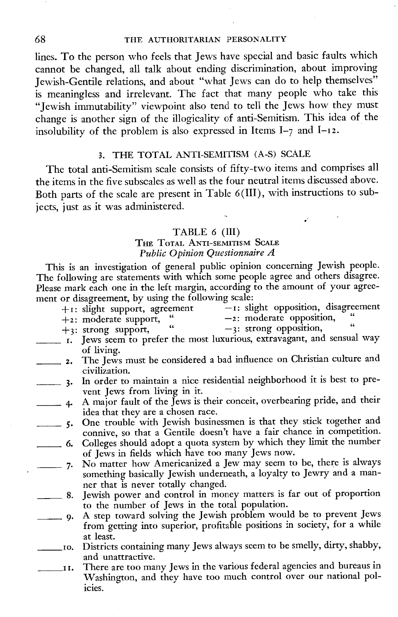68 THE AUTHORITARIAN PERSONALITY<br>lines. To the person who feels that Jews have special and basic faults which<br>cannot be changed, all talk about ending discrimination, about improving<br>Jewish-Gentile relations, and about "wh is meaningless and irrelevant. The fact that many people who take this cannot be changed, all talk about ending discrimination, about improving<br>Jewish-Gentile relations, and about "what Jews can do to help themselves"<br>is meaningless and irrelevant. The fact that many people who take this<br>"Jew Jewish-Gentile relations, and about "what Jews can do to help themselves"<br>is meaningless and irrelevant. The fact that many people who take this<br>"Jewish immutability" viewpoint also tend to tell the Jews how they must<br>chan change is another sign of the illogicality of anti-Semitism. This idea of the insolubility of the problem is also expressed in Items I-7 and I-12. So THE AUTHORITARIAN PERSONALITY<br>
dines. To the person who feels that Jews have special and basic faults which<br>
cannot be changed, all talk about ending discrimination, about improving<br>
levasi-Gentile relations, and about Softed in the particular of the particular of the particular of the particular of the particular of the particular of the particular of the particular of the particular of the particular of the particular of the particula The following the solution of the solution of the solution of the connic standard the chance in competition, about the solution of the model of the solution of the solution of the solution of the solution of the solution S6<br>
S6<br>
TITE ACTIONITABLAS PERSONALTY<br>
Sines. To the person who feels due I givs have special and basic faults which<br>
meanon be changed, all talk about ending discrimination, about improving<br>
specializations, and about "w

insolubility of the problem is also expressed in Items I–7 and I–12.<br>3. THE TOTAL ANTI-SEMITISM (A-S) SCALE<br>The total anti-Semitism scale consists of fifty-two items and comprises al the items in the five subscales as well as the four neutral items discussed above.<br>Both parts of the scale are present in Table  $6(III)$ , with instructions to subjects, just as it was administered.

# TABLE 6 (III)<br>The Total Anti-semitism Scale THE TOTAL ANTI-SEMITISM SCALE<br>Public Opinion Questionnaire A<br>ion of general public opinion con

Public Opinion Questionnaire A<br>
on of general public opinion co<br>
the left margin, according to th<br>
the left margin, according to th<br>
is using the following scale: This is an investigation of general public opinion concerning Jewish people.<br>The following are statements with which some people agree and others disagree.<br>Please mark each one in the left margin, according to the amount

- 
- -
- +1: slight support, agreement i: slight opposition, disagreement<br>
+2: moderate support, 2: moderate opposition, "<br>
+3: strong support, 3: strong opposition, "<br>
1. Jews seem to prefer the most luxurious, extravagant,
- 
- In order to maintain a nice residential neighborhood it is best to pre-<br>vent Jews from living in it.<br>4. A major fault of the Jews is their conceit, overbearing pride, and their<br>idea that they are a chosen race.<br>5. One trou
- civilization.<br>
3. In order to maintain a nice residential neighborhood it is best to prevent Jews from living in it.<br>
4. A major fault of the Jews is their conceit, overbearing pride, and their<br>
idea that they are a chosen 4. A<br>
5. O<br>
6. C<br>
7. N 4. A major fault of the Jews is their conceit, overbearing pride, and their<br>idea that they are a chosen race.<br>5. One trouble with Jewish businessmen is that they stick together and<br>connive, so that a Gentile doesn't have a
- 
- 
- of Jews in fields which have too many Jews now.<br>The property have to be there is always omething basically Jewish underneath, a loyalty to Jewry and a man 7. No matter how Americanized a Jew may seem to be, there is always<br>something basically Jewish underneath, a loyalty to Jewry and a man-<br>ner that is never totally changed.<br>8. Jewish power and control in money matters is fa
- 
- to the number of Jews in the total population.<br>
9. A step toward solving the Jewish problem would be to prevent Jews<br>
from getting into superior, profitable positions in society, for a while<br>
at least.<br>
10. Districts conta 9. A<br>fi at<br>0. D<br>al<br>L<br>T<br>V
- 
- There are too many Jews in the various federal agencies and bureaus in Washington, and they have too much control over our national policies. Washington, and they have too much control over our national policies.

68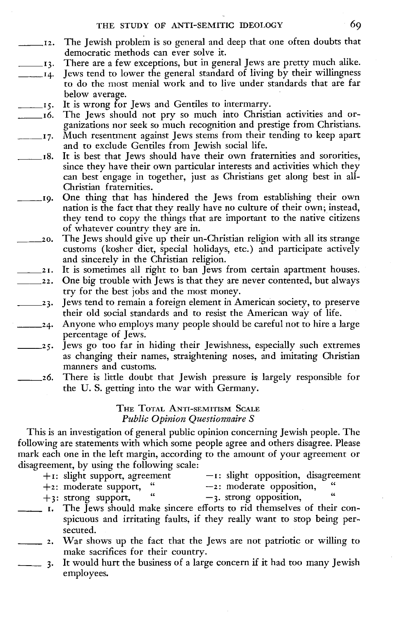- 
- 
- THE STUDY OF ANTI-SEMITIC IDEOLOGY 69<br>
12. The Jewish problem is so general and deep that one often doubts that<br>
14. Jews tend to lower the general standard of living by their willingness<br>
14. Jews tend to lower the genera Fig. There are a few exceptions, but in general Jews are pretty much alike.<br>14. Jews tend to lower the general standard of living by their willingness<br>to do the most menial work and to live under standards that are far<br>be
- 
- below average.<br>
15. It is wrong for Jews and Gentiles to intermarry.<br>
16. The Jews should not pry so much into Christian activities and or-<br>
17. Much resentment against Iews stems from their tending to keep apart
- ganizations nor seek so much recognition and prestige from Christians.<br>17. Much resentment against Jews stems from their tending to keep apart<br>and to exclude Gentiles from Jewish social life.<br>18. It is best that Jews shoul and to exclude Gentiles from Jewish social life.<br>It is best that Jews should have their own fraternities and sororities,
- \_i8. It is best that Jews should have their own fraternities and sororities,can best engage in together, just as Christians get along best in all-<br>Christian fraternities.
- Io. One thing that has hindered the Jews from establishing their own nation is the fact that they really have no culture of their own; instead, they tend to copy the things that are important to the native citizens nation is the fact that they really have no culture of their own; instead,<br>they tend to copy the things that are important to the native citizens<br>of whatever country they are in.<br>20. The Jews should give up their un-Christ
- 
- 
- and sincerely in the Christian religion.<br>It is sometimes all right to ban Jews from certain apartment houses.<br>One big trouble with Jews is that they are never contented, but always<br>try for the best jobs and the most money. 21. It is sometimes all right to ban Jews from certain apartment houses<br>22. One big trouble with Jews is that they are never contented, but always<br>try for the best jobs and the most money.<br>23. Jews tend to remain a foreign
- try for the best jobs and the most money.<br>23. Jews tend to remain a foreign element in American society, to preserve<br>their old social standards and to resist the American way of life.<br>24. Anyone who employs many people sho
- their old social standards and to resist the American way of life.<br>24. Anyone who employs many people should be careful not to hire a large<br>25. Jews go too far in hiding their Jewishness, especially such extremes
- percentage of Jews.<br>25. Jews go too far in hiding their Jewishness, especially such extremes<br>as changing their names, straightening noses, and imitating Christian<br>manners and customs. as changing their names, straightening noses, and imitating Christian<br>manners and customs.<br>There is little doubt that Jewish pressure is largely responsible for<br>the U.S. getting into the war with Germany.
- manners and customs.<br>26. There is little doubt that Jewish pressure is largely responsible for<br>the U.S. getting into the war with Germany.<br>THE TOTAL ANTI-SEMITISM SCALE

# the U. S. getting into the war with Germany.<br>THE TOTAL ANTI-SEMITISM SCALE<br>Public Opinion Ouestionnaire S THE TOTAL ANTI-SEMITISM SCALE

Public Opinion Questionnaire S<br>of general public opinion conce<br>with which some people agree a<br>margin, according to the amou This is an investigation of general public opinion concerning Jewish people. The<br>llowing are statements with which some people agree and others disagree. Please<br>ark each one in the left margin, according to the amount of y following are statements with which some people agree and others disagree. Please<br>mark each one in the left margin, according to the amount of your agreement or<br>disagreement, by using the following scale:<br>+1: slight suppor mark each one in the left margin, according to the amount of your agreement or<br>disagreement, by using the following scale:<br>+1: slight support, agreement<br>+2: moderate support, "-2: moderate opposition, " disagreement, by using the following scale:<br>
+1: slight support, agreement<br>
+2: moderate support,<br>
+3: strong support,<br>
+3: strong support,<br>
+3: strong support,<br>
+3: strong support,

+1: slight support, agreement<br>+2: moderate support, "<br>+3: strong support,  $-$ 1: slight opposition, disagreement

- 1: slight support, agreement  $-1$ : slight opposition, disagreement<br>  $+2$ : moderate support,  $-2$ : moderate opposition, "<br>  $-3$ : strong opposition, "<br>  $-1$ : strong opposition, "<br>  $-3$ : strong opposition, "<br>
It. The Jews sho - I. The<br>spic<br>secu<br>- 2. Wa<br>mak I. The Jews should make sincere efforts to rid themselves of their con-<br>spicuous and irritating faults, if they really want to stop being per-<br>secuted.<br>2. War shows up the fact that the Jews are not patriotic or willing to
- 2. War shows up the fact that the Jews are not patriotic or willing to make sacrifices for their country.<br>2. It would hurt the business of a large concern if it had too many Jewish employees.
- It would hurt the business of a large concern if it had too many Jewish employees.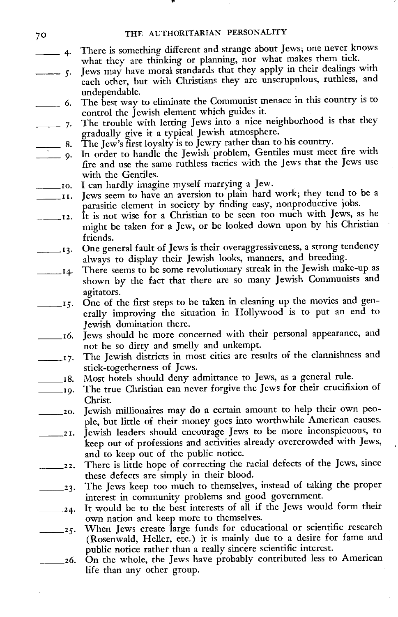- 
- o THE AUTHORITARIAN PERSONALITY<br>
4. There is something different and strange about J<br>
what they are thinking or planning, nor what<br>
5. Jews may have moral standards that they apply<br>
each other, but with Christians they are 4. There is something different and strange about Jews; one never knows<br>what they are thinking or planning, nor what makes them tick.<br>5. Jews may have moral standards that they apply in their dealings with<br>each other, but that they are thinking or planning, nor what makes them tick.<br>
5. Jews may have moral standards that they apply in their dealings with<br>
each other, but with Christians they are unscrupulous, ruthless, and<br>
undependable.<br>
6
- 6. The best way to eliminate the Communist menace in this country is to control the Jewish element which guides it.<br>
7. The trouble with letting Jews into a nice neighborhood is that they gradually give it a typical Jewish
- 
- 
- gradually give it a typical Jewish atmosphere. \_\_\_\_\_\_8. The Jew's first loyalty is to Jewry rather than to his country.<br>
- 9. In order to handle the Jewish problem, Gentiles must mee<br>
fire and use the same ruthless tactics with the Jews that th<br>
with the Gentiles.<br>
- 10. I c In order to handle the Jewish problem, Gentiles must meet fire with fire and use the same ruthless tactics with the Jews that the Jews use with the Gentiles.<br>
In an hardly imagine myself marrying a Jew.<br>
II. Jews seem to h
	-
- 
- II. Jews seem to have an aversion to plain hard work; they tend to be a<br>parasitic element in society by finding easy, nonproductive jobs.<br>12. It is not wise for a Christian to be seen too much with Jews, as he<br>might be tak parasitic element in society by finding easy, nonproductive jobs.<br>
12. It is not wise for a Christian to be seen too much with Jews, as h<br>
12. It is not wise for a Jew, or be looked down upon by his Christian<br>
12. It is no It is not wise for a Christian to be seen too much with Jews, as he might be taken for a Jew, or be looked down upon by his Christian friends.<br>One general fault of Jews is their overaggressiveness, a strong tendency always
- friends.<br>13. One general fault of Jews is their overaggressiveness, a strong tendency<br>always to display their Jewish looks, manners, and breeding.<br>14. There seems to be some revolutionary streak in the Jewish make-up as
- shown by the fact that there are so many Jewish Communists and agitators.<br> $\frac{1}{5}$ . One of the first steps to be taken in cleaning up the movies and gen-
- One of the first steps to be taken in cleaning up the movies and genagitators. \_\_\_\_\_<sup>I</sup> 5. One of the first steps to be taken in cleaning up the movies and gen- erally improving the situation in Hollywood is to put an end to
- Jewish domination there.<br>
16. Jews should be more concerned with their personal appearance, and<br>
not be so dirty and smelly and unkempt.<br>
17. The Jewish districts in most cities are results of the clannishness and<br>
stick-t
	- not be so dirty and smelly and unkempt.<br>
	17. The Jewish districts in most cities are results of the clannishness and<br>
	18. Most hotels should deny admittance to Jews, as a general rule.<br>
	19. The true Christian can never for
	-
	- stick-togetherness of Jews.<br>
	18. Most hotels should deny admittance to Jews, as a general rule.<br>
	19. The true Christian can never forgive the Jews for their crucifixion of<br>
	Christ.<br>
	20. Jewish millionaires may do a certain
- Christ.<br>
20. Jewish millionaires may do a certain amount to help their own peo-<br>
21. Jewish leaders should encourage Jews to be more inconspicuous, to
	- ple, but little of their money goes into worthwhile American causes<br>21. Jewish leaders should encourage Jews to be more inconspicuous, to<br>keep out of professions and activities already overcrowded with Jews<br>2nd to keep out
	- 22. There is little hope of correcting the racial defects of the Jews, since these defects are simply in their blood.  $23$ . The Jews keep too much to themselves, instead of taking the proper
	- 23. The Jews keep too much to themselves, instead of taking the proper<br>interest in community problems and good government.<br>24. It would be to the best interests of all if the Jews would form their
	- interest in community problems and good government.<br>It would be to the best interests of all if the Jews would form their<br>own nation and keep more to themselves.<br>When Iews create large funds for educational or scientific r own nation and keep more to themselves.<br>-25. When Jews create large funds for educational or scientific research
	- own nation and keep more to themselves.<br>When Jews create large funds for educational or scientific research<br>(Rosenwald, Heller, etc.) it is mainly due to a desire for fame and<br> (Rosenwald, Heller, etc.) it is mainly due to a desire for fame and public notice rather than a really sincere scientific interest.<br>On the whole, the Jews have probably contributed less to American<br>life than any other grou
	- public notice rather than a really sincere scientific interest.<br>26. On the whole, the Jews have probably contributed less to American<br>life than any other group. life than any other group.

70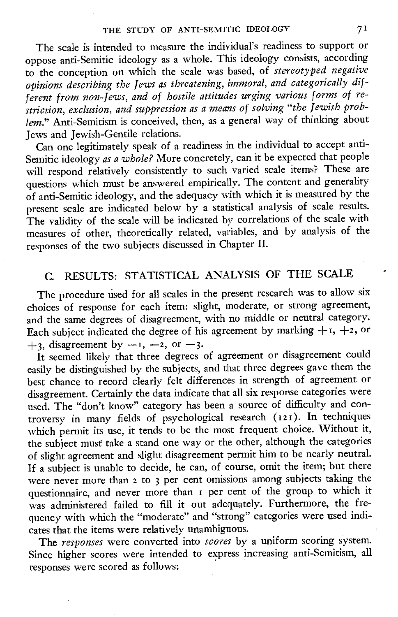THE STUDY OF ANTI-SEMITIC IDEOLOGY 71<br>The scale is intended to measure the individual's readiness to support or<br>oppose anti-Semitic ideology as a whole. This ideology consists, according<br>to the conception on which the scal to the conception on which the scale was based, of *stereotyped negative*<br>opinions describing the Jews as threatening, immoral, and categorically dif-<br>ferent from non-Jews, and of hostile attitudes urging various forms of Subsetivion, exclusion, and suppression as a means of solving "the Jewish prob-<br>
lem." Anti-Semitism is conceived, then, as a general way of thinking about<br>
Jews and Jewish-Gentile relations.<br>
Can one legitimately speak o

dem." Anti-Semitism is conceived, then, as a general way of thinking about<br>Jews and Jewish-Gentile relations.<br>Can one legitimately speak of a readiness in the individual to accept anti-<br>Semitic ideology *as a whole?* More questions which must be answered empirically. The content and generality of anti-Semitic ideology, and the adequacy with which it is measured by the questions which must be answered empirically. The content and generality<br>of anti-Semitic ideology, and the adequacy with which it is measured by the<br>present scale are indicated below by a statistical analysis of scale resu of anti-Semitic ideology, and the adequacy with which it is measured by the<br>present scale are indicated below by a statistical analysis of scale results.<br>The validity of the scale will be indicated by correlations of the s present scale are indicated below by a statistical analysis of scale results.<br>The validity of the scale will be indicated by correlations of the scale with<br>measures of other, theoretically related, variables, and by analys The validity of the scale will be indicated by correlations of the scale with<br>measures of other, theoretically related, variables, and by analysis of the<br>responses of the two subjects discussed in Chapter II.<br>C. PESULTS: S responses of the two subjects discussed in Chapter II.<br>C. RESULTS: STATISTICAL ANALYSIS OF THE SCALE

The procedure used for all scales in the present research was to allow six choices of response for each item: slight, moderate, or strong agreement, The procedure used for all scales in the present research was to allow six<br>choices of response for each item: slight, moderate, or strong agreement,<br>and the same degrees of disagreement, with no middle or neutral category

+3, disagreement by  $-1$ ,  $-2$ , or  $-3$ .<br>It seemed likely that three degrees of agreement or disagreement could<br>easily be distinguished by the subjects, and that three degrees gave them the<br>best chance to record clearly f easily be distinguished by the subjects, and that three degrees gave them the best chance to record clearly felt differences in strength of agreement of disagreement. Certainly the data indicate that all six response categ best chance to record clearly felt differences in strength of agreement or<br>disagreement. Certainly the data indicate that all six response categories were<br>used. The "don't know" category has been a source of difficulty and used. The "don't know" category has been a source of difficulty and controversy in many fields of psychological research (121). In techniques which permit its use, it tends to be the most frequent choice. Without it, the subject must take a stand one way or the other, although the categories of slight agreement and slight disagreement permit him to be nearly neu the subject must take a stand one way or the other, although the categories of slight agreement and slight disagreement permit him to be nearly neutral. If a subject is unable to decide, he can, of course, omit the item; b were never more than  $2$  to  $3$  per cent omissions among subjects taking the questionnaire, and never more than  $1$  per cent of the group to which it were never more than z to 3 per cent omissions among subjects taking the questionnaire, and never more than  $\bf{r}$  per cent of the group to which it was administered failed to fill it out adequately. Furthermore, the fre quency with which the "moderate" and "strong" categories were used indicates that the items were relatively unambiguous.<br>The responses were converted into *scores* by a uniform scoring system.

quency with which the "moderate" and "strong" categories were used indi-<br>cates that the items were relatively unambiguous.<br>The *responses* were converted into *scores* by a uniform scoring system.<br>Since higher scores were responses were scored as follows: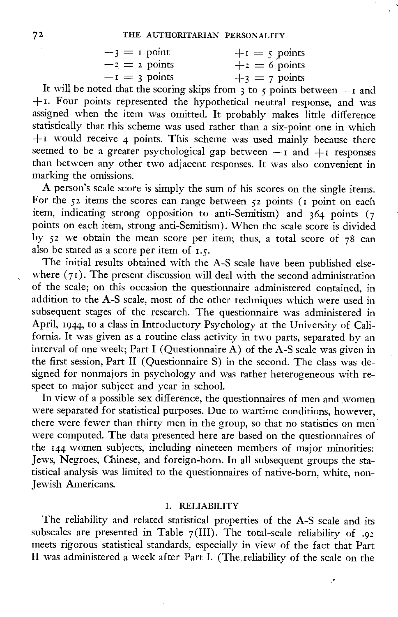| 2 |                 | THE AUTHORITARIAN PERSONALITY |                 |
|---|-----------------|-------------------------------|-----------------|
|   | $-3 = 1$ point  |                               | $+1 = 5$ points |
|   | $-z = z$ points |                               | $+z=6$ points   |
|   | $-1 = 3$ points |                               | $+3 = 7$ points |
|   |                 |                               |                 |

It will be noted that the scoring skips from 3 to 5 points between  $-1$  and  $+1$ . Four points represented the hypothetical neutral response, and was  $-3 = 1$  point  $-2 = 2$  points  $-1 = 3$  points  $-1 = 3$  points  $+3 = 7$  points<br>ed that the scoring skips from 3 to 5 points to the item was omitted. It probably makes this scheme was used rather than a six-pointive 4 points. T  $-2 = 2$  points  $-1 = 3$  points  $+3 = 7$  points<br>It will be noted that the scoring skips from 3 to 5 points 1.<br>Four points represented the hypothetical neutral res<br>igned when the item was omitted. It probably makes<br>tistically It will be noted that the scoring skips from 3 to 5 points between  $-1$  and  $+1$ . Four points represented the hypothetical neutral response, and was assigned when the item was omitted. It probably makes little difference seemed to be a greater psychological gap between  $-1$  and  $+1$  responses

 $+$  x would receive 4 points. This scheme was used mainly because there seemed to be a greater psychological gap between  $-$  x and  $+$  x responses than between any other two adjacent responses. It was also convenient in m seemed to be a greater psychological gap between  $-1$  and  $+1$  responses<br>than between any other two adjacent responses. It was also convenient in<br>marking the omissions.<br>A person's scale score is simply the sum of his scor item, indicating strong opposition to anti-Semitism) and  $364$  points ( $\gamma$  points on each item, strong anti-Semitism). When the scale score is divided<br>by  $52$  we obtain the mean score per item; thus, a total score of  $78$ ts on each item, strong anti-Semitism). When the scale score is divided<br>
2 we obtain the mean score per item; thus, a total score of 78 can<br>
be stated as a score per item of 1.5.<br>
he initial results obtained with the A-S

by 52 we obtain the mean score per item; thus, a total score of 78 can also be stated as a score per item of 1.5.<br>The initial results obtained with the A-S scale have been published else-<br>where  $(71)$ . The present discuss also be stated as a score per item of 1.5.<br>The initial results obtained with the A-S scale have been published else<br>where  $(71)$ . The present discussion will deal with the second administratio<br>of the scale; on this occasi The initial results obtained with the A-S scale have been published else-<br>where ( $71$ ). The present discussion will deal with the second administration<br>of the scale, on this occasion the questionnaire administered contain of the scale; on this occasion the questionnaire administered contained, in<br>addition to the A-S scale, most of the other techniques which were used in<br>subsequent stages of the research. The questionnaire was administered i addition to the A-S scale, most of the other techniques which were used in<br>subsequent stages of the research. The questionnaire was administered in<br>April, 1944, to a class in Introductory Psychology at the University of Ca subsequent stages of the research. The questionnaire was administered in<br>April, 1944, to a class in Introductory Psychology at the University of Cali-<br>fornia. It was given as a routine class activity in two parts, separate April, 1944, to a class in Introductory Psychology at the University of Cali-<br>fornia. It was given as a routine class activity in two parts, separated by an<br>interval of one week; Part I (Questionnaire A) of the A-S scale w the first session, Part II (Questionnaire S) in the second. The class was de-<br>signed for nonmajors in psychology and was rather heterogeneous with re-<br>spect to major subject and year in school. the first session, Part II (Questionnaire S) in the second. The class was de-<br>signed for nonmajors in psychology and was rather heterogeneous with re-<br>spect to major subject and year in school.<br>In view of a possible sex di

were separated for statistical purposes. Due to wartime conditions, however, there were fewer than thirty men in the group, so that no statistics on men were computed. The data presented here are based on the questionnaires of the 144 women subjects, including nineteen members of major minorities: Jews, Negroes, Chinese, and foreign-born. In all subsequent groups the stathe 144 women subjects, including nineteen members of major minorities:<br>Jews, Negroes, Chinese, and foreign-born. In all subsequent groups the sta-<br>tistical analysis was limited to the questionnaires of native-born, white, tistical analysis was limited to the questionnaires of native-born, white, non-Jewish Americans.<br>
1. RELIABILITY

1. RELIABILITY<br>and related statistical prope subscales are presented in Table  $7(\text{III})$ . The total-scale reliability of .92 meets rigorous statistical standards, especially in view of the fact that Part II was administered a week after Part I. (The reliability of the II was administered a week after Part I. (The reliability of the scale on the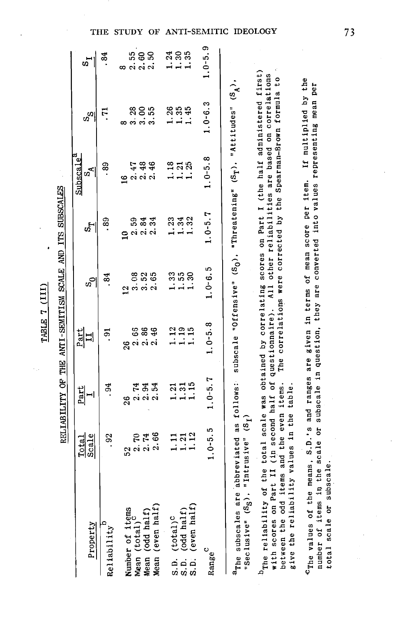| t           |  |
|-------------|--|
| c<br>٢<br>ξ |  |

RELIABILITY OF THE ANTI-SEMITISM SCALE AND ITS SUBSCALES RELIABILITY OF THE ANTI-SEMITISM SCALE AND ITS SUBSCALES

| Property                                                                                                                                           | <u>Total</u><br>Scale | i<br>al<br>J               | $\frac{1}{2}$ $\frac{1}{2}$ | പ്പ                      | က်                                     | Subscale <sup>d</sup><br>ຜ້ | ഗ്മി                 | ပ္ပ်                                 |
|----------------------------------------------------------------------------------------------------------------------------------------------------|-----------------------|----------------------------|-----------------------------|--------------------------|----------------------------------------|-----------------------------|----------------------|--------------------------------------|
| Reliability                                                                                                                                        | $\frac{5}{2}$         | 54                         | 5                           | $\overline{8}$           | 89                                     | 89                          | $\mathbf{r}$         | $\frac{84}{5}$                       |
| Number of items                                                                                                                                    | 2.70<br>52            | 26                         |                             | $\overline{a}$           | es<br>$\ddot{\Omega}$<br>۹             | ¢                           |                      |                                      |
| (even half)<br>Mean (odd half)<br>Mean (total) <sup>C</sup><br>Mean                                                                                | 2.66<br>2.74          | <b>2</b><br>ក្នុង<br>សស់សំ |                             | 08<br>08<br>0.00<br>0.00 | $2.\overline{34}$<br>$2.\overline{34}$ | $2.48$<br>$2.48$<br>$2.46$  | នី<br>ខិត្ត<br>តុម្ភ | 5<br>ស្គូ 5<br>ស្គូ 5                |
| (odd half)<br>$(tota1)$ <sup>C</sup><br>$\frac{1}{\omega}$<br>$\frac{1}{\omega}$                                                                   | $1.12$<br>$1.12$      | 11<br>1115<br>1115         | $1390$<br>$-135$            | 1.55<br>ິ.<br>.          | 1.23<br>1.34                           | 12<br>1128<br>112           | 1.35<br>1.45<br>1.4  | $\frac{34}{11}$ .<br>$\frac{35}{11}$ |
| (even half)<br>$\frac{1}{\omega}$                                                                                                                  |                       |                            |                             | $\frac{8}{1}$            | 1.32                                   |                             |                      |                                      |
| Range                                                                                                                                              | $-0.5.5$              | $1.0 - 5.7$                | $1.0 - 5.8$                 | $1.0 - 6.5$              | $1.0 - 5.7$                            | $1.0 - 5.8$                 | $1.0 - 6.3$          | $-0.5.9$                             |
| arhe subscales are abbreviated as follows: subscale "Offensive" (S <sub>O</sub> ), "Threatening" (S <sub>T</sub> ), "Attitudes" (S <sub>A</sub> ), |                       |                            |                             |                          |                                        |                             |                      |                                      |

"Seclusive" (Sg), "Intrusive" (S<sub>I</sub>) "Seclusive' (Ss). "Intrusive" (S1)

 $b_{\text{The}$  reliability of the total scale was obtained by correlating scores on Part I (the half administered first) reliability of the total scale was obtained by correlating scores on Part I (the half administered first) The reliability or the total scare was obtained by contentions corresponding and based on correlations with scores on Part II (in second half of questionaire). All other reliabilities are based on correlations<br>with scores with scores on Part II (in second half of questionnaire). All other reliabilities are based on correlations<br>with scores on Part II (in second half of questionnaire). All other reliabilities are based on correlations rues correlations were corrected by the Spearman-Brown formula to<br>The correlations were corrected by the Spearman-Brown formula to with scores on Part 11 (1n secona nail ol questromanie). Only it is a spearman-Brown formula to between the odd items and the even items. The correlations were corrected by the Spearman-Brown formula to between the odd items and the even items. give the reliability values in the table. give the reliability values in the table.

 $c_{\text{The values of the means, S.D.'s and ranges are given in terms of mean score per item. If multiplied by the$ CThe values of the means, S.D. • s and ranges are given in terms of mean score per item. If multiplied by the The values of the means, s.v. s and ranges are srven in verme of mean into values representing mean per<br>number of items in the scale or subscale in question, they are converted into values representing mean per ine values of the means, with scale or subscale in question, they are converted into values representing mean per<br>number of items in the scale or subscale in question, they are converted into values representing mean per total scale or subscale. total scale or subscale.

# THE  $_{\rm ST}$  $OF$ ITI-SEMIT 0LOC

 $\mathbf{r}$ 

 $73$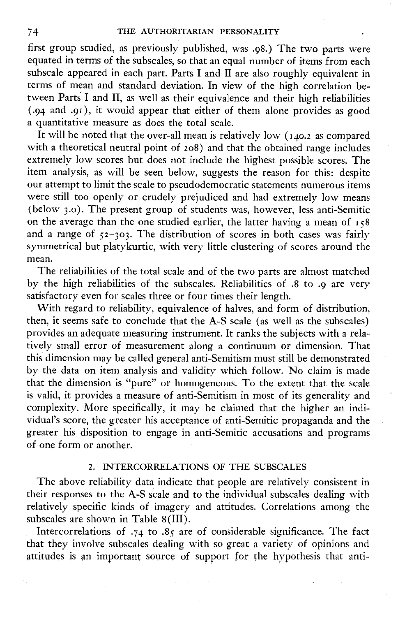THE AUTHORITARIAN PERSONALITY<br>first group studied, as previously published, was .98.) The two parts were<br>equated in terms of the subscales, so that an equal number of items from each<br>subscale appeared in each part. Parts I first group studied, as previously published, was .98.) The two parts were equated in terms of the subscales, so that an equal number of items from each subscale appeared in each part. Parts I and II are also roughly equiv subscale appeared in each part. Parts I and II are also roughly equivalent in<br>terms of mean and standard deviation. In view of the high correlation be-<br>tween Parts I and II, as well as their equivalence and their high reli tween Parts I and II, as well as their equivalence and their high reliabilities  $(.94 \text{ and } .91)$ , it would appear that either of them alone provides as good a quantitative measure as does the total scale. (.94 and .91), it would appear that either of them alone provides as good a quantitative measure as does the total scale.<br>It will be noted that the over-all mean is relatively low  $(140.2 \text{ as compared})$ 

a quantitative measure as does the total scale.<br>It will be noted that the over-all mean is relatively low (140.2 as compared<br>with a theoretical neutral point of 208) and that the obtained range include<br>extremely low scores with a theoretical neutral point of 208) and that the obtained range include extremely low scores but does not include the highest possible scores. The item analysis, as will be seen below, suggests the reason for this: de item analysis, as will be seen below, suggests the reason for this: despite<br>our attempt to limit the scale to pseudodemocratic statements numerous items<br>were still too openly or crudely prejudiced and had extremely low mea were still too openly or crudely prejudiced and had extremely low means (below 3.0). The present group of students was, however, less anti-Semitic on the average than the one studied earlier, the latter having a mean of  $158$ and a range of  $52-303$ . The distribution of scores in both cases was fairly symmetrical but platykurtic, with very little clustering of scores around the mean. symmetrical but platykurtic, with very little clustering of scores around the mean.<br>The reliabilities of the total scale and of the two parts are almost matched

symmetrical but platykurtic, with very little clustering of scores around the mean.<br>The reliabilities of the total scale and of the two parts are almost matched<br>by the high reliabilities of the subscales. Reliabilities of

by the high reliabilities of the subscales. Reliabilities of .8 to .9 are very<br>satisfactory even for scales three or four times their length.<br>With regard to reliability, equivalence of halves, and form of distribution.<br>the provides an adequate measuring instrument. It ranks the subjects with a relatively small error of measurement along a continuum or dimension. That this dimension may be called general anti-Semitism must still be demonstrated by the data on item analysis and validity which follow. No claim is made that the dimension is "pure" or homogeneous. To the extent that the scale is valid, it provides a measure of anti-Semitism in most of its generality and complexity. More specifically, it may be claimed that the higher an individual's score, the greater his acceptance of anti-Semitic propaganda and the greater his disposition to engage in anti-Semitic accusations and programs of one form or another. greater his disposition to engage in anti-Semitic accusations and programs

2. INTERCORRELATIONS OF THE SUBSCALES<br>The above reliability data indicate that people are relatively consistent in their responses to the A-S scale and to the individual subscales dealing with relatively specific kinds of imagery and attitudes. Correlations among the subscales are shown in Table 8(III).<br>Intercorrelations of  $.74$  to  $relatively specific kinds of imaginary and attitudes. Correlations among the$ 

relatively specific kinds of imagery and attitudes. Correlations among the subscales are shown in Table 8(III).<br>Intercorrelations of .74 to .85 are of considerable significance. The fact<br>that they involve subscales dealin Intercorrelations of .74 to .85 are of considerable significance. The fact that they involve subscales dealing with so great a variety of opinions and attitudes is an important source of support for the hypothesis that an attitudes is an important sourcç of support for the hypothesis that anti-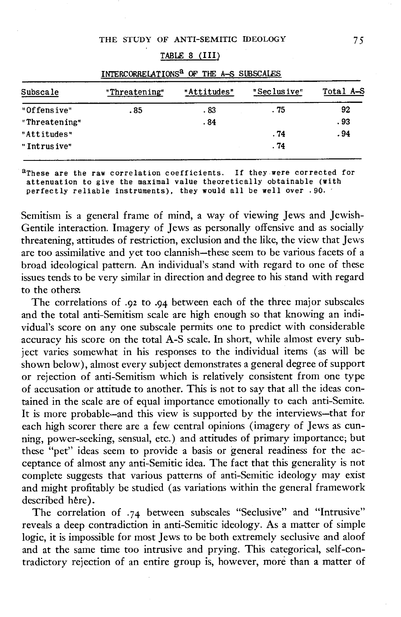| TABLE 8 (III) |  |  |
|---------------|--|--|
|---------------|--|--|

|               | INTERCORRELATIONS <sup>2</sup> OF THE A-S SUBSCALES | TABLE 8 (III) |             |           |
|---------------|-----------------------------------------------------|---------------|-------------|-----------|
| Subscale      | "Threatening"                                       | "Attitudes"   | "Seclusive" | Total A-S |
| "Offensive"   | .85                                                 | .83           | .75         | 92        |
| "Threatening" |                                                     | .84           |             | . 93      |
| "Attitudes"   |                                                     |               | .74         | .94       |
| "Intrusive"   |                                                     |               | .74         |           |

 $a$ These are the raw correlation coefficients. If they were corrected for and the raw correlation coefficients. If they were attenuation to give the maximal value theoretically obtained the perfectly reliable instruments), they would all be well These are the raw correlation coefficients. If they were corrected for<br>attenuation to give the maximal value theoretically obtainable (with<br>perfectly reliable instruments), they would all be well over .90.<br>emitism is a gen

perfectly reliable instruments), they would all be well over .90.<br>emitism is a general frame of mind, a way of viewing Jews and J<br>fentile interaction. Imagery of Iews as personally offensive and as s Gentile interaction. Imagery of Jews as personally offensive and as socially threatening, attitudes of restriction, exclusion and the like, the view that Jews Semitism is a general frame of mind, a way of viewing Jews and Jewish-Gentile interaction. Imagery of Jews as personally offensive and as socially threatening, attitudes of restriction, exclusion and the like, the view tha threatening, attitudes of restriction, exclusion and the like, the view that Jews are too assimilative and yet too clannish—these seem to be various facets of a broad ideological pattern. An individual's stand with regard broad ideological pattern. An individual's stand with regard to one of these issues tends to be very similar in direction and degree to his stand with regard to the others.<br>The correlations of .02 to .04 between each of th issues tends to be very similar in direction and degree to his stand with regard<br>to the others.<br>The correlations of .92 to .94 between each of the three major subscale<br>and the total anti-Semitism scale are high enough so t

to the others.<br>The correlations of .92 to .94 between each of the three major subscal<br>and the total anti-Semitism scale are high enough so that knowing an inc<br>vidual's score on any one subscale permits one to predict with The correlations of .92 to .94 between each of the three major subscales and the total anti-Semitism scale are high enough so that knowing an indi-<br>vidual's score on any one subscale permits one to predict with considerabl accuracy his score on the total A-S scale. In short, while almost every sub-<br>ject varies somewhat in his responses to the individual items (as will be<br>shown below), almost every subject demonstrates a general degree of sup or rejection of anti-Semitism which is relatively consistent from one type of accusation or attitude to another. This is not to say that all the ideas contained in the scale are of equal importance emotionally to each anti tained in the scale are of equal importance emotionally to each anti-Semite. each high scorer there are a few central opinions (imagery of Jews as cunning, power-seeking, sensual, etc.) and attitudes of primary importance; but these "pet" ideas seem to provide a basis or general readiness for the acning, power-seeking, sensual, etc.) and attitudes of primary importance; but these "pet" ideas seem to provide a basis or general readiness for the acceptance of almost any anti-Semitic idea. The fact that this generality complete suggests that various patterns of anti-Semitic ideology may exist complete suggests that various patterns of anti-Semitic ideology may exist<br>and might profitably be studied (as variations within the general frameworl and might profitably be studied (as variations within the general framework described here).

described here).<br>The correlation of .74 between subscales "Seclusive" and "Intrusive<br>reveals a deep contradiction in anti-Semitic ideology. As a matter of simpl<br>logic, it is impossible for most Jews to be both extremely se The correlation of  $.74$  between subscales "Seclusive" and "Intrusive" reveals a deep contradiction in anti-Semitic ideology. As a matter of simple logic, it is impossible for most Jews to be both extremely seclusive and and at the same time too intrusive and prying. This categorical, self-contradictory rejection of an entire group is, however, more than a matter of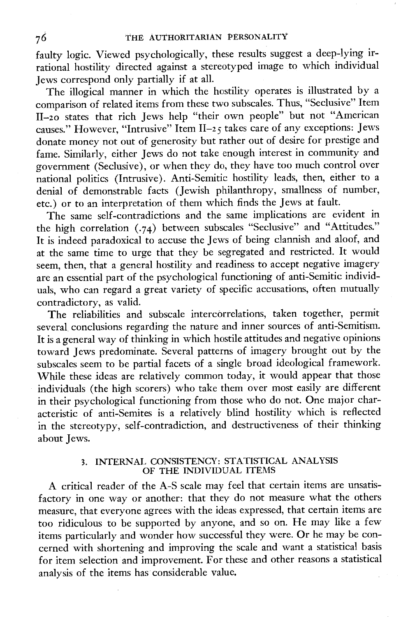76 THE AUTHORITARIAN PERSONALITY<br>faulty logic. Viewed psychologically, these results suggest a deep-lying ir-<br>rational hostility directed against a stereotyped image to which individual<br>Jews correspond only partially if at rational hostility directed against a stereotyped image to which individual<br>Jews correspond only partially if at all.<br>The illogical manner in which the hostility operates is illustrated by a<br>comparison of related items fro

II-20 states that rich Jews help "their own people" but not "American causes." However, "Intrusive" Item II-25 takes care of any exceptions: Jews donate money not out of generosity but rather out of desire for prestige an II–20 states that rich Jews help "their own people" but not "American causes." However, "Intrusive" Item II–25 takes care of any exceptions: Jews donate money not out of generosity but rather out of desire for prestige an fame. Similarly, either Jews do not take enough interest in community and government (Seclusive), or when they do, they have too much control over national politics (Intrusive). Anti-Semitic hostility leads, then, either t government (Seclusive), or when they do, they have too much control over national politics (Intrusive). Anti-Semitic hostility leads, then, either to a denial of demonstrable facts (Jewish philanthropy, smallness of number

denial of demonstrable facts (Jewish philanthropy, smallness of number<br>etc.) or to an interpretation of them which finds the Jews at fault.<br>The same self-contradictions and the same implications are evident in<br>the high cor the high correlation (.74) between subscales "Seclusive" and "Attitudes."<br>It is indeed paradoxical to accuse the Jews of being clannish and aloof, and<br>at the same time to urge that they be segregated and restricted. It wou at the same time to urge that they be segregated and restricted. It would<br>seem, then, that a general hostility and readiness to accept negative imagery<br>are an essential part of the psychological functioning of anti-Semitic seem, then, that a general hostility and readiness to accept negative imagery<br>are an essential part of the psychological functioning of anti-Semitic individuals, who can regard a great variety of specific accusations, ofte are an essential part of the psychological functioning of anti-Semitic individuals, who can regard a great variety of specific accusations, often mutually contradictory, as valid.<br>The reliabilities and subscale intercorrel

contradictory, as valid.<br>The reliabilities and subscale intercorrelations, taken together, permit<br>several conclusions regarding the nature and inner sources of anti-Semitism. It is a general way of thinking in which hostile attitudes and negative opinions toward Jews predominate. Several patterns of imagery brought out by the subscales seem to be partial facets of a single broad ideological framework.<br>While these ideas are relatively common today, it would appear that those<br>individuals (the high scorers) who take them over most easily are diffe While these ideas are relatively common today, it would appear that those individuals (the high scorers) who take them over most easily are different in their psychological functioning from those who do not. One major char in their psychological functioning from those who do not. One major characteristic of anti-Semites is a relatively blind hostility which is reflected<br>in the stereotypy, self-contradiction, and destructiveness of their thinking<br>about Iews. in the stereotypy, self-contradiction, and destructiveness of their thinking<br>about Jews.<br>3. INTERNAL CONSISTENCY: STATISTICAL ANALYSIS<br>OF THE INDIVIDUAL ITEMS

# about Jews.<br>
3. INTERNAL CONSISTENCY: STATISTICAL ANALYSIS<br>
OF THE INDIVIDUAL ITEMS<br>
A critical reader of the A-S scale may feel that certain items are unsatis-

OF THE INDIVIDUAL ITEMS<br>the A-S scale may feel that certain items<br>another: that they do not measure what<br>agrees with the ideas expressed, that certa A critical reader of the A-S scale may feel that certain items are unsatis-<br>factory in one way or another: that they do not measure what the others<br>measure, that everyone agrees with the ideas expressed, that certain items measure, that everyone agrees with the ideas expressed, that certain items are<br>too ridiculous to be supported by anyone, and so on. He may like a few<br>items particularly and wonder how successful they were. Or he may be con too ridiculous to be supported by anyone, and so on. He may like a few<br>items particularly and wonder how successful they were. Or he may be con-<br>cerned with shortening and improving the scale and want a statistical basi-<br>f items particularly and wonder how successful they were. Or he may be concerned with shortening and improving the scale and want a statistical basis for item selection and improvement. For these and other reasons a statisti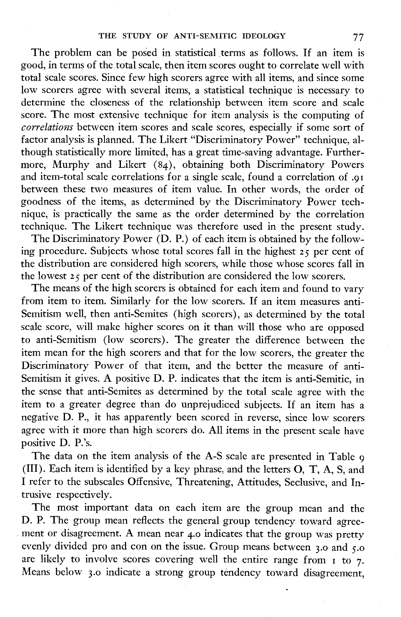THE STUDY OF ANTI-SEMITIC IDEOLOGY 77<br>The problem can be posed in statistical terms as follows. If an item is<br>good, in terms of the total scale, then item scores ought to correlate well with<br>total scale scores. Since few h low scorers agree with several items, a statistical technique is necessary to determine the closeness of the relationship between item score and scale score. The most extensive technique for item analysis is the computing determine the closeness of the relationship between item score and scale score. The most extensive technique for item analysis is the computing of *correlations* between item scores and scale scores, especially if some sort of factor analysis is planned. The Likert "Discriminatory Power" techni score. The most extensive technique for item analysis is the computing of *correlations* between item scores and scale scores, especially if some sort of factor analysis is planned. The Likert "Discriminatory Power" techni factor analysis is planned. The Likert "Discriminatory Power" technique, al-<br>though statistically more limited, has a great time-saving advantage. Further-<br>more. Murphy and Likert (84). obtaining both Discriminatory more, Murphy and Likert (84), obtaining both Discriminatory Powers and item-total scale correlations for a single scale, found a correlation of .91<br>between these two measures of item value. In other words, the order of goodness of the items, as determined by the Discriminatory Power techbetween these two measures of item value. In other words, the order of goodness of the items, as determined by the Discriminatory Power technique. The Likert technique was therefore used in the present study. The Discrimin

technique. The Likert technique was therefore used in the present study. The Discriminatory Power (D. P.) of each item is obtained by the following procedure. Subjects whose total scores fall in the highest  $25$  per cent the distribution are considered high scorers, while those whose scores fall in ing procedure. Subjects whose total scores fall in the highest  $25$  per cent of the distribution are considered high scorers, while those whose scores fall in the lowest  $25$  per cent of the distribution are considered th

the lowest  $25$  per cent of the distribution are considered the low scorers.<br>The means of the high scorers is obtained for each item and found to vary<br>from item to item. Similarly for the low scorers. If an item measures from item to item. Similarly for the low scorers. If an item measures anti-Semitism well, then anti-Semites (high scorers), as determined by the total scale score, will make higher scores on it than will those who are oppo to anti-Semitism (low scorers). The greater the difference between the<br>item mean for the high scorers and that for the low scorers, the greater the<br>Discriminatory Power of that item, and the better the measure of anti-<br>Sem item mean for the high scorers and that for the low scorers, the greater the<br>Discriminatory Power of that item, and the better the measure of anti-<br>Semitism it gives. A positive D. P. indicates that the item is anti-Semiti Semitism it gives. A positive D. P. indicates that the item is anti-Semitic, in the sense that anti-Semites as determined by the total scale agree with the item to a greater degree than do unprejudiced subjects. If an item has a the sense that anti-Semites as determined by the total scale agree with the<br>item to a greater degree than do unprejudiced subjects. If an item has a<br>negative D. P., it has apparently been scored in reverse, since low score item to a greater degree than do unprejudiced subjects. If an item has a negative D. P., it has apparently been scored in reverse, since low scorers agree with it more than high scorers do. All items in the present scale h agree with it more than high scorers do. All items in the present scale have positive D. P.'s.

The data on the item analysis of the A-S scale are presented in Table 9 (III). Each item is identified by a key phrase, and the letters  $O$ ,  $T$ ,  $A$ ,  $S$ , and I refer to the subscales Offensive, Threatening, Attitudes, Seclusive, and Intrusive respectively.

The most important data on each item are the group mean and the D. P. The group mean reflects the general group tendency toward agreement or disagreement. A mean near 4.0 indicates that the group was pretty evenly divided pro and con on the issue. Group means between 3.0 and 5.0 are likely to involve scores covering well the entire range from  $\frac{1}{10}$  to 7. evenly divided pro and con on the issue. Group means between 3.0 and 5.0<br>are likely to involve scores covering well the entire range from 1 to 7<br>Means below 3.0 indicate a strong group tendency toward disagreement are likely to involve scores covering well the entire range from i to<br>Means below 3.0 indicate a strong group tendency toward disagreemer Means below 3.0 indicate a strong group tendency toward disagreement<br>
.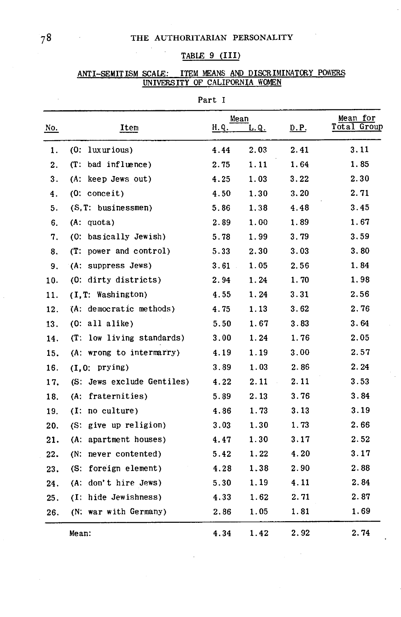# THE AUTHORITARIAN PERSONALITY<br>
TABLE 9 (III)<br>
ANTI-SEMITISM SCALE: ITEM MEANS AND DISCRIMINATORY<br>
UNIVERSITY OF CALIFORNIA WOMEN<br>
Part I

| No. | Item                         | Mean<br>H.Q. | L.Q. | <u>D.P.</u> | Mean for<br>Total Group |
|-----|------------------------------|--------------|------|-------------|-------------------------|
| 1.  | $(0:$ luxurious)             | 4.44         | 2.03 | 2.41        | 3.11                    |
| 2.  | (T: bad infl uence)          | 2.75         | 1.11 | 1.64        | 1.85                    |
| З.  | (A: keep Jews out)           | 4.25         | 1.03 | 3.22        | 2.30                    |
| 4.  | $(0: \text{concept})$        | 4.50         | 1.30 | 3.20        | 2.71                    |
| 5.  | $(S, T: \text{businesmen})$  | 5.86         | 1.38 | 4.48        | 3.45                    |
| 6.  | (A:quad)                     | 2.89         | 1.00 | 1.89        | 1.67                    |
| 7.  | (O: basically Jewish)        | 5.78         | 1.99 | 3.79        | 3.59                    |
| 8.  | nower and control)<br>(T:    | 5.33         | 2.30 | 3.03        | 3.80                    |
| 9.  | (A: suppress Jews)           | 3.61         | 1.05 | 2.56        | 1.84                    |
| 10. | (0: dirty districts)         | 2.94         | 1.24 | 1.70        | 1.98                    |
| 11. | (I, T: Washington)           | 4.55         | 1.24 | 3.31        | 2.56                    |
| 12. | (A: democratic methods)      | 4.75         | 1.13 | 3.62        | 2.76                    |
| 13. | (0: all alike)               | 5.50         | 1.67 | 3.83        | 3.64                    |
| 14. | low living standards)<br>(T: | 3.00         | 1.24 | 1.76        | 2.05                    |
| 15. | (A: wrong to intermarry)     | 4.19         | 1.19 | 3.00        | 2.57                    |
| 16. | $(I, 0;$ prying)             | 3.89         | 1.03 | 2.86        | 2.24                    |
| 17. | (S: Jews exclude Gentiles)   | 4.22         | 2.11 | 2.11        | 3.53                    |
| 18. | (A: fraternities)            | 5.89         | 2.13 | 3.76        | 3.84                    |
| 19. | (I: no culture)              | 4.86         | 1.73 | 3.13        | 3.19                    |
| 20. | (S: give up religion)        | 3.03         | 1.30 | 1.73        | 2.66                    |
| 21. | (A: apartment houses)        | 4.47         | 1.30 | 3.17        | 2.52                    |
| 22. | never contented)<br>(N:      | 5.42         | 1.22 | 4.20        | 3.17                    |
| 23. | foreign element)<br>(S: 1    | 4.28         | 1.38 | 2.90        | 2.88                    |
| 24. | (A: don't hire Jews)         | 5.30         | 1.19 | 4.11        | 2.84                    |
| 25. | (I: hide Jewishness)         | 4.33         | 1.62 | 2.71        | 2.87                    |
| 26. | (N: war with Germany)        | 2.86         | 1.05 | 1.81        | 1.69                    |
|     | Mean:                        | 4.34         | 1.42 | 2.92        | 2.74                    |

78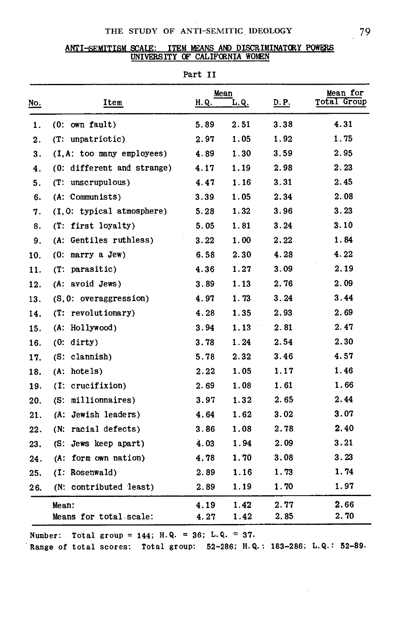# THE STUDY OF ANTI-SEMITIC IDEOLOGY

| No. | Item                            | Mean<br>H.Q. | L.Q.         | D.P.         | Mean for<br>Total Group |
|-----|---------------------------------|--------------|--------------|--------------|-------------------------|
| 1.  | $(0:$ own fault)                | 5.89         | 2.51         | 3.38         | 4.31                    |
| 2.  | $(T:$ unpatriotic)              | 2.97         | 1.05         | 1.92         | 1.75                    |
| 3.  | (I.A: too many employees)       | 4.89         | 1.30         | 3.59         | 2.95                    |
| 4.  | (0: different and strange)      | 4.17         | 1.19         | 2.98         | 2.23                    |
| 5.  | $(T:$ unscrupulous)             | 4.47         | 1.16         | 3.31         | 2.45                    |
| 6.  | (A: Communists)                 | 3.39         | 1.05         | 2.34         | 2.08                    |
| 7.  | (1, 0: typical atmosphere)      | 5.28         | 1.32         | 3.96         | 3.23                    |
| 8.  | (T: first loyalty)              | 5.05         | 1.81         | 3.24         | 3.10                    |
| 9.  | Gentiles ruthless)<br>(A:       | 3.22         | 1.00         | 2.22         | 1.84                    |
| 10. | marry a Jew)<br>(0:             | 6.58         | 2.30         | 4.28         | 4.22                    |
| 11. | parasitic)<br>(T:               | 4.36         | 1.27         | 3.09         | 2.19                    |
| 12. | (A: avoid Jews)                 | 3.89         | 1.13         | 2.76         | 2.09                    |
| 13. | (S, 0: overaggression)          | 4.97         | 1.73         | 3.24         | 3.44                    |
| 14. | (T: revolutionary)              | 4.28         | 135          | 2.93         | 2.69                    |
| 15. | Hollywood)<br>(A:               | 3.94         | 1.13         | 2.81         | 2.47                    |
| 16. | $(0:$ dirty)                    | 3.78         | 1.24         | 2.54         | 2.30                    |
| 17. | clannish)<br>(S.                | 5.78         | 2.32         | 3.46         | 4.57                    |
| 18. | $(A: \text{hotels})$            | 2.22         | 1.05         | 1.17         | 1.46                    |
| 19. | (I: crucifixion)                | 2.69         | 1.08         | 1.61         | 1.66                    |
| 20. | millionnaires)<br>(S:           | 3.97         | 1.32         | 2.65         | 2.44                    |
| 21. | (A: Jewish leaders)             | 4.64         | 1.62         | 3.02         | 3.07                    |
| 22. | racial defects)<br>(N.          | 3.86         | 1.08         | 2.78         | 2.40                    |
| 23. | Jews keep apart)<br>(S:         | 4.03         | 1.94         | 2.09         | 3.21                    |
| 24. | form own nation)<br>(A:         | 4.78         | 1.70         | 3.08         | 3.23                    |
| 25. | (I: Rosenwald)                  | 2.89         | 1.16         | 1.73         | 1.74                    |
| 26. | (N: contributed least)          | 2.89         | 1.19         | 1.70         | 1.97                    |
|     | Mean:<br>Means for total scale: | 4.19<br>4.27 | 1.42<br>1.42 | 2.77<br>2.85 | 2.66<br>2. 70           |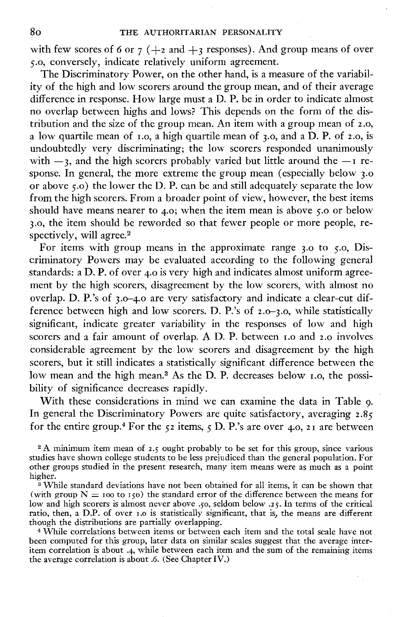80 THE AUTHORITARIAN PERSONALITY<br>with few scores of 6 or 7 ( $+$ 2 and  $+$ 3 responses). And group means of over<br>5.0, conversely, indicate relatively uniform agreement.<br>The Discriminatory Power, on the other hand, is a measu 5.0, conversely, indicate relatively uniform agreement.

ity of the high and low scorers around the group mean, and of their average difference in response. How large must a D. P. be in order to indicate almost no overlap between highs and lows? This depends on the form of the d difference in response. How large must a D. P. be in order to indicate almost difference in response. How large must a D. P. be in order to indicate almost<br>no overlap between highs and lows? This depends on the form of the dis-<br>tribution and the size of the group mean. An item with a group mean of 2 tribution and the size of the group mean. An item with a group mean of 2.0,<br>a low quartile mean of 1.0, a high quartile mean of 3.0, and a D. P. of 2.0, is<br>undoubtedly very discriminating; the low scorers responded unanimo undoubtedly very discriminating; the low scorers responded unanimously a low quartile mean of 1.0, a high quartile mean of 3.0, and a D. P. of 2.0, is undoubtedly very discriminating; the low scorers responded unanimously with  $-3$ , and the high scorers probably varied but little around the sponse. In general, the more extreme the group mean (especially below 3.0 or above 5.0) the lower the D. P. can be and still adequately separate the low from the high scorers. From a broader point of view, however, the be

3.0, the item should be reworded so that fewer people or more people, re-<br>spectively, will agree.<sup>2</sup><br>For items with group means in the approximate range 3.0 to 5.0, Dis-<br>criminatory Powers may be evaluated according to th 3.0, the item should be reworded so that fewer people or more people, re-<br>spectively, will agree.<sup>2</sup><br>For items with group means in the approximate range 3.0 to 5.0, Dis-<br>criminatory Powers may be evaluated according to th ment by the high scorers, disagreement by the low scorers, with almost no overlap. D. P.'s of 3.0–4.0 are very satisfactory and indicate a clear-cut difference between high and low scorers. D. P.'s of 2.0–3.0, while statis overlap. D. P.'s of 3.0–4.0 are very satisfactory and indicate a clear-cut dif-<br>ference between high and low scorers. D. P.'s of 2.0–3.0, while statistically<br>significant, indicate greater variability in the responses of lo scorers and a fair amount of overlap. A D. P. between 1.0 and 2.0 involves considerable agreement by the low scorers and disagreement by the high scorers and a fair amount of overlap. A D. P. between 1.0 and 2.0 involves considerable agreement by the low scorers and disagreement by the high scorers, but it still indicates a statistically significant difference betwe low mean and the high mean.<sup>3</sup> As the D. P. decreases below 1.0, the possibility of significance decreases rapidly. low mean and the high mean.<sup>3</sup> As the D. P. decreases below 1.0, the possi-<br>bility of significance decreases rapidly.<br>With these considerations in mind we can examine the data in Table 9<br>In general the Discriminatory Power

In general the Discriminatory Powers are quite satisfactory, averaging  $2.85$ for the entire group.<sup>4</sup> For the 52 items, 5 D. P.'s are over 4.0, 21 are between

for the entire group.<sup>4</sup> For the 52 items, 5 D. P.'s are over 4.0, 21 are between<br><sup>2</sup>A minimum item mean of 2.5 ought probably to be set for this group, since various<br>studies have shown college students to be less prejudi

<sup>2</sup> A minimum item mean of 2.5 ought probably to be set for this group, since various<br>studies have shown college students to be less prejudiced than the general population. For<br>other groups studied in the present research (with group  $N = 100$  to  $150$ ) the standard error of the difference between the means for<br>low and high scorers is almost never above .50, seldom below .25. In terms of the critical<br>ratio, then, a D.P. of over 1.0 is stati

been computed for this group, later data on similar scales suggest that the average inter-<br>item correlation is about 4, while between each item and the sum of the remaining item<br>the average correlation is about 6. (See Cha item correlation is about .4, while between each item and the sum of the remaining items the average correlation is about .6. (See Chapter IV.) the average correlation is about  $.6$ . (See Chapter IV.)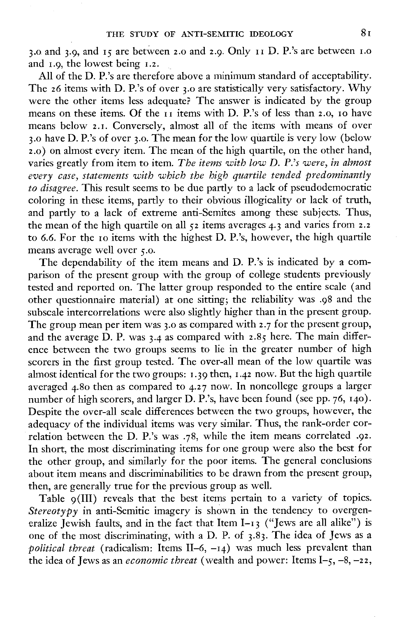THE STUDY OF ANTI-SEMITIC IDEOLOGY<br>3.0 and 3.9, and 15 are between 2.0 and 2.9. Only 11 D. P.'s are between 1.0<br>and 1.9, the lowest being 1.2.<br>All of the D. P.'s are therefore above a minimum standard of acceptability.<br>The All of the D. P.'s are therefore means on these items. Of the  $\overline{11}$  items with D. P.'s of less than 2.0, 10 have means below 2.1. Conversely, almost all of the items with means of over 3.0 have D. P.'s of over 3.0. The mean for the low quartile is ve means on these items. Of the 11 items with D. P.'s of less than 2.0, 10 have<br>means below 2.1. Conversely, almost all of the items with means of over<br>3.0 have D. P.'s of over 3.0. The mean for the low quartile is very low varies greatly from item to item. The items with low D. P.'s were, in almost<br>every case, statements with which the high quartile tended predominantly<br>to disagree. This result seems to be due partly to a lack of pseudodemoc to disagree. This result seems to be due partly to a lack of pseudodemocratic<br>coloring in these items, partly to their obvious illogicality or lack of truth<br>and partly to a lack of extreme anti-Semites among these subject the mean of the high quartile on all  $\frac{1}{2}$  items averages  $\frac{1}{2}$ , however, the high quartile means average well over  $\epsilon$ .

to 6.6. For the 10 items with the highest D. P.'s, however, the high quartile means average well over 5.0.<br>The dependability of the item means and D. P.'s is indicated by a com-<br>parison of the present group with the group parison of the present group with the group of college students previously tested and reported on. The latter group responded to the entire scale (and other questionnaire material) at one sitting; the reliability was .98 a tested and reported on. The latter group responded to the entire scale (and<br>other questionnaire material) at one sitting; the reliability was .98 and the<br>subscale intercorrelations were also slightly higher than in the pre other questionnaire material) at one sitting; the reliability was .98 and the<br>subscale intercorrelations were also slightly higher than in the present group.<br>The group mean per item was 3.0 as compared with 2.7 for the pr and the average D. P. was 3.4 as compared with  $2.85$  here. The main differ-<br>ence between the two groups seems to lie in the greater number of high scorers in the first group tested. The over-all mean of the low quartile was almost identical for the two groups:  $1.39$  then,  $1.42$  now. But the high quartile averaged 4.80 then as compared to 4.27 now. In noncollege groups a larger<br>number of high scorers, and larger D. P.'s, have been found (see pp. 76, 140).<br>Despite the over-all scale differences between the two groups, howev averaged 4.80 then as compared to 4.27 now. In noncollege groups a larger<br>number of high scorers, and larger D. P.'s, have been found (see pp. 76, 140).<br>Despite the over-all scale differences between the two groups, howev adequacy of the individual items was very similar. Thus, the rank-order correlation between the D. P.'s was .78, while the item means correlated .92. In short, the most discriminating items for one group were also the best In short, the most discriminating items for one group were also the best for<br>the other group, and similarly for the poor items. The general conclusions<br>about item means and discriminabilities to be drawn from the present

Table  $9(III)$  reveals that the best items pertain to a variety of topics.<br>Stereotypy in anti-Semitic imagery is shown in the tendency to overgeneralize Jewish faults, and in the fact that Item I-13 ("Jews are all alike") is one of the most discriminating, with a D. P. of 3.83. The idea of Jews as a *political threat* (radicalism: Items II–6,  $-14$ ) was much less prevalent than the idea of Jews as an *economic threat* (wealth and power: Items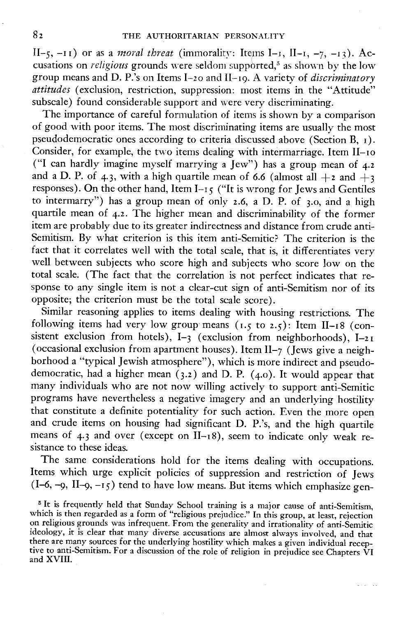**THE AUTHORITARIAN PERSONALITY**<br>  $I_{-5}$ ,  $-11$  or as a *moral threat* (immorality: Items  $I_{-1}$ <br>
usations on *religious* grounds were seldom supported,<sup>5</sup><br>
roup means and D. P.'s on Items  $I_{-20}$  and  $II_{-19}$ . A varie II–5, –11) or as a *moral threat* (immorality: Items I–1, II–1, –7, –13). Ac-<br>cusations on *religious* grounds were seldom supported,<sup>5</sup> as shown by the low<br>group means and D. P.'s on Items I–20 and II–19. A variety of *d* 

group means and D. P.'s on Items I-20 and II-19. A variety of *discriminatory attitudes* (exclusion, restriction, suppression: most items in the "Attitude" subscale) found considerable support and were very discriminati ("I can hardly imagine myself marrying a Jew") has a group mean of 4.2 and a D. P. of 4.3, with a high quartile mean of 6.6 (almost all  $+2$  and  $+3$ ) ("I can hardly imagine myself marrying a Jew") has a group mean of 4.2<br>and a D. P. of 4.3, with a high quartile mean of 6.6 (almost all  $+2$  and  $+3$ <br>responses). On the other hand, Item I-15 ("It is wrong for Jews and Gen and a D. P. of 4.3, with a high quartile mean of 6.6 (almost all  $+2$  and  $+3$  responses). On the other hand, Item I–15 ("It is wrong for Jews and Gentiles to intermarry") has a group mean of only 2.6, a D. P. of 3.0, and quartile mean of 4.2. The higher mean and discriminability of the former<br>item are probably due to its greater indirectness and distance from crude anti-<br>Semitism. By what criterion is this item anti-Semitic? The criterion fact that it correlates well with the total scale, that is, it differentiates very<br>well between subjects who score high and subjects who score low on the<br>total scale. (The fact that the correlation is not perfect indicates well between subjects who score high and subjects who score low on the<br>total scale. (The fact that the correlation is not perfect indicates that re-<br>sponse to any single item is not a clear-cut sign of anti-Semitism nor o

following items had very low group means  $(1.5 \text{ to } 2.5)$ : Item II-18 (con-<br>sistent exclusion from hotels), I-3 (exclusion from neighborhoods), I-21<br>(occasional exclusion from apartment houses). Item II-7 (Jews give a nei sistent exclusion from hotels), I–3 (exclusion from neighborhoods), I–2<br>(occasional exclusion from apartment houses). Item II–7 (Jews give a neigh<br>borhood a "typical Jewish atmosphere"), which is more indirect and pseudo (occasional exclusion from apartment houses). Item  $II$ - $\gamma$  (Jews give a neigh-<br>borhood a "typical Jewish atmosphere"), which is more indirect and pseudo-<br>democratic, had a higher mean (3.2) and D. P. (4.0). It would appe democratic, had a higher mean  $(3.2)$  and D. P.  $(4.0)$ . It would appear that many individuals who are not now willing actively to support anti-Semitic programs have nevertheless a negative imagery and an underlying hostility that constitute a definite potentiality for such action. Even the more open and crude items on housing had significant D. P.'s, and the high quartile that constitute a definite potentiality for such action. Even the more open<br>and crude items on housing had significant D. P.'s, and the high quartile<br>means of 4.3 and over (except on  $II$ -18), seem to indicate only weak re

means of these ideas.<br>The same considerations hold for the items dealing with occupations.<br>Items which urge explicit policies of suppression and restriction of Jews  $(I-6, -9, II-9, -15)$  tend to have low means. But items which emphasize gen-

82

<sup>(1–6, –9, 11–9, –15)</sup> tend to have low means. But items which emphasize gen<sup>5</sup> It is frequently held that Sunday School training is a major cause of anti-Semitism which is then regarded as a form of "religious prejudice." is group, at least, rejection<br>prationality of anti-Semitical<br>ways involved, and that<br>a given individual recept<br>prejudice see Chanters V ideology, it is clear that many diverse accusations are almost always involved, and that there are many sources for the underlying hostility which makes a given individual receptive to anti-Semitism. For a discussion of th there are many sources for the underlying hostility which makes a given individual recepthere are many sources for the underlying nostifity which makes a given individual receptive to anti-Semitism. For a discussion of the role of religion in prejudice see Chapters V and XVIII. and XVIII.  $\frac{1}{2}$  and  $\frac{1}{2}$  and  $\frac{1}{2}$  and  $\frac{1}{2}$  and  $\frac{1}{2}$  and  $\frac{1}{2}$  and  $\frac{1}{2}$  and  $\frac{1}{2}$  and  $\frac{1}{2}$  and  $\frac{1}{2}$  and  $\frac{1}{2}$  and  $\frac{1}{2}$  and  $\frac{1}{2}$  and  $\frac{1}{2}$  and  $\frac{1}{2}$  and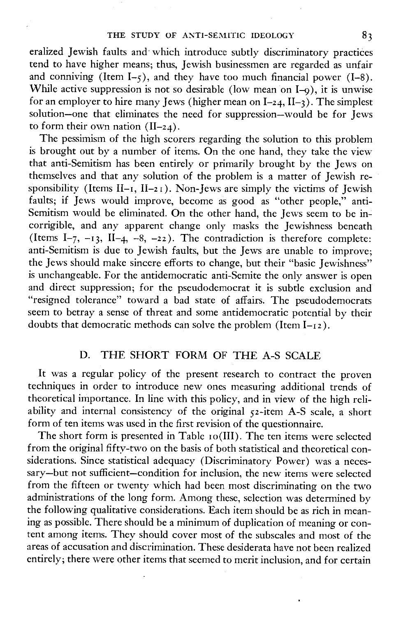THE STUDY OF ANTI-SEMITIC IDEOLOGY 83<br>eralized Jewish faults and which introduce subtly discriminatory practices<br>tend to have higher means; thus, Jewish businessmen are regarded as unfair<br>and conniving (Item I-5), and the for an employer to hire many Jews (higher mean on I-24, II-3). The simplest solution—one that eliminates the need for suppression—would be for Jews to form their own nation  $(II-z_4)$ .

The pessimism of the high scorers regarding the solution to this problem<br>is brought out by a number of items. On the one hand, they take the view<br>that anti-Semitism has been entirely or primarily brought by the Jews on is brought out by a number of items. On the one hand, they take the view<br>that anti-Semitism has been entirely or primarily brought by the Jews on<br>themselves and that any solution of the problem is a matter of Jewish re-<br>s corrigible, and any apparent change only masks the Jewishness beneath (Items I-7, -13, II-4, -8, -22). The contradiction is therefore complete:<br>anti-Semitism is due to Jewish faults, but the Jews are unable to improve: (Items I-7, -13, II-4, -8, -22). The contradiction is therefore complete:<br>anti-Semitism is due to Jewish faults, but the Jews are unable to improve;<br>the Jews should make sincere efforts to change, but their "basic Jewishn is unchangeable. For the antidemocratic anti-Semite the only answer is open<br>and direct suppression; for the pseudodemocrat it is subtle exclusion and<br>"resigned tolerance" toward a bad state of affairs. The pseudodemocrats<br> and direct suppression; for the pseudodemocrat it is subtle exclusion and<br>"resigned tolerance" toward a bad state of affairs. The pseudodemocrats<br>seem to betray a sense of threat and some antidemocratic potential by their seem to betray a sense of threat and some antidemocratic potential by their doubts that democratic methods can solve the problem (Item I-12).<br>  $D$  THE SHORT FORM OF THE A-S SCALE

# THE SHORT FORM OF THE A-S SCALE

It was a regular policy of the present research to contract the proven<br>techniques in order to introduce new ones measuring additional trends of<br>theoretical importance. In line with this policy, and in view of the high reli theoretical importance. In line with this policy, and in view of the high reliform of ten items was used in the first revision of the questionnaire.

The short form is presented in Table  $io(III)$ . The ten items were selected from the original fifty-two on the basis of both statistical and theoretical considerations. Since statistical adequacy (Discriminatory Power) was a necessary-but not sufficient-condition for inclusion, the new items were selected from the fifteen or twenty which had been most discriminating on the two administrations of the long form. Among these, selection was determined by the following qualitative considerations. Each item should be as rich in meaning as possible. There should be a minimum of duplication of meaning o the following qualitative considerations. Each item should be as rich in meanthe following qualitative considerations. Each item should be as rich in meaning as possible. There should be a minimum of duplication of meaning or content among items. They should cover most of the subscales and most of areas of accusation and discrimination. These desiderata have not been realized<br>entirely; there were other items that seemed to merit inclusion, and for certain<br>intirely. entirely; there were other items that seemed to merit inclusion, and for certain<br>.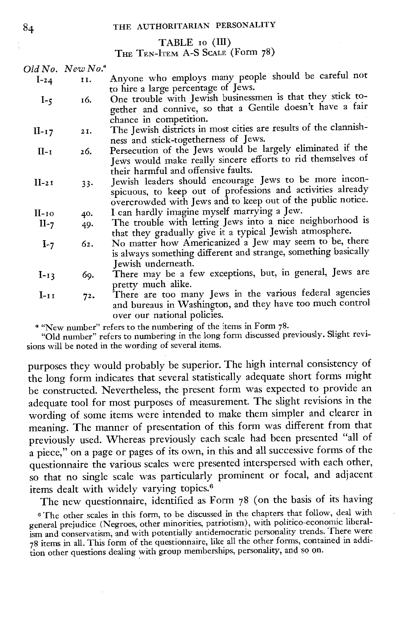| 84       |                              | THE AUTHORITARIAN PERSONALITY                                                                                                                                                                                               |
|----------|------------------------------|-----------------------------------------------------------------------------------------------------------------------------------------------------------------------------------------------------------------------------|
|          |                              | TABLE 10 (III)<br>THE TEN-ITEM A-S SCALE (Form 78)                                                                                                                                                                          |
|          | Old No. New No. <sup>a</sup> |                                                                                                                                                                                                                             |
| $I-24$   | II.                          | Anyone who employs many people should be careful not<br>to hire a large percentage of Jews.                                                                                                                                 |
| $I-5$    | 16.                          | One trouble with Jewish businessmen is that they stick to-<br>gether and connive, so that a Gentile doesn't have a fair<br>chance in competition.                                                                           |
| $II-17$  | 2I.                          | The Jewish districts in most cities are results of the clannish-<br>ness and stick-togetherness of Jews.                                                                                                                    |
| $II - I$ | 26.                          | Persecution of the Jews would be largely eliminated if the<br>Jews would make really sincere efforts to rid themselves of                                                                                                   |
| $II-2I$  | $33 -$                       | their harmful and offensive faults.<br>Jewish leaders should encourage Jews to be more incon-<br>spicuous, to keep out of professions and activities already<br>overcrowded with Jews and to keep out of the public notice. |
| $II$ -10 | 40.                          | I can hardly imagine myself marrying a Jew.                                                                                                                                                                                 |
| $II-7$   | 49.                          | The trouble with letting Jews into a nice neighborhood is<br>that they gradually give it a typical Jewish atmosphere.                                                                                                       |
| $I-7$    | 62.                          | No matter how Americanized a Jew may seem to be, there<br>is always something different and strange, something basically<br>Jewish underneath.                                                                              |
| $I-13$   | 69.                          | There may be a few exceptions, but, in general, Jews are<br>pretty much alike.                                                                                                                                              |
| $I-11$   | 72.                          | There are too many Jews in the various federal agencies<br>and bureaus in Washington, and they have too much control<br>over our national policies.                                                                         |
|          |                              | <sup>a</sup> "New number" refers to the numbering of the items in Form 78.<br>"Old number" refers to numbering in the long form discussed previously. Slight revi-                                                          |

"Old number" refers to numbering in the long form discussed previously. Slight revi-

sions will be noted in the wording of several items.<br>purposes they would probably be superior. The high internal consistency o the long form indicates that several statistically adequate short forms might be constructed. Nevertheless, the present form was expected to provide an adequate tool for most purposes of measurement. The slight revisions i adequate tool for most purposes of measurement. The slight revisions in the wording of some items were intended to make them simpler and clearer in meaning. The manner of presentation of this form was different from that p previously used. Whereas previously each scale had been presented "all of a piece," on a page or pages of its own, in this and all successive forms of the questionnaire the various scales were presented interspersed with e so that no single scale was particularly prominent or focal, and adjacent<br>items dealt with widely varying topics.<sup>6</sup><br>The new questionnaire, identified as Form 78 (on the basis of its having

so that no single scale was particularly prominent or focal, and adjacent items dealt with widely varying topics.<sup>6</sup><br>The new questionnaire, identified as Form 78 (on the basis of its having<br><sup>6</sup> The other scales in this for <sup>6</sup> The other scales in this form, to be discussed in the chapters that follow, deal with general prejudice (Negroes, other minorities, patriotism), with politico-economic liberal-<br>ism and conservatism, and with potentiall The other scales in this form, to be discussed in the chapters that follow, deal with<br>eral prejudice (Negroes, other minorities, patriotism), with politico-economic liberal-<br>and conservatism, and with potentially antidemoc general prejudice (Negroes, other minorities, patriotism), with politico-economic liberal- ism and conservatism, and with potentially antidemocratic personality trends. There were 78 items in all. This form of the question tion other questions dealing with group memberships, personality, and so on.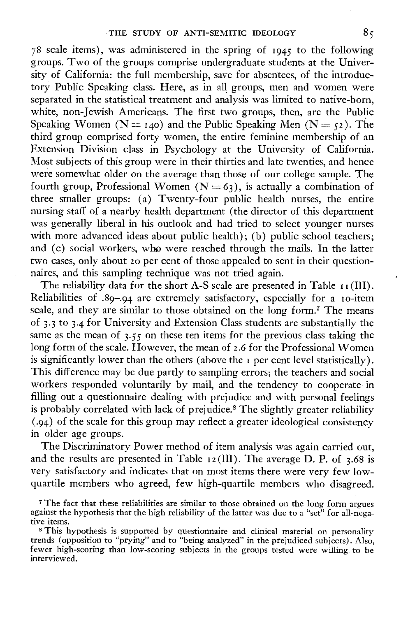THE STUDY OF ANTI-SEMITIC IDEOLOGY  $85$ <br>78 scale items), was administered in the spring of 1945 to the following<br>groups. Two of the groups comprise undergraduate students at the Univer-<br>sity of California: the full member sity of California: the full membership, save for absentees, of the introducseparated in the statistical treatment and analysis was limited to native-born, Speaking Women ( $N = 140$ ) and the Public Speaking Men ( $N = 52$ ). The third group comprised forty women, the entire feminine membership of an Speaking Women ( $N = 140$ ) and the Public Speaking Men ( $N = 52$ ). The third group comprised forty women, the entire feminine membership of an Extension Division class in Psychology at the University of California Most subj Most subjects of this group were in their thirties and late twenties, and hence<br>were somewhat older on the average than those of our college sample. The fourth group, Professional Women ( $N = 63$ ), is actually a combination of three smaller groups: (a) Twenty-four public health nurses, the entire three smaller groups: (a) Twenty-four public health nurses, the entire<br>nursing staff of a nearby health department (the director of this department<br>was generally liberal in his outlook and had tried to select younger nurse was generally liberal in his outlook and had tried to select younger nurses<br>with more advanced ideas about public health); (b) public school teachers;<br>and (c) social workers, who were reached through the mails. In the latt and (c) social workers, who were reached through the mails. In the latter two cases, only about 20 per cent of those appealed to sent in their question-<br>naires, and this sampling technique was not tried again. two cases, only about 20 per cent of those appealed to sent in their question-<br>naires, and this sampling technique was not tried again.<br>The reliability data for the short A-S scale are presented in Table 11(III).

naires, and this sampling technique was not tried again.<br>The reliability data for the short A-S scale are presented in Table 11(III)<br>Reliabilities of .80–.04 are extremely satisfactory, especially for a 10-iten Reliabilities of  $.89-04$  are extremely satisfactory, especially for a ro-item scale, and they are similar to those obtained on the long form.<sup>7</sup> The means of 3.3 to 3.4 for University and Extension Class students are substantially the same as the mean of 3.55 on these ten items for the previous cla scale, and they are similar to those obtained on the long form.<sup>7</sup> The means<br>of 3.3 to 3.4 for University and Extension Class students are substantially the<br>same as the mean of 3.55 on these ten items for the previous cla is significantly lower than the others (above the *i* per cent level statistically)<br>This difference may be due partly to sampling errors; the teachers and social<br>workers responded voluntarily by mail, and the tendency to c filling out a questionnaire dealing with prejudice and with personal feelings is probably correlated with lack of prejudice.<sup>8</sup> The slightly greater reliability  $(.94)$  of the scale for this group may reflect a greater ideological consistency in older age groups.

(.94) of the scale for this group may reflect a greater ideological consistency<br>in older age groups.<br>The Discriminatory Power method of item analysis was again carried out<br>and the results are presented in Table  $_{12}$ (III in older age groups.<br>The Discriminatory Power method of item analysis was again carried out, and the results are presented in Table 12(III). The average D. P. of 3.68 is very satisfactory and indicates that on most items very satisfactory and indicates that on most items there were very few low-<br>quartile members who agreed, few high-quartile members who disagreed.

quartile members who agreed, few high-quartile members who disagreed.<br>The fact that these reliabilities are similar to those obtained on the long form argues<br>against the hypothesis that the high reliability of the latter w

against the hypothesis that the high reliability of the latter was due to a "set" for all-nega-<br>tive items.<br><sup>8</sup> This hypothesis is supported by questionnaire and clinical material on personality<br>trends (opposition to "pryi <sup>8</sup> This hypothesis is supported by questionnaire and clinical material on personality ends (opposition to "prying" and to "being analyzed" in the prejudiced subjects). Also wer high-scoring than low-scoring subjects in th fewer high-scoring than low-scoring subjects in the groups tested were willing to be interviewed. interviewed.<br>
The contract of the contract of the contract of the contract of the contract of the contract of the contract of<br>
The contract of the contract of the contract of the contract of the contract of the contract of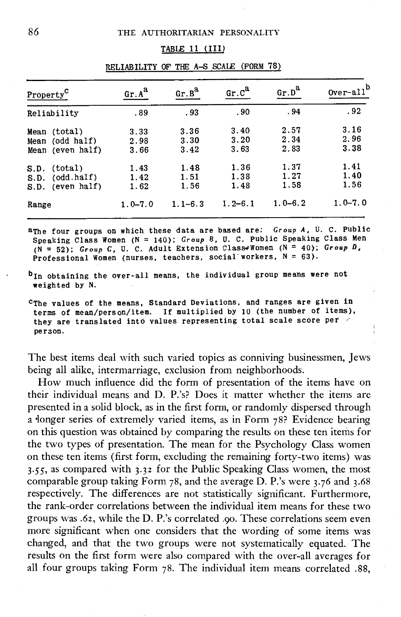| 86                                                  | THE AUTHORITARIAN PERSONALITY<br>TABLE 11 (III) |                      |                                                      |                      |                      |  |
|-----------------------------------------------------|-------------------------------------------------|----------------------|------------------------------------------------------|----------------------|----------------------|--|
|                                                     | RELIABILITY OF THE A-S SCALE (FORM 78)          |                      |                                                      |                      |                      |  |
| Property <sup>C</sup>                               | $Gr.A^a$                                        | Gr.B <sup>a</sup>    | $\mathbf{G}\mathbf{r} \cdot \mathbf{C}^{\mathbf{a}}$ | Gr.D <sup>a</sup>    | b<br>Over-all        |  |
| Reliability                                         | .89                                             | . 93                 | .90                                                  | .94                  | .92                  |  |
| Mean (total)<br>Mean (odd half)<br>Mean (even half) | 3.33<br>2.98<br>3.66                            | 3.36<br>3.30<br>3.42 | 3.40<br>3.20<br>3.63                                 | 2.57<br>2.34<br>2.83 | 3.16<br>2.96<br>3.38 |  |
| S.D. (total)<br>S.D. (odd.half)<br>S.D. (even half) | 1.43<br>1.42<br>1.62                            | 1.48<br>1.51<br>1.56 | 1.36<br>1.38<br>1.48                                 | 1.37<br>1.27<br>1.58 | 1.41<br>1.40<br>1.56 |  |
| Range                                               | $1.0 - 7.0$                                     | $1.1 - 6.3$          | $1.2 - 6.1$                                          | $1.0 - 6.2$          | $1.0 - 7.0$          |  |

 $a$ The four groups on which these data are based are:  $Group A$ , U.C. Public Range 1.0—7.0 1.1—6.3 1.2—6.1 1.0—6.2 1.0—7.0 <br>
<br> **AThe four groups on which these data are based are:** *Group A*, U. C. Publi<br>
Speaking Class Women (N = 140); *Group B*, U. C. Public Speaking Class Mer<br>
(N = 52); *Group* The four groups on which these data are based are:  $Group\ A$ , U. C. Public Speaking Class Women (N = 140);  $Group\ B$ , U. C. Public Speaking Class Men (N = 52);  $Group\ C$ , U. C. Adult Extension Class\*Women (N = 40);  $Group\ D$ , Professiona ( $N = 52$ ); Group C, U. C. Adult Extension Class\*Women ( $N = 40$ ); Group D,<br>Professional Women (nurses, teachers, social workers,  $N = 63$ ).<br>In obtaining the over-all means, the individual group means were not<br>weighted by N. ( $N = 52$ ); Group C, U. C. Adult Extension Class\*Women ( $N = 40$ ); Group D<br>Professional Women (nurses, teachers, social workers,  $N = 63$ ).<br>In obtaining the over-all means, the individual group means were not<br>weighted by N.

= 52); Group C, U. C. Adult Extension Class\*Women (N = fessional Women (nurses, teachers, social workers, N = obtaining the over-all means, the individual group meaghted by N. Professional Women (nurses, teachers, social workers,  $N = 63$ ).<br>  $b_{In}$  obtaining the over-all means, the individual group means were no<br>
weighted by N.<br>
CThe values of the means, Standard Deviations, and ranges are given

weighted by N.<br>The values of the means, Standard Deviations, and ranges are given<br>terms of mean/person/item. If multiplied by 10 (the number of item<br>they are translated into values representing total scale score per CThe values of the means, Standard Deviations, and ranges are given is<br>terms of mean/person/item. If multiplied by 10 (the number of items<br>they are translated into values representing total scale score per terms of mean/person/item. If multiplied by 10 (the number of items), they are translated into values representing total scale score per  $\sim$  person.<br>Derson.

person.<br>The best items deal with such varied topics as conniving businessmen, Jews<br>being all alike, intermarriage, exclusion from neighborhoods.

How much influence did the form of presentation of the items have on their individual means and D. P.'s? Does it matter whether the items are presented in a solid block, as in the first form, or randomly dispersed through their individual means and D. P.'s? Does it matter whether the items are presented in a solid block, as in the first form, or randomly dispersed through a longer series of extremely varied items, as in Form 78? Evidence be a longer series of extremely varied items, as in Form 78? Evidence bearing on this question was obtained by comparing the results on these ten items for the two types of presentation. The mean for the Psychology Class wome 3.55, as compared with  $3.32$  for the Public Speaking Class women, the most comparable group taking Form 78, and the average D. P.'s were  $3.76$  and  $3.68$  respectively. The differences are not statistically significant. groups was .62, while the D. P.'s correlated .90. These correlations seem even more significant when one considers that the wording of some items was changed, and that the two groups were not systematically equated. The results on the first form were also compared with the over-all averages for all four groups taking Form 78. The individual item means correlated .88.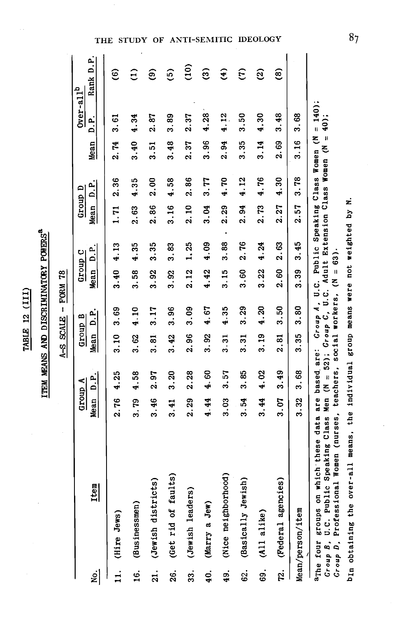TABLE 12 (III) TABLE 12 (III)

# ITEM MEANS AND DISCRIMINATORY POWERS<sup>2</sup> ITEM MEANS AND DISCRIMINATORY POWERS<sup>a</sup>

A—S SCALE — FORM 78

|                    |                                                                                                          |           | Group A       | Group B          |      | Group C      |          | $G_{TQUD}$ <sup>D</sup> |      |      | $Over-11b$                     |                          |
|--------------------|----------------------------------------------------------------------------------------------------------|-----------|---------------|------------------|------|--------------|----------|-------------------------|------|------|--------------------------------|--------------------------|
| $\dot{\mathbf{z}}$ | Item                                                                                                     | Mean D.P. |               | Mean D.P.        |      | Mean D.P.    |          | Mean D.P.               |      | Mean | $\mathbf{p}$ .<br>$\mathbf{q}$ | Rank D.P.                |
| $\frac{1}{2}$      | (Hire Jews)                                                                                              | 2.76      | 4.25          | $\frac{10}{3}$   | 3.69 | 3.40         | 4.13     | 1.71                    | 2.36 | 2.74 | 3.61                           | $\widehat{e}$            |
| $\ddot{1}$         | (Businessmen)                                                                                            | 3.79      | 4.58          | 3.62             | 4.10 | 3.58         | 4.35     | 2.63                    | 4.35 | 3.40 | 4.34                           | Ξ                        |
| $\overline{a}$ .   | (Jewish districts)                                                                                       | 3.46      | 2.97          | $3.\overline{8}$ | 3.17 | 3.92         | 3.35     | 2.86                    | 2.00 | 3.51 | 2.87                           | ම                        |
| <u>ន់</u>          | (Get rid of faults)                                                                                      | 3.41      | 3.20          | 3.42             | 3.96 | 3.92         | 3.83     | 3.16                    | 4.58 | 3.48 | 3.89                           | ව                        |
| 33.                | (Jewish leaders)                                                                                         | 2.29      | 2.28          | 2.96             | 3.09 | 2.12         | 1.25     | 2.10                    | 2.86 | 2.37 | 2.37                           | $\widehat{\mathsf{S}}$   |
| \$.                | (Marry a Jew)                                                                                            | 4.44      | 4.60          | 3.92             | 4.67 | 4.42         | 4.09     | 3.04                    | 3.77 | 3.96 | 4.28                           | ම                        |
| 49.                | (Nice neighborhood)                                                                                      | 3.03      | 3.57          | 3.31             | 4.35 | 3.15         | $3.88$ . | 2.29                    | 4.70 | 2.94 | 4.12                           | $\widehat{\mathbf{f}}$   |
| $\tilde{c}$        | (Basically Jewish)                                                                                       | 3.54      | 3.85          | 3.31             | 3.29 | 3.60         | 2.76     | 2.94                    | 4.12 | 3.35 | 3.50                           | ε                        |
| <u>ຣີ</u>          | (411 a 11ke)                                                                                             | 3.44      | 4.02          | 3.19             | 4.20 | 3.22         | 4.24     | 2.73                    | 4.76 | 3.14 | 4.30                           | $\widehat{\mathfrak{S}}$ |
| ġ.                 | (Federal agencies)                                                                                       |           | $3.07$ $3.49$ | 2.81             | 3.50 | <u>2</u> .60 | 2.63     | 2.27                    | 4.30 | 2.69 | 3.48                           | $\widehat{\mathbf{e}}$   |
|                    | Mean/person/item                                                                                         | 3.32      | 3.68          | 3.35             | 3.80 | 3.39         | 3.45     | 2.57                    | 3.78 | 3.16 | 3.68                           |                          |
|                    | arne four groups on which these data are based are: Group A, U.C. Public Speaking Class Women (N = 140); |           |               |                  |      |              |          |                         |      |      |                                |                          |

THE STUDY OF ANTI-SEMITIC IDEOLO

 $8<sub>7</sub>$ 

Group B, U.C. Public Speaking Class Men (N

Group D, Professional Women (nurses, teachers, social workers, (N

bIn obtaining the over-all means, the individual group means were not weighted by N.

bIn obtaining the over-all means, the individual group means were not weighted by N.

Group B, U.C. Public Speaking Class Men ( $N = 52$ ); Group C, U.C. Adult Extension Class Women ( $N = 40$ );<br>Group D, Professional Women (nurses, teachers, social workers, ( $N = 63$ ).

 $=$  52); Group C, U.C. Adult Extension Class Women (N  $=$  40);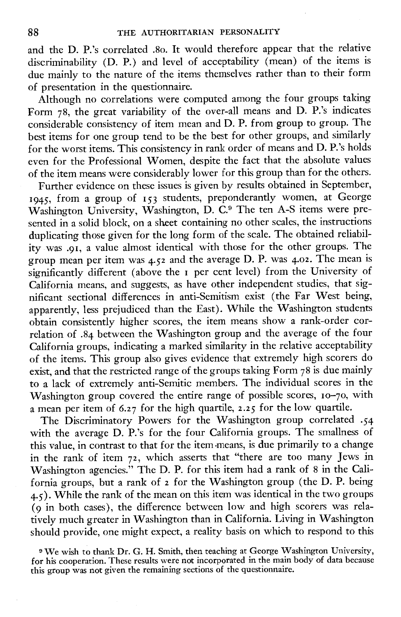THE AUTHORITARIAN PERSONALITY<br>
nd the D. P.'s correlated .80. It would therefore app<br>
iscriminability (D. P.) and level of acceptability (m<br>
ue mainly to the nature of the items themselves rathe and the D. P.'s correlated .8o. It would therefore appear that the relative discriminability (D. P.) and level of acceptability (mean) of the items is due mainly to the nature of the items themselves rather than to their f

of presentation in the questionnaire.<br>Although no correlations were computed among the four groups taking<br>Form 78, the great variability of the over-all means and D. P.'s indicates of presentation in the questionnaire.<br>Although no correlations were computed among the four groups taking<br>Form 78, the great variability of the over-all means and D. P.'s indicates<br>considerable consistency of item mean and for the worst items. This consistency in rank order of means and D. P.'s holds<br>even for the Professional Women, despite the fact that the absolute values<br>of the item means were considerably lower for this group than for th for the Professional Women, despite the fact that the absolute values<br>of the item means were considerably lower for this group than for the others.<br>Further evidence on these issues is given by results obtained in September

of the item means were considerably lower for this group than for the others.<br>Further evidence on these issues is given by results obtained in September, 1945, from a group of 153 students, preponderantly women, at George 1945, from a group of 153 students, preponderantly women, at Georg<br>Washington University, Washington, D. C.<sup>9</sup> The ten A-S items were pre<br>sented in a solid block on a sheet containing no other scales, the instruction duplicating those given for the long form of the scale. The obtained reliability was .91, a value almost identical with those for the other groups. The group mean per item was  $4.52$  and the average D. P. was  $4.02$ . The group mean per item was 4.52 and the average D. P. was 4.02. The mean is<br>significantly different (above the  $\tau$  per cent level) from the University of<br>California means, and suggests, as have other independent studies, th apparently, less prejudiced than the East). While the Washington students obtain consistently higher scores, the item means show a rank-order correlation of .84 between the Washington group and the average of the four-California groups, indicating a marked similarity in the relative acceptability of the items. This group also gives evidence that extremely high scorers do exist, and that the restricted range of the groups taking Form 78 of the items. This group also gives evidence that extremely high scorers do exist, and that the restricted range of the groups taking Form  $78$  is due mainly to a lack of extremely anti-Semitic members. The individual sco of the items. This group also gives evidence that extremely high scorers desist, and that the restricted range of the groups taking Form 78 is due mainly to a lack of extremely anti-Semitic members. The individual scores i exist, and that the restricted range of the groups taking Form 78 is due mainly<br>to a lack of extremely anti-Semitic members. The individual scores in the<br>Washington group covered the entire range of possible scores, 10–70 to a lack of extremely anti-Semitic members. The individual scores in the Washington group covered the entire range of possible scores, 10–70, with a mean per item of 6.27 for the high quartile, 2.25 for the low quartile. Washington group covered the entire range of possible scores, 10–70, with a mean per item of 6.27 for the high quartile, 2.25 for the low quartile.<br>The Discriminatory Powers for the Washington group correlated .54 with the

a mean per item of 6.27 for the high quartile, 2.25 for the low quartile.<br>The Discriminatory Powers for the Washington group correlated .<br>with the average D. P.'s for the four California groups. The smallness of<br>this valu with the average D. P.'s for the four California groups. The smallness of<br>this value, in contrast to that for the item means, is due primarily to a change<br>in the rank of item 72, which asserts that "there are too many Jew Washington agencies." The D. P. for this item had a rank of 8 in the Cali-<br>fornia groups, but a rank of 2 for the Washington group (the D. P. being  $4.5$ ). While the rank of the mean on this item was identical in the two 4.5). While the rank of the mean on this item was identical in the two groups (9 in both cases), the difference between low and high scorers was relatively much greater in Washington than in California. Living in Washingto (9 in both cases), the difference between low and high scorers was relatively much greater in Washington than in California. Living in Washington should provide, one might expect, a reality basis on which to respond to thi

this group was not given the remaining sections of the questionnaire.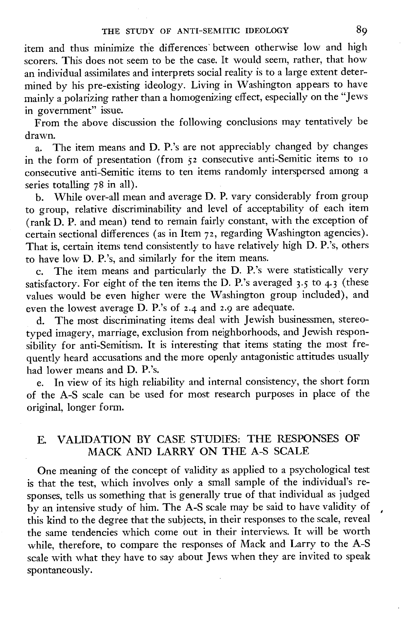THE STUDY OF ANTI-SEMITIC IDEOLOGY 89<br>item and thus minimize the differences between otherwise low and high<br>scorers. This does not seem to be the case. It would seem, rather, that how<br>an individual assimilates and interpre an individual assimilates and interprets social reality is to a large extent determined by his pre-existing ideology. Living in Washington appears to have mainly a polarizing rather than a homogenizing effect, especially o mined by his pre-existing ideology. Living in Washington appears to have<br>mainly a polarizing rather than a homogenizing effect, especially on the "Jews<br>in government" issue.<br>From the above discussion the following conclusi

in the form of presentation (from  $\zeta$ 2 consecutive anti-Semitic items to 10

in the form of presentation (from 52 consecutive anti-Semitic items to 10<br>consecutive anti-Semitic items to ten items randomly interspersed among a<br>series totalling 78 in all).<br>b. While over-all mean and average D. P. vary to group, relative discriminability and level of acceptability of each item (rank  $D$ .  $P$ . and mean) tend to remain fairly constant, with the exception of certain sectional differences (as in Item 72, regarding Washingto

certain sectional differences (as in Item 72, regarding Washington agencies).<br>That is, certain items tend consistently to have relatively high D. P.'s, others<br>to have low D. P.'s, and similarly for the item means.<br>c. The satisfactory. For eight of the ten items the D. P.'s averaged 3.5 to 4.3 (these<br>values would be even higher were the Washington group included), and<br>even the lowest average D. P.'s of 2.4 and 2.9 are adequate.<br>d. The most

d. The most discriminating items deal with Jewish businessmen, stereoeven the lowest average D. P.'s of 2.4 and 2.9 are adequate.<br>d. The most discriminating items deal with Jewish businessmen, stereo-<br>typed imagery, marriage, exclusion from neighborhoods, and Jewish respon-<br>sibility for ant sibility for anti-Semitism. It is interesting that items stating the most frequently heard accusations and the more openly antagonistic attitudes usually had lower means and D. P.'s. quently heard accusations and the more openly antagonistic attitudes usually<br>had lower means and D. P.'s.<br>e. In view of its high reliability and internal consistency, the short form

had lower means and D. P.'s.<br>
e. In view of its high reliability and internal consistency, the short form<br>
of the A-S scale can be used for most research purposes in place of the<br>
original, longer form.

# E. VALIDATION BY CASE STUDIES: THE RESPONSES OF<br>MACK AND LARRY ON THE A-S SCALE<br>One meaning of the concept of validity as applied to a psychological test

MACK AND LARRY ON THE A-S SCALE<br>ing of the concept of validity as applied to a psychological<br>it, which involves only a small sample of the individual's<br>is something that is generally true of that individual as jude<br>re stud One meaning of the concept of validity as applied to a psychological test<br>is that the test, which involves only a small sample of the individual's re-<br>sponses, tells us something that is generally true of that individual a by an intensive study of him. The A-S scale may be said to have validity of this kind to the degree that the subjects, in their responses to the scale, reveal the same tendencies which come out in their interviews. It will while, therefore, to compare the responses of Mack and Larry to the A-S<br>scale with what they have to say about Jews when they are invited to speak<br>spontaneously. scale with what they have to say about Jews when they are invited to speak<br>spontaneously. spontaneously.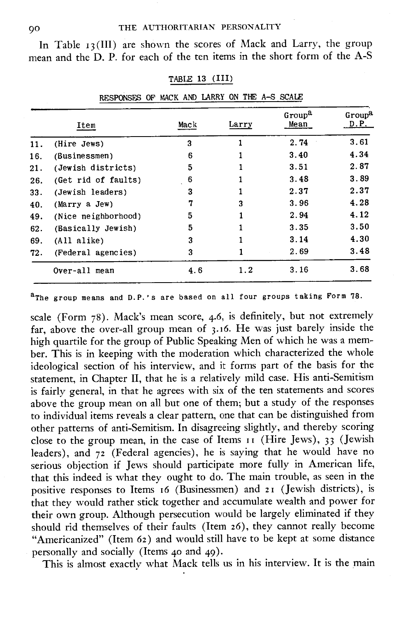O THE AUTHORITARIAN PERSONALITY<br>In Table 13(III) are shown the scores of Mack arean and the D. P. for each of the ten items in the sh<br>TABLE 13 (III) In Table 13(III) are shown the scores of Mack and Larry, the group<br>an and the D. P. for each of the ten items in the short form of the A-S<br> $\frac{\text{TABLE 13 (III)}}{\text{TABLE 13 (III)}}$ 

|     |                     | TABLE 13 (III)<br>RESPONSES OF MACK AND LARRY ON THE A-S SCALE |       |                            |                            |
|-----|---------------------|----------------------------------------------------------------|-------|----------------------------|----------------------------|
|     | Item                | Mack                                                           | Larry | Group <sup>a</sup><br>Mean | Group <sup>a</sup><br>D.P. |
| 11. | (Hire Jews)         | 3                                                              | 1     | 2.74                       | 3.61                       |
| 16. | (Businessmen)       | 6                                                              |       | 3.40                       | 4.34                       |
| 21. | (Jewish districts)  | 5                                                              |       | 3.51                       | 2.87                       |
| 26. | (Get rid of faults) | 6                                                              |       | 3.48                       | 3.89                       |
| 33. | (Jewish leaders)    | 3                                                              |       | 2.37                       | 2.37                       |
| 40. | (Marry a Jew)       | 7                                                              | 3     | 3.96                       | 4.28                       |
| 49. | (Nice neighborhood) | 5                                                              |       | 2.94                       | 4.12                       |
| 62. | (Basically Jewish)  | 5                                                              |       | 3.35                       | 3.50                       |
| 69. | (All alike)         | 3                                                              |       | 3.14                       | 4.30                       |
| 72. | (Federal agencies)  | 3                                                              |       | 2.69                       | 3.48                       |
|     | Over-all mean       | 4.6                                                            | 1.2   | 3.16                       | 3.68                       |

<sup>a</sup>The group means and D.P.'s are based on all four groups taking Form 78.

scale (Form  $78$ ). Mack's mean score, 4.6, is definitely, but not extremely a<sub>The group means and D.P.'s are based on all four groups taking Form 78.<br>Scale (Form 78). Mack's mean score, 4.6, is definitely, but not extrem<br>far, above the over-all group mean of 3.16. He was just barely inside<br>high qu</sub> scale (Form 78). Mack's mean score, 4.6, is definitely, but not extremely<br>far, above the over-all group mean of 3.16. He was just barely inside the<br>high quartile for the group of Public Speaking Men of which he was a mem-<br> far, above the over-all group mean of 3.16. He was just barely inside the high quartile for the group of Public Speaking Men of which he was a mem-<br>ber. This is in keeping with the moderation which characterized the whole<br> ideological section of his interview, and it forms part of the basis for the statement, in Chapter II, that he is a relatively mild case. His anti-Semitism This is in keeping with the moderation which characterized the whole ological section of his interview, and it forms part of the basis for the tement, in Chapter II, that he is a relatively mild case. His anti-Semitism fai ideological section of his interview, and it forms part of the basis for the statement, in Chapter II, that he is a relatively mild case. His anti-Semitism is fairly general, in that he agrees with six of the ten statement statement, in Chapter II, that he is a relatively mild case. His anti-Semitism<br>is fairly general, in that he agrees with six of the ten statements and score:<br>above the group mean on all but one of them; but a study of the above the group mean on all but one of them; but a study of the responses<br>to individual items reveals a clear pattern, one that can be distinguished from<br>other patterns of anti-Semitism. In disagreeing slightly, and there close to the group mean, in the case of Items 11 (Hire Jews), 33 (Jewish close to the group mean, in the case of Items 11 (Hire Jews), 33 (Jewish leaders), and 72 (Federal agencies), he is saying that he would have no serious objection if Jews should participate more fully in American life. tha 2 (Federal agencies), he is saying that he would have no<br>on if Jews should participate more fully in American life<br>I is what they ought to do. The main trouble, as seen in the<br>ses to Items 16 (Businessmen) and 21 (Jewish serious objection if Jews should participate more fully in American life, that this indeed is what they ought to do. The main trouble, as seen in the positive responses to Items 16 (Businessmen) and 21 (Jewish districts), positive responses to Items 16 (Businessmen) and 21 (Jewish districts), is that they would rather stick together and accumulate wealth and power for their own group. Although persecution would be largely eliminated if the should rid themselves of their faults (Item 26), they cannot really become "Americanized" (Item 62) and would still have to be kept at some distance personally and socially (Items 40 and 49). "Americanized" (Item 62) and would still have to be kept at some distance<br>personally and socially (Items 40 and 49).<br>This is almost exactly what Mack tells us in his interview. It is the mair personally and socially (Items 40 and 49).<br>This is almost exactly what Mack tells us in his interview. It is the main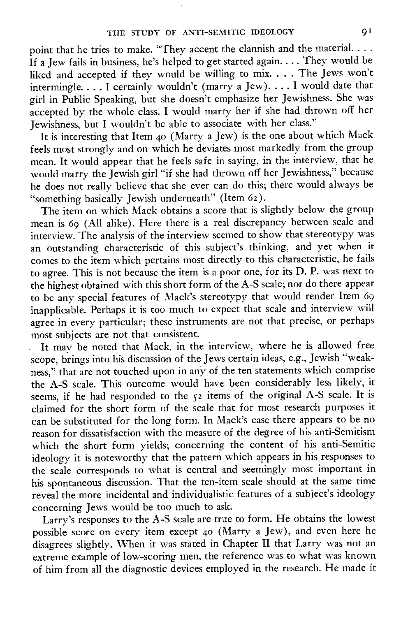THE STUDY OF ANTI-SEMITIC IDEOLOGY 9<br>point that he tries to make. "They accent the clannish and the material. . .<br>If a Jew fails in business, he's helped to get started again. . . . They would be<br>liked and accepted if they If a Jew fails in business, he's helped to get started again.... They would be<br>liked and accepted if they would be willing to mix.... The Jews won'<br>intermingle.... I certainly wouldn't (marry a Jew).... I would date that<br> intermingle. . . . I certainly wouldn't (marry a Jew). . . . I would date that girl in Public Speaking, but she doesn't emphasize her Jewishness. She was accepted by the whole class. I would marry her if she had thrown of

accepted by the whole class. I would marry her if she had thrown off her<br>Jewishness, but I wouldn't be able to associate with her class."<br>It is interesting that Item 40 (Marry a Jew) is the one about which Mack<br>feels most feels most strongly and on which he deviates most markedly from the group mean. It would appear that he feels safe in saying, in the interview, that he It is interesting that Item 40 (Marry a Jew) is the one about which Mack feels most strongly and on which he deviates most markedly from the group mean. It would appear that he feels safe in saying, in the interview, that mean. It would appear that he feels safe in saying, in the interview, that he would marry the Jewish girl "if she had thrown off her Jewishness," because the does not really believe that she ever can do this; there would he does not really believe that she ever can do this; there would always be<br>"something basically Jewish underneath" (Item 62).<br>The item on which Mack obtains a score that is slightly below the group

mean is 69 (All alike). Here there is a real discrepancy between scale and<br>interview. The analysis of the interview seemed to show that stereotypy was<br>an outstanding characteristic of this subject's thinking, and yet when mean is 69 (All alike). Here there is a real discrepancy between scale and<br>interview. The analysis of the interview seemed to show that stereotypy was<br>an outstanding characteristic of this subject's thinking, and yet when to agree. This is not because the item is a poor one, for its D. P. was next to the highest obtained with this short form of the A-S scale; nor do there appear to be any special features of Mack's stereotypy that would ren inapplicable. Perhaps it is too much to expect that scale and interview will agree in every particular; these instruments are not that precise, or perhaps most subjects are not that consistent. inapplicable. Perhaps it is too much to expect that scale and interview will agree in every particular; these instruments are not that precise, or perhaps most subjects are not that consistent.<br>It may be noted that Mack, i

most subjects are not that consistent.<br>It may be noted that Mack, in the interview, where he is allowed free<br>scope, brings into his discussion of the Jews certain ideas, e.g., Jewish "weakscope, brings into his discussion of the Jews certain ideas, e.g., Jewish "weak-<br>ness," that are not touched upon in any of the ten statements which comprise<br>the A-S scale. This outcome would have been considerably less l claimed for the short form of the scale that for most research purposes it can be substituted for the long form. In Mack's case there appears to be no reason for dissatisfaction with the measure of the degree of his anti-Semitism which the short form yields; concerning the content of his anti-Sem reason for dissatisfaction with the measure of the degree of his anti-Semitism which the short form yields; concerning the content of his anti-Semitic the scale corresponds to what is central and seemingly most important in his spontaneous discussion. That the ten-item scale should at the same time reveal the more incidental and individualistic features of a subject's id his spontaneous discussion. That the ten-item scale should at the same time reveal the more incidental and individualistic features of a subject's ideology

Larry's responses to the A-S scale are true to form. He obtains the lowest possible score on every item except 40 (Marry a Jew), and even here he disagrees slightly. When it was stated in Chapter II that Larry was not an extreme example of low-scoring men, the reference was to what was known possible score on every item except 40 (Marry a Jew), and even here he disagrees slightly. When it was stated in Chapter II that Larry was not an extreme example of low-scoring men, the reference was to what was known of h extreme example of low-scoring men, the reference was to what was known<br>of him from all the diagnostic devices employed in the research. He made it<br>is of him from all the diagnostic devices employed in the research. He made it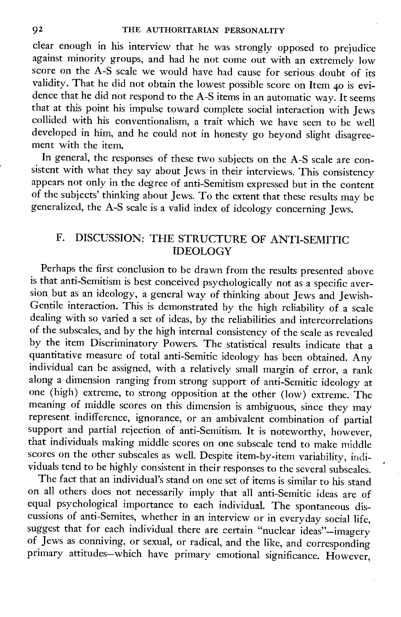THE AUTHORITARIAN PERSONALITY<br>dear enough in his interview that he was strongly of<br>gainst minority groups, and had he not come out with<br>core on the A-S scale we would have had cause for clear enough in his interview that he was strongly opposed to prejudice against minority groups, and had he not come out with an extremely low<br>score on the A-S scale we would have had cause for serious doubt of its<br>validit score on the  $\overline{A}-\overline{S}$  scale we would have had cause for serious doubt of its validity. That he did not obtain the lowest possible score on Item  $40$  is evidence that he did not respond to the  $\overline{A}-\overline{S}$  items in score on the A-S scale we would have had cause for serious doubt of its<br>validity. That he did not obtain the lowest possible score on Item 40 is evi-<br>dence that he did not respond to the A-S items in an automatic way. It s developed in him, and he could not in honesty go beyond slight disagreement with the item. collided with his conventionalism, a trait which we have seen to be well<br>developed in him, and he could not in honesty go beyond slight disagree-<br>ment with the item.<br>In general, the responses of these two subjects on the A

developed in him, and he could not in honesty go beyond slight disagree-<br>ment with the item.<br>In general, the responses of these two subjects on the A-S scale are con-<br>sistent with what they say about Jews in their intervie sistent with what they say about Jews in their interviews. This consistency appears not only in the degree of anti-Semitism expressed but in the content of the subjects' thinking about Jews. To the extent that these result appears not only in the degree of anti-Semitism expressed but in the content of the subjects' thinking about Jews. To the extent that these results may be generalized, the A-S scale is a valid index of ideology concerning ts may be<br>Jews.<br>TIC

# generalized, the A-S scale is a valid index of ideology concerning Jews.<br>F. DISCUSSION: THE STRUCTURE OF ANTI-SEMITIC DISCUSSION: THE STRUCTURE OF ANTI-SEMITIC<br>IDEOLOGY

IDEOLOGY<br>o be drawn from the results presented<br>ceived psychologically not as a specif<br>ral way of thinking about Jews and<br>nonstrated by the high reliability of<br>deas, by the reliabilities and intercorr Perhaps the first conclusion to be drawn from the results presented above<br>is that anti-Semitism is best conceived psychologically not as a specific aver-<br>sion but as an ideology, a general way of thinking about Jews and Je f a scale<br>relations<br>revealed<br>e that a dealing with so varied a set of ideas, by the reliabilities and intercorrelation<br>of the subscales, and by the high internal consistency of the scale as revealed<br>by the item Discriminatory Powers. The statistical results in of the subscales, and by the high internal consistency of the scale as revealed<br>by the item Discriminatory Powers. The statistical results indicate that a<br>quantitative measure of total anti-Semitic ideology has been obtain by the item Discriminatory Powers. The statistical results indicate that a quantitative measure of total anti-Semitic ideology has been obtained. Any individual can be assigned, with a relatively small margin of error, a r individual can be assigned, with a relatively small margin of error, a rank<br>along a dimension ranging from strong support of anti-Semitic ideology at<br>one (high) extreme, to strong opposition at the other (low) extreme. The along a dimension ranging from strong support of anti-Semitic ideology at one (high) extreme, to strong opposition at the other (low) extreme. The meaning of middle scores on this dimension is ambiguous, since they may rep represent indifference, ignorance, or an ambivalent combination of partial support and partial rejection of anti-Semitism. It is noteworthy, however, that individuals making middle scores on one subscale tend to make middl scores on the other subscales as well. Despite item-by-item variability, indi-<br>viduals tend to be highly consistent in their responses to the several subscales.

that individuals making middle scores on one subscale tend to make middle<br>scores on the other subscales as well. Despite item-by-item variability, indi-<br>viduals tend to be highly consistent in their responses to the severa on all others does not necessarily imply that all anti-Semitic ideas are of equal psychological importance to each individual. The spontaneous discussions of anti-Semites, whether in an interview or in everyday social life equal psychological importance to each individual. The spontaneous dis-<br>cussions of anti-Semites, whether in an interview or in everyday social life<br>suggest that for each individual there are certain "nuclear ideas"—imager cussions of anti-Semites, whether in an interview or in everyday social life, suggest that for each individual there are certain "nuclear ideas"—imagery of Jews as conniving, or sexual, or radical, and the like, and corres or Jews as conniving, or sexual, or radical, and the like, and corresponding<br>primary attitudes—which have primary emotional significance. However,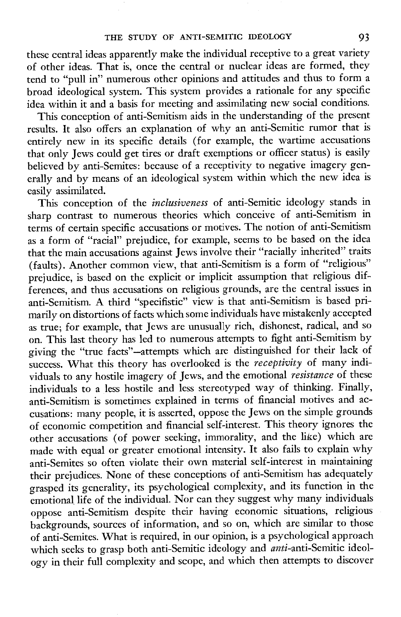THE STUDY OF ANTI-SEMITIC IDEOLOGY<br>these central ideas apparently make the individual receptive to a great variety<br>of other ideas. That is, once the central or nuclear ideas are formed, they<br>tend to "pull in" numerous othe broad ideological system. This system provides a rationale for any specific<br>idea within it and a basis for meeting and assimilating new social conditions.<br>This conception of anti-Semitism aids in the understanding of the p broad ideological system. This system provides a rationale for any specific<br>idea within it and a basis for meeting and assimilating new social conditions.<br>This conception of anti-Semitism aids in the understanding of the p

idea within it and a basis for meeting and assimilating new social conditions.<br>This conception of anti-Semitism aids in the understanding of the present<br>results. It also offers an explanation of why an anti-Semitic rumor t entirely new in its specific details (for example, the wartime accusations that only Jews could get tires or draft exemptions or officer status) is easily entirely new in its specific details (for example, the wartime accusations<br>that only Jews could get tires or draft exemptions or officer status) is easily<br>believed by anti-Semites: because of a receptivity to negative imag that only Jews could get tires or draft exemptions or officer status) is easily<br>believed by anti-Semites: because of a receptivity to negative imagery gen-<br>erally and by means of an ideological system within which the new believed by anti-Semites: because of a receptivity to negative imagery generally and by means of an ideological system within which the new idea is<br>easily assimilated.<br>This conception of the *inclusiveness* of anti-Semitic

easily assimilated.<br>This conception of the *inclusiveness* of anti-Semitic ideology stands in<br>sharp contrast to numerous theories which conceive of anti-Semitism in sharp contrast to numerous theories which conceive of anti-Semitism in<br>terms of certain specific accusations or motives. The notion of anti-Semitism<br>as a form of "racial" prejudice, for example, seems to be based on the id terms of certain specific accusations or motives. The notion of anti-Semitism<br>as a form of "racial" prejudice, for example, seems to be based on the idea<br>that the main accusations against Jews involve their "racially inher that the main accusations against Jews involve their "racially inherited" traits (faults). Another common view, that anti-Semitism is a form of "religious" prejudice, is based on the explicit or implicit assumption that re anti-Semitism. A third "specifistic" view is that anti-Semitism is based primarily on distortions of facts which some individuals have mistakenly accepted<br>as true; for example, that Jews are unusually rich, dishonest, radical, and so<br>on. This last theory has led to numerous attempts to fight antias true; for example, that Jews are unusually rich, dishonest, radical, and so<br>on. This last theory has led to numerous attempts to fight anti-Semitism by<br>giving the "true facts"—attempts which are distinguished for their on. This last theory has led to numerous attempts to fight anti-Semitism by giving the "true facts"—attempts which are distinguished for their lack of success. What this theory has overlooked is the *receptivity* of many i giving the "true facts"—attempts which are distinguished for their lack of success. What this theory has overlooked is the *receptivity* of many individuals to any hostile imagery of Jews, and the emotional *resistance* of success. What this theory has overlooked is the *receptivity* of many indi-<br>viduals to any hostile imagery of Jews, and the emotional *resistance* of these<br>individuals to a less hostile and less stereotyped way of thinking cusations: many people, it is asserted, oppose the Jews on the simple groundsother accusations (of power seeking, immorality, and the like) which are<br>made with equal or greater emotional intensity. It also fails to explain why<br>anti-Semites so often violate their own material self-interest in mainta made with equal or greater emotional intensity. It also fails to explain why made with equal or greater emotional intensity. It also fails to explain why<br>anti-Semites so often violate their own material self-interest in maintaining<br>their prejudices. None of these conceptions of anti-Semitism has ad anti-Semites so often violate their own material self-interest in maintaining<br>their prejudices. None of these conceptions of anti-Semitism has adequately<br>grasped its generality, its psychological complexity, and its functi their prejudices. None of these conceptions of anti-Semitism has adequately<br>grasped its generality, its psychological complexity, and its function in the<br>emotional life of the individual. Nor can they suggest why many indi grasped its generality, its psychological complexity, and its function in the emotional life of the individual. Nor can they suggest why many individuals oppose anti-Semitism despite their having economic situations, relig backgrounds, sources of information, and so on, which are similar to those of anti-Semites. What is required, in our opinion, is a psychological approach oppose anti-Semitism despite their having economic situations, religious backgrounds, sources of information, and so on, which are similar to those of anti-Semites. What is required, in our opinion, is a psychological appr of anti-Semites. What is required, in our opinion, is a psychological approach<br>which seeks to grasp both anti-Semitic ideology and *anti*-anti-Semitic ideol-<br>ogy in their full complexity and scope, and which then attempts which seeks to grasp both anti-Semitic ideology and *anti*-anti-Semitic ideology in their full complexity and scope, and which then attempts to discover d which then attempts to discover<br>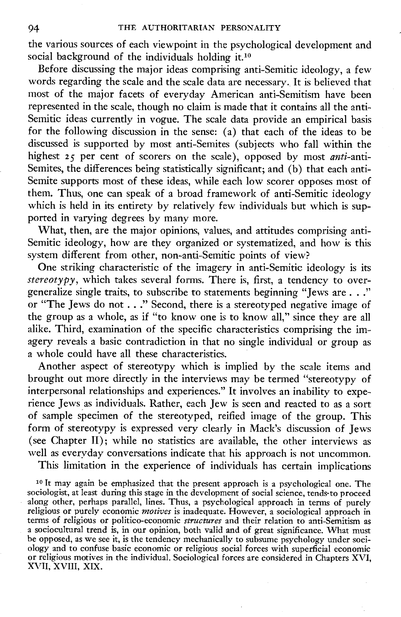94 THE AUTHORITARIAN PERSONALITY<br>the various sources of each viewpoint in the psychological development and<br>social background of the individuals holding it.<sup>10</sup><br>Before discussing the major ideas comprising anti-Semitic ide

the various sources of each viewpoint in the psychological development and social background of the individuals holding it.<sup>10</sup><br>Before discussing the major ideas comprising anti-Semitic ideology, a few<br>words regarding the Before discussing the major ideas comprising anti-Semitic ideology, a few<br>ords regarding the scale and the scale data are necessary. It is believed that<br>ost of the major facets of everyday American anti-Semitism have been<br> most of the major facets of everyday American anti-Semitism have been represented in the scale, though no claim is made that it contains all the anti-Semitic ideas currently in vogue. The scale data provide an empirical ba for the following discussion in the sense: (a) that each of the ideas to be discussed is supported by most anti-Semites (subjects who fall within the highest  $25$  per cent of scorers on the scale), opposed by most *anti*-anti-Semites, the differences being statistically significant; and (b) that each anti-Semite supports most of these ideas, while each low scorer oppos Semites, the differences being statistically significant; and (b) that each anti-Semite supports most of these ideas, while each low scorer opposes most of Semite supports most of these ideas, while each low scorer opposes most of<br>them. Thus, one can speak of a broad framework of anti-Semitic ideology<br>which is held in its entirety by relatively few individuals but which is su them. Thus, one can speak of a broad framework of anti-Semitic ideology<br>which is held in its entirety by relatively few individuals but which is sup-<br>ported in varying degrees by many more.

ported in varying degrees by many more.<br>What, then, are the major opinions, values, and attitudes comprising anti-<br>Semitic ideology, how are they organized or systematized, and how is this system different from other, non-anti-Semitic points of view?<br>One striking characteristic of the imagery in anti-Semitic ideology is its

system different from other, non-anti-Semitic points of view?<br>One striking characteristic of the imagery in anti-Semitic ideology is it<br>stereotypy, which takes several forms. There is, first, a tendency to over<br>the second One striking characteristic of the imagery in anti-Semitic ideology is its *reotypy*, which takes several forms. There is, first, a tendency to over-<br>neralize single traits, to subscribe to statements beginning "Jews are stereotypy, which takes several forms. There is, first, a tendency to over-<br>generalize single traits, to subscribe to statements beginning "Jews are . . ."<br>or "The Jews do not . . ." Second, there is a stereotyped negative the group as a whole, as if "to know one is to know all," since they are all alike. Third, examination of the specific characteristics comprising the imagery reveals a basic contradiction in that no single individual or group as a whole could have all these characteristics.

Another aspect of stereotypy which is implied by the scale items and brought out more directly in the interviews may be termed "stereotypy of interpersonal relationships and experiences." It involves an inability to expebrought out more directly in the interviews may be termed "stereotypy of<br>interpersonal relationships and experiences." It involves an inability to expe-<br>rience Jews as individuals. Rather, each Jew is seen and reacted to a form of stereotypy is expressed very clearly in Mack's discussion of Jews (see Chapter II); while no statistics are available, the other interviews as form of stereotypy is expressed very clearly in Mack's discussion of Jews<br>(see Chapter II); while no statistics are available, the other interviews as<br>well as everyday conversations indicate that his approach is not uncomm (see Chapter II); while no statistics are available, the other interviews as<br>well as everyday conversations indicate that his approach is not uncommon.<br>This limitation in the experience of individuals has certain implicati

This limitation in the experience of individuals has certain implications<br><sup>10</sup> It may again be emphasized that the present approach is a psychological one. The<br>sociologist, at least during this stage in the development of <sup>10</sup> It may again be emphasized that the present approach is a psychological one. The iologist, at least during this stage in the development of social science, tends to proceed ong other, perhaps parallel, lines. Thus, a sociologist, at least during this stage in the development of social science, tends to proceed<br>along other, perhaps parallel, lines. Thus, a psychological approach in terms of purely<br>religious or purely economic *motives* along other, perhaps parallel, lines. Thus, a psychological approach in terms of purely<br>religious or purely economic *motives* is inadequate. However, a sociological approach in<br>terms of religious or politico-economic *str* religious or purely economic *motives* is inadequate. However, a sociological approach in<br>terms of religious or politico-economic *structures* and their relation to anti-Semitism as<br>a sociocultural trend is, in our opinion a sociocultural trend is, in our opinion, both valid and of great significance. What must be opposed, as we see it, is the tendency mechanically to subsume psychology under sociology and to confuse basic economic or religi ology and to confuse basic economic or religious social forces with superficial economic<br>or religious motives in the individual. Sociological forces are considered in Chapters XVI<br>XVII, XVIII, XIX. or religious motives in the individual. Sociological forces are considered in Chapters XVI, xVII, XVIII, XIX.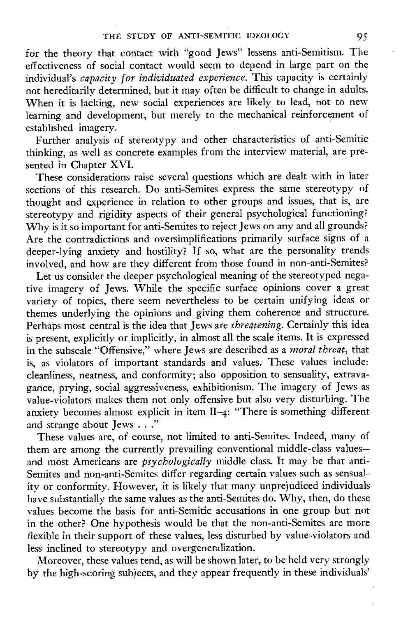THE STUDY OF ANTI-SEMITIC IDEOLOGY 95<br>for the theory that contact with "good Jews" lessens anti-Semitism. The<br>effectiveness of social contact would seem to depend in large part on the<br>individual's *capacity* for *individua* individual's capacity for individuated experience. This capacity is certainly not hereditarily determined, but it may often be difficult to change in adults.<br>When it is lacking, new social experiences are likely to lead, not to new<br>learning and development, but merely to the mechanical reinforcement When it is lacking, new social experiences are likely to lead, not to new learning and development, but merely to the mechanical reinforcement of established imagery.<br>Further analysis of stereotypy and other characteristic

learning and development, but merely to the mechanical reinforcement of<br>established imagery.<br>Further analysis of stereotypy and other characteristics of anti-Semitic<br>thinking, as well as concrete examples from the intervie

sections of this research. Do anti-Semites express the same stereotypy of thought and experience in relation to other groups and issues, that is, are stereotypy and rigidity aspects of their general psychological functioning?<br>Why is it so important for anti-Semites to reject Jews on any and all grounds?<br>Are the contradictions and oversimplifications primarily surface si Why is it so important for anti-Semites to reject Jews on any and all grounds?<br>Are the contradictions and oversimplifications primarily surface signs of a<br>deeper-lying anxiety and hostility? If so, what are the personality Why is it so important for anti-Semites to reject Jews on any and all grounds.<br>Are the contradictions and oversimplifications primarily surface signs of a<br>deeper-lying anxiety and hostility? If so, what are the personality Are the contradictions and oversimplifications primarily surface signs of a deeper-lying anxiety and hostility? If so, what are the personality trends involved, and how are they different from those found in non-anti-Semit

Let us consider the deeper psychological meaning of the stereotyped negative imagery of Jews. While the specific surface opinions cover a great variety of topics, there seem nevertheless to be certain unifying ideas or involved, and how are they different from those found in non-anti-Semites.<br>Let us consider the deeper psychological meaning of the stereotyped negative imagery of Jews. While the specific surface opinions cover a greative Let us consider the deeper psychological meaning of the stereotyped nega-<br>tive imagery of Jews. While the specific surface opinions cover a great<br>variety of topics, there seem nevertheless to be certain unifying ideas or<br>t themes underlying the opinions and giving them coherence and structure.<br>Perhaps most central is the idea that Jews are *threatening*. Certainly this idea themes underlying the opinions and giving them coherence and structure. Perhaps most central is the idea that Jews are *threatening*. Certainly this idea<br>is present, explicitly or implicitly, in almost all the scale items. in the subscale "Offensive," where Jews are described as a *moral threat*, that is, as violators of important standards and values. These values include: cleanliness, neatness, and conformity; also opposition to sensuality in the subscale "Offensive," where Jews are described as a *moral threat*, that<br>is, as violators of important standards and values. These values include:<br>cleanliness, neatness, and conformity; also opposition to sensuality value-violators makes them not only offensive but also very disturbing. The anxiety becomes almost explicit in item II-4: "There is something different and strange about Jews  $\dots$ "

anxiety becomes almost explicit in item II-4: "There is something different and strange about Jews . . ."<br>These values are, of course, not limited to anti-Semites. Indeed, many of them are among the currently prevailing co them are among the currently prevailing conventional middle-class values—<br>and most Americans are *psychologically* middle class. It may be that anti-<br>Semites and non-anti-Semites differ regarding certain values such as sen values become the basis for anti-Semitic accusations in one group but not<br>in the other? One hypothesis would be that the non-anti-Semites are more<br>flexible in their support of these values, less disturbed by value-violator flexible in their support of these values, less disturbed by value-violators and<br>less inclined to stereotypy and overgeneralization.<br>Moreover, these values tend, as will be shown later, to be held very strongly<br>by the high

less inclined to stereotypy and overgeneralization.<br>Moreover, these values tend, as will be shown later, to be held very strongly<br>by the high-scoring subjects, and they appear frequently in these individuals by the high-scoring subjects, and they appear frequently in these individuals<br>'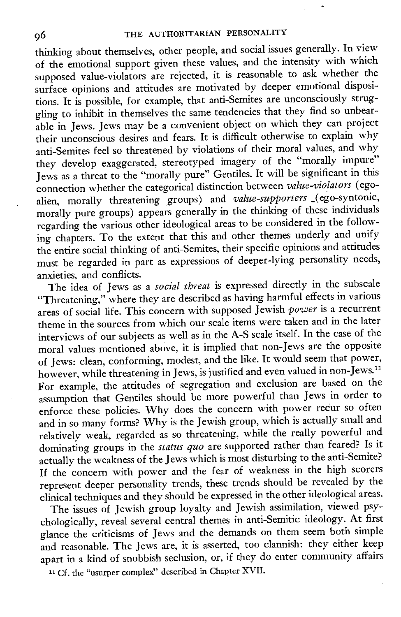<sup>THE</sup> AUTHORITARIAN PERSONALITY<br>hinking about themselves, other people, and social issue<br>of the emotional support given these values, and the i<br>upposed value-violators are rejected, it is reasonable<br>urfore opinions and att thinking about themselves, other people, and social issues generally. In view<br>of the emotional support given these values, and the intensity with which<br>supposed value-violators are rejected, it is reasonable to ask whether of the emotional support given these values, and the intensity with which<br>supposed value-violators are rejected, it is reasonable to ask whether the<br>surface opinions and attitudes are motivated by deeper emotional disposiunconscious and attitudes are motivated by deeper emotional disposi-<br>tions. It is possible, for example, that anti-Semites are unconsciously strug-<br>gling to inhibit in themselves the same tendencies that they find so unbea gling to inhibit in themselves the same tendencies that they find so unbear-<br>able in Jews. Jews may be a convenient object on which they can project<br>their unconscious desires and fears. It is difficult otherwise to explain able in Jews. Jews may be a convenient object on which they can project<br>their unconscious desires and fears. It is difficult otherwise to explain why<br>anti-Semites feel so threatened by violations of their moral values, and their unconscious desires and fears. It is difficult otherwise to explain why<br>anti-Semites feel so threatened by violations of their moral values, and why<br>they develop exaggerated, stereotyped imagery of the "morally impur Jews as a threat to the "morally pure" Gentiles. It will be significant in this connection whether the categorical distinction between *value-violators* (ego-alien, morally threatening groups) and *value-supporters* (ego-s connection whether the categorical distinction between *value-violators* (egoconnection whether the categorical distinction between *value-violators* (ego-<br>alien, morally threatening groups) and *value-supporters* (ego-syntonic<br>morally pure groups) appears generally in the thinking of these individ regarding the various other ideological areas to be considered in the following chapters. To the extent that this and other themes underly and unify the entire social thinking of anti-Semites, their specific opinions and a ing chapters. To the extent that this and other themes underly and unify<br>the entire social thinking of anti-Semites, their specific opinions and attitudes<br>must be regarded in part as expressions of deeper-lying personality must be regarded in part as expressions of deeper-lying personality needs,

must be regarded in part as expressions of deeper-lying personality needs<br>anxieties, and conflicts.<br>The idea of Jews as a *social threat* is expressed directly in the subscale<br>"Threatening," where they are described as hav The idea of Jews as a *social threat* is expressed directly in the subscale "Threatening," where they are described as having harmful effects in various areas of social life. This concern with supposed Jewish *power* is a areas of social life. This concern with supposed Jewish *power* is a recurrent theme in the sources from which our scale items were taken and in the later interviews of our subjects as well as in the A-S scale itself. In interviews of our subjects as well as in the A-S scale itself. In the case of the<br>moral values mentioned above, it is implied that non-Jews are the opposite<br>of Jews: clean, conforming, modest, and the like. It would seem t of Jews: clean, conforming, modest, and the like. It would seem that power<br>however, while threatening in Jews, is justified and even valued in non-Jews.<sup>11</sup><br>For example, the attitudes of segregation and exclusion are based however, while threatening in Jews, is justified and even valued in non-Jews.<sup>11</sup> For example, the attitudes of segregation and exclusion are based on the assumption that Gentiles should be more powerful than Jews in order For example, the attitudes of segregation and exclusion are based on the assumption that Gentiles should be more powerful than Jews in order to enforce these policies. Why does the concern with power recur so often and in assumption that Gentiles should be more powerful than Jews in order to<br>enforce these policies. Why does the concern with power recur so often<br>and in so many forms? Why is the Jewish group, which is actually small and<br>relat dominating groups in the *status quo* are supported rather than feared? Is it actually the weakness of the Jews which is most disturbing to the anti-Semite? If the concern with power and the fear of weakness in the high sc actually the weakness of the Jews which is most disturbing to the anti-Semite!<br>If the concern with power and the fear of weakness in the high scorer<br>represent deeper personality trends, these trends should be revealed by t If the concern with power and the fear of weakness in the high scorers<br>represent deeper personality trends, these trends should be revealed by the<br>clinical techniques and they should be expressed in the other ideological a

clinical techniques and they should be expressed in the other ideological areas.<br>The issues of Jewish group loyalty and Jewish assimilation, viewed psy-<br>chologically, reveal several central themes in anti-Semitic ideology. chologically, reveal several central themes in anti-Semitic ideology. At first glance the criticisms of Jews and the demands on them seem both simple and reasonable. The Jews are, it is asserted, too clannish: they either apart in a kind of snobbish seclusion, or, if they do enter community affairs 11 Cf. the "usurper complex" described in Chapter XVII.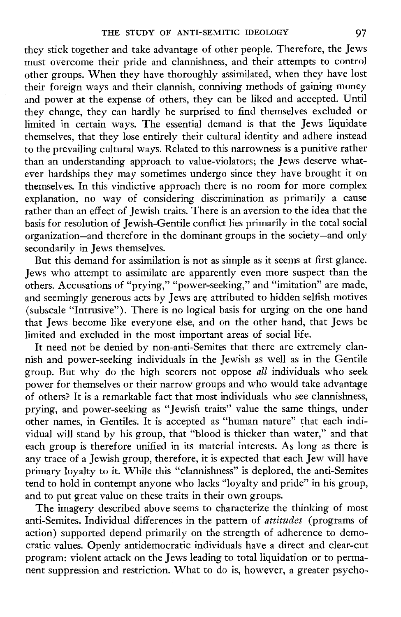THE STUDY OF ANTI-SEMITIC IDEOLOGY 97<br>they stick together and take advantage of other people. Therefore, the Jews<br>must overcome their pride and clannishness, and their attempts to control<br>other groups. When they have thoro and power at the expense of others, they can be liked and accepted. Until limited in certain ways. The essential demand is that the Jews liquidate themselves, that they lose entirely their cultural identity and adhere instead to the prevailing cultural ways. Related to this narrowness is a punitive rather than an understanding approach to value-violators; the Jews deserve what-<br>ever hardships they may sometimes undergo since they have brought i than an understanding approach to value-violators; the Jews deserve whatever hardships they may sometimes undergo since they have brought it on<br>themselves. In this vindictive approach there is no room for more complex<br>explanation, no way of considering discrimination as primarily a cause themselves. In this vindictive approach there is no room for more complex<br>explanation, no way of considering discrimination as primarily a cause<br>rather than an effect of Jewish traits. There is an aversion to the idea that explanation, no way of considering discrimination as primarily a cause<br>rather than an effect of Jewish traits. There is an aversion to the idea that the<br>basis for resolution of Jewish-Gentile conflict lies primarily in the rather than an effect of Jewish traits. There is an aversion to the idea that the basis for resolution of Jewish-Gentile conflict lies primarily in the total social organization—and therefore in the dominant groups in the basis for resolution of Jewish-Gentile conflict lies primarily in the total social organization—and therefore in the dominant groups in the society—and only secondarily in Jews themselves.<br>But this demand for assimilation

secondarily in Jews themselves.<br>But this demand for assimilation is not as simple as it seems at first glance.<br>Jews who attempt to assimilate are apparently even more suspect than the<br>others. Accusations of "prying," "powe and seemingly generous acts by Jews are attributed to hidden selfish motives (subscale "Intrusive"). There is no logical basis for urging on the one hand that Jews become like everyone else, and on the other hand, that Jew that Jews become like everyone else, and on the other hand, that Jews be

It need not be denied by non-anti-Semites that there are extremely clannish and power-seeking individuals in the Iewish as well as in the Gentile limited and excluded in the most important areas of social life.<br>It need not be denied by non-anti-Semites that there are extremely clan-<br>nish and power-seeking individuals in the Jewish as well as in the Gentile<br>group. Bu nish and power-seeking individuals in the Jewish as well as in the Gentile<br>group. But why do the high scorers not oppose *all* individuals who seek<br>power for themselves or their narrow groups and who would take advantage power for themselves or their narrow groups and who would take advantage<br>of others? It is a remarkable fact that most individuals who see clannishness, power for themselves or their narrow groups and who would take advantage<br>of others? It is a remarkable fact that most individuals who see clannishness,<br>prying, and power-seeking as "Jewish traits" value the same things, un other names, in Gentiles. It is accepted as "human nature" that each individual will stand by his group, that "blood is thicker than water," and that each group is therefore unified in its material interests. As long as th vidual will stand by his group, that "blood is thicker than water," and that each group is therefore unified in its material interests. As long as there isany trace of a Jewish group, therefore, it is expected that each Jew will have<br>primary loyalty to it. While this "clannishness" is deplored, the anti-Semites<br>tend to hold in contempt anyone who lacks "loyalty and pride" in primary loyalty to it. While this "clannishness" is deplored, the anti-Semites<br>tend to hold in contempt anyone who lacks "loyalty and pride" in his group.<br>and to put great value on these traits in their own groups.<br>The ima and to put great value on these traits in their own groups.<br>The imagery described above seems to characterize the thinking of most

anti-Semites. Individual differences in the pattern of attitudes (programs of action) supported depend primarily on the strength of adherence to democratic values. Openly antidemocratic individuals have a direct and clear-cut program: violent attack on the Jews leading to total liquidation or to perma program: violent attack on the Jews leading to total liquidation or to permanent suppression and restriction. What to do is, however, a greater psycho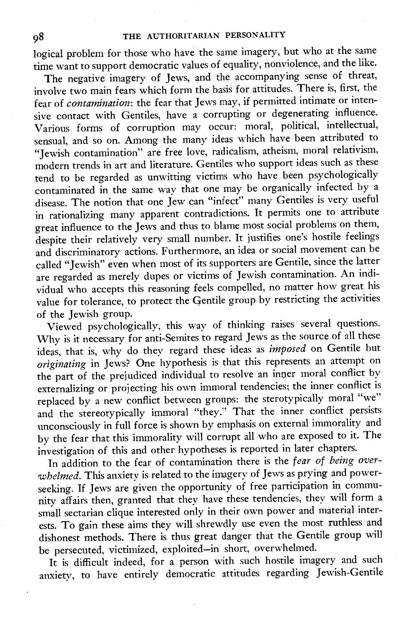98 THE AUTHORITARIAN PERSONALITY<br>logical problem for those who have the same imagery, but who at the same<br>time want to support democratic values of equality, nonviolence, and the like.<br>The negative imagery of Jews, and the

logical problem for those who have the same imagery, but who at the same<br>time want to support democratic values of equality, nonviolence, and the like.<br>The negative imagery of Jews, and the accompanying sense of threat<br>inv The negative imagery of Jews, and the accompanying sense of threat<br>involve two main fears which form the basis for attitudes. There is, first, the<br>fear of *contamination*: the fear that Jews may, if permitted intimate or i sive contact with Gentiles, have a corrupting or degenerating influence.<br>Various forms of corruption may occur: moral, political, intellectual, sensual, and so on. Among the many ideas which have been attributed to "Jewish fear of *contamination*: the fear that Jews may, if permitted intimate or inten-<br>sive contact with Gentiles, have a corrupting or degenerating influence<br>Various forms of corruption may occur: moral, political, intellectual sensual, and so on. Among the many ideas which have been attributed to "Jewish contamination" are free love, radicalism, atheism, moral relativism, modern trends in art and literature. Gentiles who support ideas such as th tend to be regarded as unwitting victims who have been psychologically<br>contaminated in the same way that one may be organically infected by a<br>disease. The notion that one Jew can "infect" many Gentiles is very usefu<br>in rat disease. The notion that one Jew can "infect" many Gentiles is very useful<br>in rationalizing many apparent contradictions. It permits one to attribute<br>great influence to the Jews and thus to blame most social problems on th tend to be regarded as unwitting victims who have been psychologically contaminated in the same way that one may be organically infected by a disease. The notion that one Jew can "infect" many Gentiles is very useful in ra disease. The notion that one Jew can "infect" many Gentiles is very useful<br>in rationalizing many apparent contradictions. It permits one to attribute<br>great influence to the Jews and thus to blame most social problems on th called "Jewish" even when most of its supporters are Gentile, since the latter are regarded as merely dupes or victims of Jewish contamination. An individual who accepts this reasoning feels compelled, no matter how great vidual who accepts this reasoning feels compelled, no matter how great his value for tolerance, to protect the Gentile group by restricting the activities

value for tolerance, to protect the Gentile group by restricting the activities of the Jewish group.<br>
Viewed psychologically, this way of thinking raises several questions<br>
Why is it necessary for anti-Semites to regard Je Viewed psychologically, this way of thinking raises several questions.<br>Why is it necessary for anti-Semites to regard Jews as the source of all these ideas, that is, why do they regard these ideas as *imposed* on Gentile b ideas, that is, why do they regard these ideas as *imposed* on Gentile but *originating* in Jews? One hypothesis is that this represents an attempt on the part of the prejudiced individual to resolve an inner moral conflic originating in Jews? One hypothesis is that this represents an attempt on externalizing or projecting his own immoral tendencies; the inner conflict is the part of the prejudiced individual to resolve an inner moral conflict by externalizing or projecting his own immoral tendencies; the inner conflict is replaced by a new conflict between groups: the sterotypically moral externalizing or projecting his own immoral tendencies; the inner conflict is replaced by a new conflict between groups: the sterotypically moral "we" and the stereotypically immoral "they." That the inner conflict persist replaced by a new conflict between groups: the sterotypically moral "we" and the stereotypically immoral "they." That the inner conflict persists unconsciously in full force is shown by emphasis on external immorality and in the stereotypically immoral "they." That the inner conflict persists<br>unconsciously in full force is shown by emphasis on external immorality and<br>by the fear that this immorality will corrupt all who are exposed to it. T

by the fear that this immorality will corrupt all who are exposed to it. The investigation of this and other hypotheses is reported in later chapters.<br>In addition to the fear of contamination there is the *fear of being ov* investigation of this and other hypotheses is reported in later chapters.<br>In addition to the fear of contamination there is the *fear of being over-*<br>whelmed. This anxiety is related to the imagery of Jews as prying and po whelmed. This anxiety is related to the imagery of Jews as prying and power-<br>seeking. If Jews are given the opportunity of free participation in commu-<br>nity affairs then, granted that they have these tendencies, they will seeking. If Jews are given the opportunity of free participation in commu-<br>nity affairs then, granted that they have these tendencies, they will form a<br>small sectarian clique interested only in their own power and material mity affairs then, granted that they have these tendencies, they will form a small sectarian clique interested only in their own power and material interests. To gain these aims they will shrewdly use even the most ruthles small sectarian clique interested only in their own power and material inter-<br>ests. To gain these aims they will shrewdly use even the most ruthless and<br>dishonest methods. There is thus great danger that the Gentile group dishonest methods. There is thus great danger that the Gentile group will<br>be persecuted, victimized, exploited-in short, overwhelmed.<br>It is difficult indeed, for a person with such hostile imagery and such dishonest methods. There is thus great danger that the Gentile group will<br>be persecuted, victimized, exploited—in short, overwhelmed.<br>It is difficult indeed, for a person with such hostile imagery and such<br>anxiety, to have

It is difficult indeed, for a person with such hostile imagery and such anxiety, to have entirely democratic attitudes regarding Jewish-Gentile Jewish-Gentile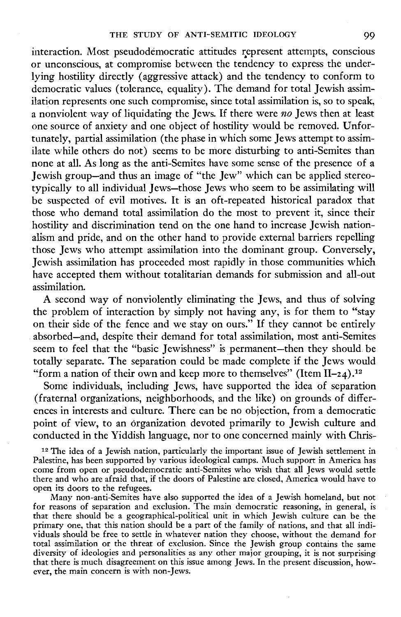THE STUDY OF ANTI-SEMITIC IDEOLOGY 99<br>interaction. Most pseudodemocratic attitudes represent attempts, conscious<br>or unconscious, at compromise between the tendency to express the under-<br>lying hostility directly (aggressive ilation represents one such compromise, since total assimilation is, so to speak, a nonviolent way of liquidating the Jews. If there were  $no$  Jews then at least one source of anxiety and one object of hostility would be r tunately, partial assimilation (the phase in which some Jews attempt to assimilate while others do not) seems to be more disturbing to anti-Semites than none at all. As long as the anti-Semites have some sense of the presence of a Jewish group-and thus an image of "the Jew" which can be applied stereotypically to all individual Jews-those Jews who seem to be assimilating will be suspected of evil motives. It is an oft-repeated historical paradox that those who demand total assimilation do the most to prevent it, since their hostility and discrimination tend on the one hand to increase Jewish nationalism and pride, and on the other hand to provide external barriers repelling hostility and discrimination tend on the one hand to increase Jewish nationalism and pride, and on the other hand to provide external barriers repelling<br>those Jews who attempt assimilation into the dominant group. Converse alism and pride, and on the other hand to provide external barriers repelling<br>those Jews who attempt assimilation into the dominant group. Conversely<br>Jewish assimilation has proceeded most rapidly in those communities whic Jewish assimilation has proceeded most rapidly in those communities which<br>have accepted them without totalitarian demands for submission and all-out<br>assimilation.<br>A second way of nonviolently eliminating the Jews, and thus

the problem of interaction by simply not having any, is for them to "stay on their side of the fence and we stay on ours." If they cannot be entirely absorbed—and, despite their demand for total assimilation, most anti-Semites seem to feel that the "basic Jewishness" is permanent—then they shoul on their side of the fence and we stay on ours." If they cannot be entirely<br>absorbed—and, despite their demand for total assimilation, most anti-Semites<br>seem to feel that the "basic Jewishness" is permanent—then they shoul absorbed—and, despite their demand for total assimilation, most anti-Semites seem to feel that the "basic Jewishness" is permanent—then they should, be totally separate. The separation could be made complete if the Jews w "form a nation of their own and keep more to themselves" (Item II-24).<sup>12</sup><br>Some individuals, including Jews, have supported the idea of separation

"form a nation of their own and keep more to themselves" (Item II-24).<sup>12</sup><br>Some individuals, including Jews, have supported the idea of separation<br>(fraternal organizations, neighborhoods, and the like) on grounds of diffe Some individuals, including Jews, have supported the idea of separation<br>caternal organizations, neighborhoods, and the like) on grounds of differ-<br>ces in interests and culture. There can be no objection, from a democratic<br> (fraternal organizations, neighborhoods, and the like) on grounds of differences in interests and culture. There can be no objection, from a democratic point of view, to an organization devoted primarily to Jewish culture point of view, to an organization devoted primarily to Jewish culture and<br>conducted in the Yiddish language, nor to one concerned mainly with Chris-<br><sup>12</sup> The idea of a Jewish nation, particularly the important issue of Jew

conducted in the Yiddish language, nor to one concerned mainly with Chris-<br><sup>12</sup> The idea of a Jewish nation, particularly the important issue of Jewish settlement ir<br>Palestine, has been supported by various ideological cam idea of a Jewish nation, particularly the important issue of Jewish settlement in<br>e, has been supported by various ideological camps. Much support in America has<br>rom open or pseudodemocratic anti-Semites who wish that all Fracestian supported and who are afraid that, if the doors of Palestine are closed, America would have to open its doors to the refugees.<br>Many non-anti-Semites have also supported the idea of a Jewish homeland, but not

there and who are afraid that, if the doors of Palestine are closed, America would have to open its doors to the refugees.<br>Many non-anti-Semites have also supported the idea of a Jewish homeland, but not<br>for reasons of sep open its doors to the refugees.<br>Many non-anti-Semites have also supported the idea of a Jewish homeland, but not<br>for reasons of separation and exclusion. The main democratic reasoning, in general, is<br>that there should be a that there should be a geographical-political unit in which Jewish culture can be the primary one, that this nation should be a part of the family of nations, and that all individuals should be free to settle in whatever n primary one, that this nation should be a part of the family of nations, and that all indi-<br>viduals should be free to settle in whatever nation they choose, without the demand for<br>total assimilation or the threat of exclus diversity of ideologies and personalities as any other major grouping, it is not surprising that there is much disagreement on this issue among Jews. In the present discussion, however, the main concern is with non-Jews. diversity of ideologies and personalities as any other major grouping, it is not surprising<br>that there is much disagreement on this issue among Jews. In the present discussion, how-<br>ever, the main concern is with non-Jews. that there is much disagreement on this issue among Jews. In the present discussion, how-<br>ever, the main concern is with non-Jews.<br>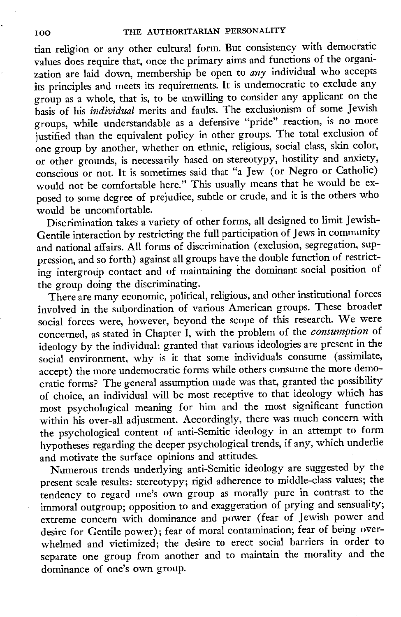o THE AUTHORITARIAN PERSONALITY<br>in religion or any other cultural form. But consistent<br>lues does require that, once the primary aims and fun<br>tion are laid down, membership be open to *any* inc tian religion or any other cultural form. But consistency with democratic values does require that, once the primary aims and functions of the organization are laid down, membership be open to  $any$  individual who accepts i values does require that, once the primary aims and functions of the organization are laid down, membership be open to *any* individual who accepts its principles and meets its requirements. It is undemocratic to exclude a basis of his *individual* merits and faults. The exclusionism of some Jewish groups, while understandable as a defensive "pride" reaction, is no more justified than the equivalent policy in other groups. The total exclusio groups, while understandable as a defensive "pride" reaction, is no more<br>justified than the equivalent policy in other groups. The total exclusion of<br>one group by another, whether on ethnic, religious, social class, skin c groups, while understandable as a defensive "pride" reaction, is no more justified than the equivalent policy in other groups. The total exclusion of one group by another, whether on ethnic, religious, social class, skin c positified than the equivalent policy in other groups. The total exclusion of one group by another, whether on ethnic, religious, social class, skin color, or other grounds, is necessarily based on stereotypy, hostility an conscious or not. It is sometimes said that "a Jew (or Negro or Catholic)<br>would not be comfortable here." This usually means that he would be ex-<br>posed to some degree of prejudice, subtle or crude, and it is the others whe

posed to some degree of prejudice, subtle or crude, and it is the others who would be uncomfortable.<br>
Discrimination takes a variety of other forms, all designed to limit Jewish-Gentile interaction by restricting the full posed to some degree of prejudice, subtle or crude, and it is the others who<br>would be uncomfortable.<br>Discrimination takes a variety of other forms, all designed to limit Jewish-<br>Gentile interaction by restricting the full Gentile interaction by restricting the full participation of Jews in community and national affairs. All forms of discrimination (exclusion, segregation, suppression, and so forth) against all groups have the double functi ing intergroup contact and of maintaining the dominant social position of the group doing the discriminating. ing intergroup contact and of maintaining the dominant social position of<br>the group doing the discriminating.<br>There are many economic, political, religious, and other institutional forces<br>involved in the subordination of v

involved in the subordination of various American groups. These broader ul forces<br>broade:<br>Ve were involved in the subordination of various American groups. These broads social forces were, however, beyond the scope of this research. We were concerned, as stated in Chapter I, with the problem of the *consumption* of involved in the subordination of various American groups. These broader<br>social forces were, however, beyond the scope of this research. We were<br>concerned, as stated in Chapter I, with the problem of the *consumption* of<br>id concerned, as stated in Chapter I, with the problem of the *consumption* of ideology by the individual: granted that various ideologies are present in the social environment, why is it that some individuals consume (assimi social environment, why is it that some individuals consume (assimilate, accept) the more undemocratic forms while others consume the more democratic forms? The general assumption made was that, granted the possibility of accept) the more undemocratic forms while others consume the more demo-<br>cratic forms? The general assumption made was that, granted the possibility<br>of choice, an individual will be most receptive to that ideology which has eratic forms? The general assumption made was that, granted the possibility of choice, an individual will be most receptive to that ideology which has most psychological meaning for him and the most significant function wi within his over-all adjustment. Accordingly, there was much concern with<br>the psychological content of anti-Semitic ideology in an attempt to form<br>hypotheses regarding the deeper psychological trends, if any, which underlie form<br>inderlie<br>by the<br>to the

hypotheses regarding the deeper psychological trends, if any, which underliest<br>and motivate the surface opinions and attitudes.<br>Numerous trends underlying anti-Semitic ideology are suggested by the<br>present scale results: s present scale results: stereotypy; rigid adherence to middle-class values; the tendency to regard one's own group as morally pure in contrast to the immoral outgroup; opposition to and exaggeration of prying and sensuality tendency to regard one's own group as morally pure in contrast to the immoral outgroup; opposition to and exaggeration of prying and sensuality; extreme concern with dominance and power (fear of Jewish power and desire for whelmed and victimized; the desire to erect social barriers in order to separate one group from another and to maintain the morality and the dominance of one's own group. separate one group from another and to maintain the morality and the dominance of one's own group.